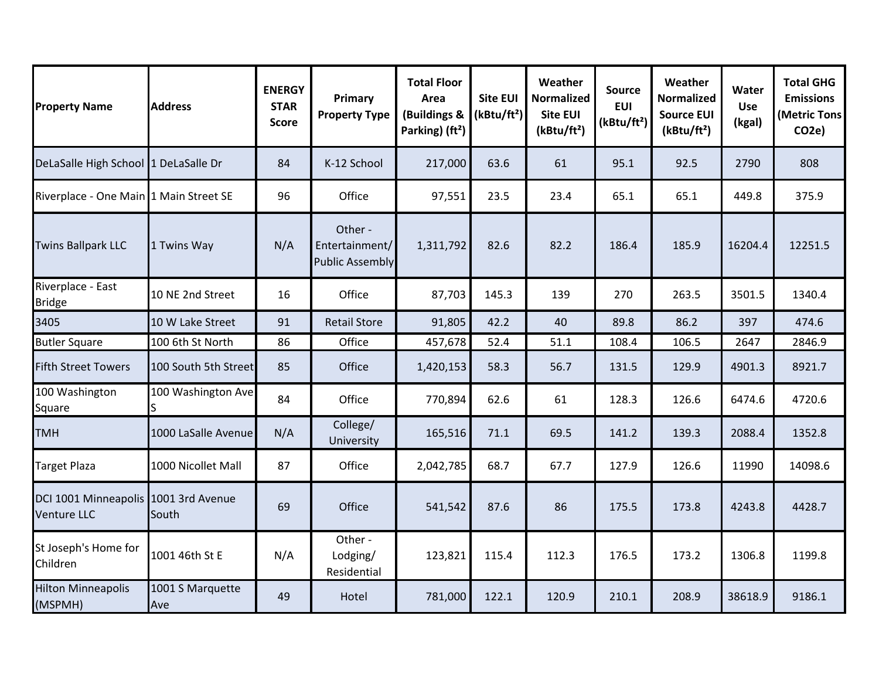| <b>Property Name</b>                                       | <b>Address</b>          | <b>ENERGY</b><br><b>STAR</b><br>Score | Primary<br><b>Property Type</b>                     | <b>Total Floor</b><br>Area<br>(Buildings &<br>Parking) (ft <sup>2</sup> ) | <b>Site EUI</b><br>(kBtu/ft <sup>2</sup> ) | Weather<br><b>Normalized</b><br><b>Site EUI</b><br>(kBtu/ft <sup>2</sup> ) | Source<br><b>EUI</b><br>(kBtu/ft <sup>2</sup> ) | Weather<br><b>Normalized</b><br><b>Source EUI</b><br>(kBtu/ft <sup>2</sup> ) | Water<br><b>Use</b><br>(kgal) | <b>Total GHG</b><br><b>Emissions</b><br>(Metric Tons<br>CO <sub>2</sub> e) |
|------------------------------------------------------------|-------------------------|---------------------------------------|-----------------------------------------------------|---------------------------------------------------------------------------|--------------------------------------------|----------------------------------------------------------------------------|-------------------------------------------------|------------------------------------------------------------------------------|-------------------------------|----------------------------------------------------------------------------|
| DeLaSalle High School 1 DeLaSalle Dr                       |                         | 84                                    | K-12 School                                         | 217,000                                                                   | 63.6                                       | 61                                                                         | 95.1                                            | 92.5                                                                         | 2790                          | 808                                                                        |
| Riverplace - One Main 1 Main Street SE                     |                         | 96                                    | Office                                              | 97,551                                                                    | 23.5                                       | 23.4                                                                       | 65.1                                            | 65.1                                                                         | 449.8                         | 375.9                                                                      |
| <b>Twins Ballpark LLC</b>                                  | 1 Twins Way             | N/A                                   | Other -<br>Entertainment/<br><b>Public Assembly</b> | 1,311,792                                                                 | 82.6                                       | 82.2                                                                       | 186.4                                           | 185.9                                                                        | 16204.4                       | 12251.5                                                                    |
| Riverplace - East<br><b>Bridge</b>                         | 10 NE 2nd Street        | 16                                    | Office                                              | 87,703                                                                    | 145.3                                      | 139                                                                        | 270                                             | 263.5                                                                        | 3501.5                        | 1340.4                                                                     |
| 3405                                                       | 10 W Lake Street        | 91                                    | <b>Retail Store</b>                                 | 91,805                                                                    | 42.2                                       | 40                                                                         | 89.8                                            | 86.2                                                                         | 397                           | 474.6                                                                      |
| <b>Butler Square</b>                                       | 100 6th St North        | 86                                    | Office                                              | 457,678                                                                   | 52.4                                       | 51.1                                                                       | 108.4                                           | 106.5                                                                        | 2647                          | 2846.9                                                                     |
| <b>Fifth Street Towers</b>                                 | 100 South 5th Street    | 85                                    | Office                                              | 1,420,153                                                                 | 58.3                                       | 56.7                                                                       | 131.5                                           | 129.9                                                                        | 4901.3                        | 8921.7                                                                     |
| 100 Washington<br>Square                                   | 100 Washington Ave      | 84                                    | Office                                              | 770,894                                                                   | 62.6                                       | 61                                                                         | 128.3                                           | 126.6                                                                        | 6474.6                        | 4720.6                                                                     |
| <b>TMH</b>                                                 | 1000 LaSalle Avenue     | N/A                                   | College/<br>University                              | 165,516                                                                   | 71.1                                       | 69.5                                                                       | 141.2                                           | 139.3                                                                        | 2088.4                        | 1352.8                                                                     |
| <b>Target Plaza</b>                                        | 1000 Nicollet Mall      | 87                                    | Office                                              | 2,042,785                                                                 | 68.7                                       | 67.7                                                                       | 127.9                                           | 126.6                                                                        | 11990                         | 14098.6                                                                    |
| DCI 1001 Minneapolis 1001 3rd Avenue<br><b>Venture LLC</b> | South                   | 69                                    | Office                                              | 541,542                                                                   | 87.6                                       | 86                                                                         | 175.5                                           | 173.8                                                                        | 4243.8                        | 4428.7                                                                     |
| St Joseph's Home for<br>Children                           | 1001 46th St E          | N/A                                   | Other -<br>Lodging/<br>Residential                  | 123,821                                                                   | 115.4                                      | 112.3                                                                      | 176.5                                           | 173.2                                                                        | 1306.8                        | 1199.8                                                                     |
| <b>Hilton Minneapolis</b><br>(MSPMH)                       | 1001 S Marquette<br>Ave | 49                                    | Hotel                                               | 781,000                                                                   | 122.1                                      | 120.9                                                                      | 210.1                                           | 208.9                                                                        | 38618.9                       | 9186.1                                                                     |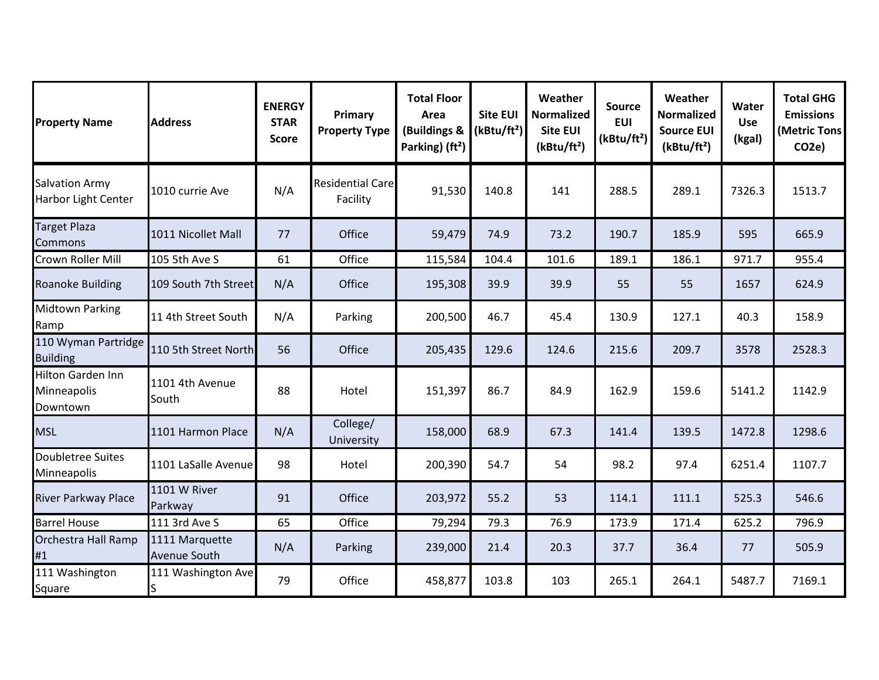| <b>Property Name</b>                                | <b>Address</b>                 | <b>ENERGY</b><br><b>STAR</b><br><b>Score</b> | Primary<br><b>Property Type</b>     | <b>Total Floor</b><br>Area<br>(Buildings &<br>Parking) (ft <sup>2</sup> ) | <b>Site EUI</b><br>(kBtu/ft <sup>2</sup> ) | Weather<br><b>Normalized</b><br><b>Site EUI</b><br>(kBtu/ft <sup>2</sup> ) | <b>Source</b><br><b>EUI</b><br>(kBtu/ft <sup>2</sup> ) | Weather<br><b>Normalized</b><br><b>Source EUI</b><br>(kBtu/ft <sup>2</sup> ) | Water<br><b>Use</b><br>(kgal) | <b>Total GHG</b><br><b>Emissions</b><br>(Metric Tons<br>CO <sub>2</sub> e) |
|-----------------------------------------------------|--------------------------------|----------------------------------------------|-------------------------------------|---------------------------------------------------------------------------|--------------------------------------------|----------------------------------------------------------------------------|--------------------------------------------------------|------------------------------------------------------------------------------|-------------------------------|----------------------------------------------------------------------------|
| <b>Salvation Army</b><br><b>Harbor Light Center</b> | 1010 currie Ave                | N/A                                          | <b>Residential Care</b><br>Facility | 91,530                                                                    | 140.8                                      | 141                                                                        | 288.5                                                  | 289.1                                                                        | 7326.3                        | 1513.7                                                                     |
| <b>Target Plaza</b><br>Commons                      | 1011 Nicollet Mall             | 77                                           | Office                              | 59,479                                                                    | 74.9                                       | 73.2                                                                       | 190.7                                                  | 185.9                                                                        | 595                           | 665.9                                                                      |
| Crown Roller Mill                                   | 105 5th Ave S                  | 61                                           | Office                              | 115,584                                                                   | 104.4                                      | 101.6                                                                      | 189.1                                                  | 186.1                                                                        | 971.7                         | 955.4                                                                      |
| <b>Roanoke Building</b>                             | 109 South 7th Street           | N/A                                          | Office                              | 195,308                                                                   | 39.9                                       | 39.9                                                                       | 55                                                     | 55                                                                           | 1657                          | 624.9                                                                      |
| <b>Midtown Parking</b><br>Ramp                      | 11 4th Street South            | N/A                                          | Parking                             | 200,500                                                                   | 46.7                                       | 45.4                                                                       | 130.9                                                  | 127.1                                                                        | 40.3                          | 158.9                                                                      |
| 110 Wyman Partridge<br><b>Building</b>              | 110 5th Street North           | 56                                           | Office                              | 205,435                                                                   | 129.6                                      | 124.6                                                                      | 215.6                                                  | 209.7                                                                        | 3578                          | 2528.3                                                                     |
| Hilton Garden Inn<br>Minneapolis<br>Downtown        | 1101 4th Avenue<br>South       | 88                                           | Hotel                               | 151,397                                                                   | 86.7                                       | 84.9                                                                       | 162.9                                                  | 159.6                                                                        | 5141.2                        | 1142.9                                                                     |
| <b>MSL</b>                                          | 1101 Harmon Place              | N/A                                          | College/<br>University              | 158,000                                                                   | 68.9                                       | 67.3                                                                       | 141.4                                                  | 139.5                                                                        | 1472.8                        | 1298.6                                                                     |
| Doubletree Suites<br>Minneapolis                    | 1101 LaSalle Avenue            | 98                                           | Hotel                               | 200,390                                                                   | 54.7                                       | 54                                                                         | 98.2                                                   | 97.4                                                                         | 6251.4                        | 1107.7                                                                     |
| River Parkway Place                                 | 1101 W River<br>Parkway        | 91                                           | Office                              | 203,972                                                                   | 55.2                                       | 53                                                                         | 114.1                                                  | 111.1                                                                        | 525.3                         | 546.6                                                                      |
| <b>Barrel House</b>                                 | 111 3rd Ave S                  | 65                                           | Office                              | 79,294                                                                    | 79.3                                       | 76.9                                                                       | 173.9                                                  | 171.4                                                                        | 625.2                         | 796.9                                                                      |
| Orchestra Hall Ramp<br>#1                           | 1111 Marquette<br>Avenue South | N/A                                          | Parking                             | 239,000                                                                   | 21.4                                       | 20.3                                                                       | 37.7                                                   | 36.4                                                                         | 77                            | 505.9                                                                      |
| 111 Washington<br>Square                            | 111 Washington Ave             | 79                                           | Office                              | 458,877                                                                   | 103.8                                      | 103                                                                        | 265.1                                                  | 264.1                                                                        | 5487.7                        | 7169.1                                                                     |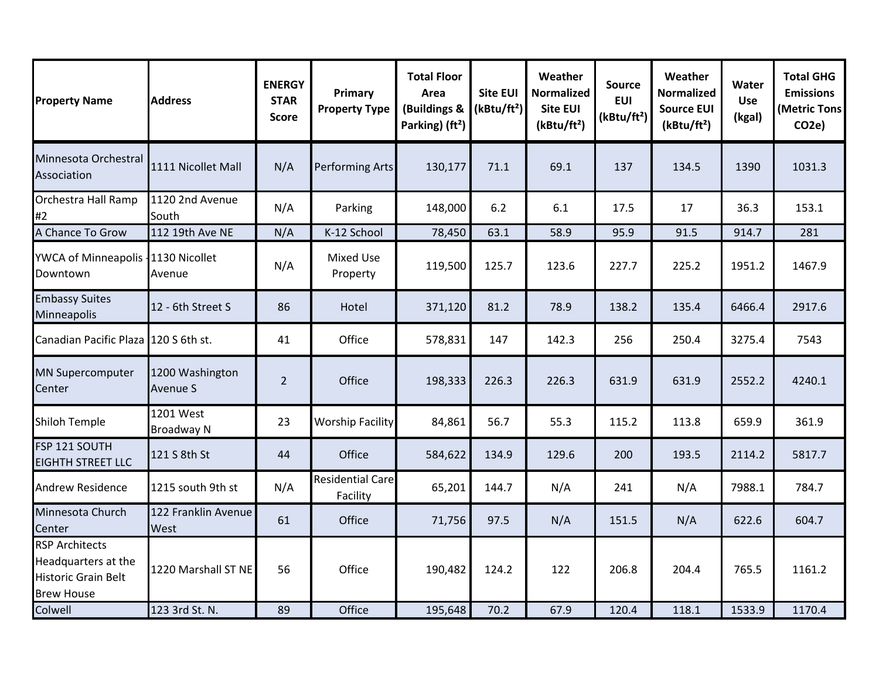| <b>Property Name</b>                                                                            | <b>Address</b>                     | <b>ENERGY</b><br><b>STAR</b><br><b>Score</b> | Primary<br><b>Property Type</b>     | <b>Total Floor</b><br>Area<br>(Buildings &<br>Parking) (ft <sup>2</sup> ) | <b>Site EUI</b><br>(kBtu/ft <sup>2</sup> ) | Weather<br><b>Normalized</b><br><b>Site EUI</b><br>(kBtu/ft <sup>2</sup> ) | <b>Source</b><br><b>EUI</b><br>(kBtu/ft <sup>2</sup> ) | Weather<br><b>Normalized</b><br><b>Source EUI</b><br>(kBtu/ft <sup>2</sup> ) | Water<br><b>Use</b><br>(kgal) | <b>Total GHG</b><br><b>Emissions</b><br>(Metric Tons<br>CO <sub>2</sub> e) |
|-------------------------------------------------------------------------------------------------|------------------------------------|----------------------------------------------|-------------------------------------|---------------------------------------------------------------------------|--------------------------------------------|----------------------------------------------------------------------------|--------------------------------------------------------|------------------------------------------------------------------------------|-------------------------------|----------------------------------------------------------------------------|
| Minnesota Orchestral<br>Association                                                             | 1111 Nicollet Mall                 | N/A                                          | <b>Performing Arts</b>              | 130,177                                                                   | 71.1                                       | 69.1                                                                       | 137                                                    | 134.5                                                                        | 1390                          | 1031.3                                                                     |
| Orchestra Hall Ramp<br>#2                                                                       | 1120 2nd Avenue<br>South           | N/A                                          | Parking                             | 148,000                                                                   | 6.2                                        | 6.1                                                                        | 17.5                                                   | 17                                                                           | 36.3                          | 153.1                                                                      |
| A Chance To Grow                                                                                | 112 19th Ave NE                    | N/A                                          | K-12 School                         | 78,450                                                                    | 63.1                                       | 58.9                                                                       | 95.9                                                   | 91.5                                                                         | 914.7                         | 281                                                                        |
| YWCA of Minneapolis - 1130 Nicollet<br>Downtown                                                 | Avenue                             | N/A                                          | <b>Mixed Use</b><br>Property        | 119,500                                                                   | 125.7                                      | 123.6                                                                      | 227.7                                                  | 225.2                                                                        | 1951.2                        | 1467.9                                                                     |
| <b>Embassy Suites</b><br>Minneapolis                                                            | 12 - 6th Street S                  | 86                                           | Hotel                               | 371,120                                                                   | 81.2                                       | 78.9                                                                       | 138.2                                                  | 135.4                                                                        | 6466.4                        | 2917.6                                                                     |
| Canadian Pacific Plaza 120 S 6th st.                                                            |                                    | 41                                           | Office                              | 578,831                                                                   | 147                                        | 142.3                                                                      | 256                                                    | 250.4                                                                        | 3275.4                        | 7543                                                                       |
| <b>MN Supercomputer</b><br><b>Center</b>                                                        | 1200 Washington<br><b>Avenue S</b> | $\overline{2}$                               | Office                              | 198,333                                                                   | 226.3                                      | 226.3                                                                      | 631.9                                                  | 631.9                                                                        | 2552.2                        | 4240.1                                                                     |
| <b>Shiloh Temple</b>                                                                            | 1201 West<br><b>Broadway N</b>     | 23                                           | <b>Worship Facility</b>             | 84,861                                                                    | 56.7                                       | 55.3                                                                       | 115.2                                                  | 113.8                                                                        | 659.9                         | 361.9                                                                      |
| FSP 121 SOUTH<br><b>EIGHTH STREET LLC</b>                                                       | 121 S 8th St                       | 44                                           | Office                              | 584,622                                                                   | 134.9                                      | 129.6                                                                      | 200                                                    | 193.5                                                                        | 2114.2                        | 5817.7                                                                     |
| <b>Andrew Residence</b>                                                                         | 1215 south 9th st                  | N/A                                          | <b>Residential Care</b><br>Facility | 65,201                                                                    | 144.7                                      | N/A                                                                        | 241                                                    | N/A                                                                          | 7988.1                        | 784.7                                                                      |
| Minnesota Church<br>Center                                                                      | 122 Franklin Avenue<br>West        | 61                                           | Office                              | 71,756                                                                    | 97.5                                       | N/A                                                                        | 151.5                                                  | N/A                                                                          | 622.6                         | 604.7                                                                      |
| <b>RSP Architects</b><br>Headquarters at the<br><b>Historic Grain Belt</b><br><b>Brew House</b> | 1220 Marshall ST NE                | 56                                           | Office                              | 190,482                                                                   | 124.2                                      | 122                                                                        | 206.8                                                  | 204.4                                                                        | 765.5                         | 1161.2                                                                     |
| Colwell                                                                                         | 123 3rd St. N.                     | 89                                           | Office                              | 195,648                                                                   | 70.2                                       | 67.9                                                                       | 120.4                                                  | 118.1                                                                        | 1533.9                        | 1170.4                                                                     |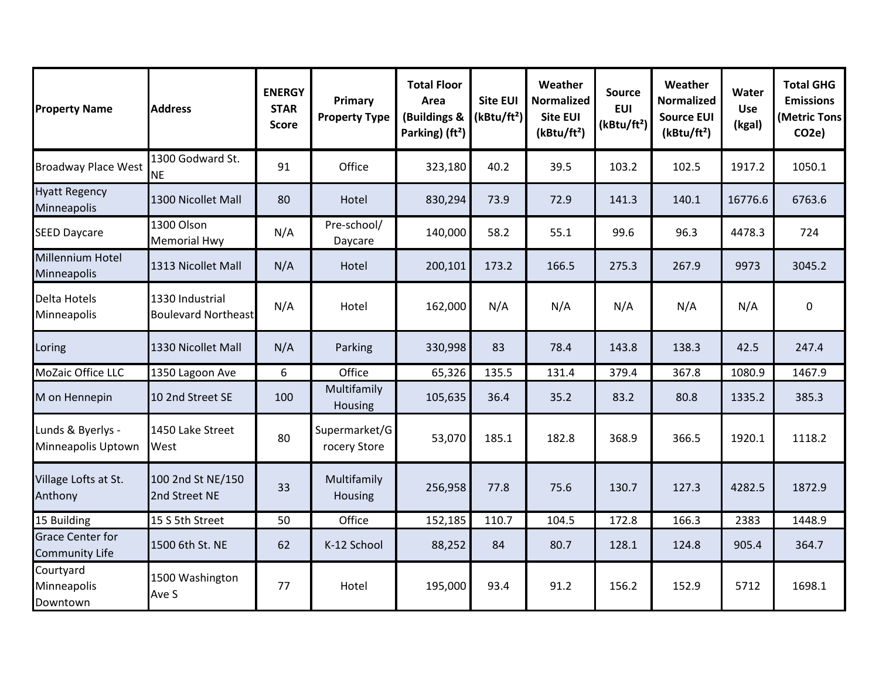| <b>Property Name</b>                             | <b>Address</b>                                | <b>ENERGY</b><br><b>STAR</b><br>Score | Primary<br><b>Property Type</b> | <b>Total Floor</b><br>Area<br>(Buildings &<br>Parking) (ft <sup>2</sup> ) | <b>Site EUI</b><br>(kBtu/ft <sup>2</sup> ) | Weather<br><b>Normalized</b><br><b>Site EUI</b><br>(kBtu/ft <sup>2</sup> ) | <b>Source</b><br><b>EUI</b><br>(kBtu/ft <sup>2</sup> ) | Weather<br><b>Normalized</b><br><b>Source EUI</b><br>(kBtu/ft <sup>2</sup> ) | Water<br><b>Use</b><br>(kgal) | <b>Total GHG</b><br><b>Emissions</b><br>(Metric Tons<br>CO <sub>2e</sub> ) |
|--------------------------------------------------|-----------------------------------------------|---------------------------------------|---------------------------------|---------------------------------------------------------------------------|--------------------------------------------|----------------------------------------------------------------------------|--------------------------------------------------------|------------------------------------------------------------------------------|-------------------------------|----------------------------------------------------------------------------|
| <b>Broadway Place West</b>                       | 1300 Godward St.<br><b>NE</b>                 | 91                                    | Office                          | 323,180                                                                   | 40.2                                       | 39.5                                                                       | 103.2                                                  | 102.5                                                                        | 1917.2                        | 1050.1                                                                     |
| <b>Hyatt Regency</b><br>Minneapolis              | 1300 Nicollet Mall                            | 80                                    | Hotel                           | 830,294                                                                   | 73.9                                       | 72.9                                                                       | 141.3                                                  | 140.1                                                                        | 16776.6                       | 6763.6                                                                     |
| <b>SEED Daycare</b>                              | 1300 Olson<br><b>Memorial Hwy</b>             | N/A                                   | Pre-school/<br>Daycare          | 140,000                                                                   | 58.2                                       | 55.1                                                                       | 99.6                                                   | 96.3                                                                         | 4478.3                        | 724                                                                        |
| Millennium Hotel<br>Minneapolis                  | 1313 Nicollet Mall                            | N/A                                   | Hotel                           | 200,101                                                                   | 173.2                                      | 166.5                                                                      | 275.3                                                  | 267.9                                                                        | 9973                          | 3045.2                                                                     |
| Delta Hotels<br>Minneapolis                      | 1330 Industrial<br><b>Boulevard Northeast</b> | N/A                                   | Hotel                           | 162,000                                                                   | N/A                                        | N/A                                                                        | N/A                                                    | N/A                                                                          | N/A                           | 0                                                                          |
| Loring                                           | 1330 Nicollet Mall                            | N/A                                   | Parking                         | 330,998                                                                   | 83                                         | 78.4                                                                       | 143.8                                                  | 138.3                                                                        | 42.5                          | 247.4                                                                      |
| MoZaic Office LLC                                | 1350 Lagoon Ave                               | 6                                     | Office                          | 65,326                                                                    | 135.5                                      | 131.4                                                                      | 379.4                                                  | 367.8                                                                        | 1080.9                        | 1467.9                                                                     |
| M on Hennepin                                    | 10 2nd Street SE                              | 100                                   | Multifamily<br><b>Housing</b>   | 105,635                                                                   | 36.4                                       | 35.2                                                                       | 83.2                                                   | 80.8                                                                         | 1335.2                        | 385.3                                                                      |
| Lunds & Byerlys -<br>Minneapolis Uptown          | 1450 Lake Street<br>West                      | 80                                    | Supermarket/G<br>rocery Store   | 53,070                                                                    | 185.1                                      | 182.8                                                                      | 368.9                                                  | 366.5                                                                        | 1920.1                        | 1118.2                                                                     |
| Village Lofts at St.<br>Anthony                  | 100 2nd St NE/150<br>2nd Street NE            | 33                                    | Multifamily<br><b>Housing</b>   | 256,958                                                                   | 77.8                                       | 75.6                                                                       | 130.7                                                  | 127.3                                                                        | 4282.5                        | 1872.9                                                                     |
| 15 Building                                      | 15 S 5th Street                               | 50                                    | Office                          | 152,185                                                                   | 110.7                                      | 104.5                                                                      | 172.8                                                  | 166.3                                                                        | 2383                          | 1448.9                                                                     |
| <b>Grace Center for</b><br><b>Community Life</b> | 1500 6th St. NE                               | 62                                    | K-12 School                     | 88,252                                                                    | 84                                         | 80.7                                                                       | 128.1                                                  | 124.8                                                                        | 905.4                         | 364.7                                                                      |
| Courtyard<br>Minneapolis<br>Downtown             | 1500 Washington<br>Ave S                      | 77                                    | Hotel                           | 195,000                                                                   | 93.4                                       | 91.2                                                                       | 156.2                                                  | 152.9                                                                        | 5712                          | 1698.1                                                                     |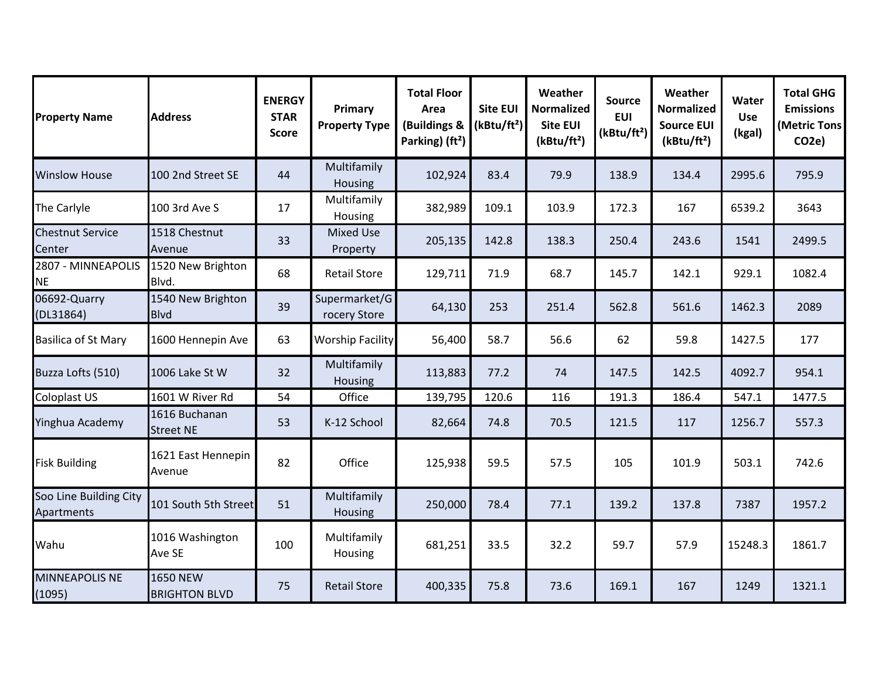| <b>Property Name</b>                 | <b>Address</b>                          | <b>ENERGY</b><br><b>STAR</b><br><b>Score</b> | Primary<br><b>Property Type</b> | <b>Total Floor</b><br>Area<br>(Buildings &<br>Parking) (ft <sup>2</sup> ) | <b>Site EUI</b><br>(kBtu/ft <sup>2</sup> ) | Weather<br><b>Normalized</b><br><b>Site EUI</b><br>(kBtu/ft <sup>2</sup> ) | <b>Source</b><br><b>EUI</b><br>(kBtu/ft <sup>2</sup> ) | Weather<br><b>Normalized</b><br><b>Source EUI</b><br>(kBtu/ft <sup>2</sup> ) | Water<br><b>Use</b><br>(kgal) | <b>Total GHG</b><br><b>Emissions</b><br>(Metric Tons<br>CO <sub>2</sub> e) |
|--------------------------------------|-----------------------------------------|----------------------------------------------|---------------------------------|---------------------------------------------------------------------------|--------------------------------------------|----------------------------------------------------------------------------|--------------------------------------------------------|------------------------------------------------------------------------------|-------------------------------|----------------------------------------------------------------------------|
| <b>Winslow House</b>                 | 100 2nd Street SE                       | 44                                           | Multifamily<br>Housing          | 102,924                                                                   | 83.4                                       | 79.9                                                                       | 138.9                                                  | 134.4                                                                        | 2995.6                        | 795.9                                                                      |
| The Carlyle                          | 100 3rd Ave S                           | 17                                           | Multifamily<br>Housing          | 382,989                                                                   | 109.1                                      | 103.9                                                                      | 172.3                                                  | 167                                                                          | 6539.2                        | 3643                                                                       |
| <b>Chestnut Service</b><br>Center    | 1518 Chestnut<br>Avenue                 | 33                                           | <b>Mixed Use</b><br>Property    | 205,135                                                                   | 142.8                                      | 138.3                                                                      | 250.4                                                  | 243.6                                                                        | 1541                          | 2499.5                                                                     |
| 2807 - MINNEAPOLIS<br><b>NE</b>      | 1520 New Brighton<br>Blvd.              | 68                                           | <b>Retail Store</b>             | 129,711                                                                   | 71.9                                       | 68.7                                                                       | 145.7                                                  | 142.1                                                                        | 929.1                         | 1082.4                                                                     |
| 06692-Quarry<br>(DL31864)            | 1540 New Brighton<br><b>Blvd</b>        | 39                                           | Supermarket/G<br>rocery Store   | 64,130                                                                    | 253                                        | 251.4                                                                      | 562.8                                                  | 561.6                                                                        | 1462.3                        | 2089                                                                       |
| <b>Basilica of St Mary</b>           | 1600 Hennepin Ave                       | 63                                           | <b>Worship Facility</b>         | 56,400                                                                    | 58.7                                       | 56.6                                                                       | 62                                                     | 59.8                                                                         | 1427.5                        | 177                                                                        |
| Buzza Lofts (510)                    | 1006 Lake St W                          | 32                                           | Multifamily<br>Housing          | 113,883                                                                   | 77.2                                       | 74                                                                         | 147.5                                                  | 142.5                                                                        | 4092.7                        | 954.1                                                                      |
| Coloplast US                         | 1601 W River Rd                         | 54                                           | Office                          | 139,795                                                                   | 120.6                                      | 116                                                                        | 191.3                                                  | 186.4                                                                        | 547.1                         | 1477.5                                                                     |
| Yinghua Academy                      | 1616 Buchanan<br><b>Street NE</b>       | 53                                           | K-12 School                     | 82,664                                                                    | 74.8                                       | 70.5                                                                       | 121.5                                                  | 117                                                                          | 1256.7                        | 557.3                                                                      |
| <b>Fisk Building</b>                 | 1621 East Hennepin<br>Avenue            | 82                                           | Office                          | 125,938                                                                   | 59.5                                       | 57.5                                                                       | 105                                                    | 101.9                                                                        | 503.1                         | 742.6                                                                      |
| Soo Line Building City<br>Apartments | 101 South 5th Street                    | 51                                           | Multifamily<br>Housing          | 250,000                                                                   | 78.4                                       | 77.1                                                                       | 139.2                                                  | 137.8                                                                        | 7387                          | 1957.2                                                                     |
| Wahu                                 | 1016 Washington<br>Ave SE               | 100                                          | Multifamily<br>Housing          | 681,251                                                                   | 33.5                                       | 32.2                                                                       | 59.7                                                   | 57.9                                                                         | 15248.3                       | 1861.7                                                                     |
| <b>MINNEAPOLIS NE</b><br>(1095)      | <b>1650 NEW</b><br><b>BRIGHTON BLVD</b> | 75                                           | <b>Retail Store</b>             | 400,335                                                                   | 75.8                                       | 73.6                                                                       | 169.1                                                  | 167                                                                          | 1249                          | 1321.1                                                                     |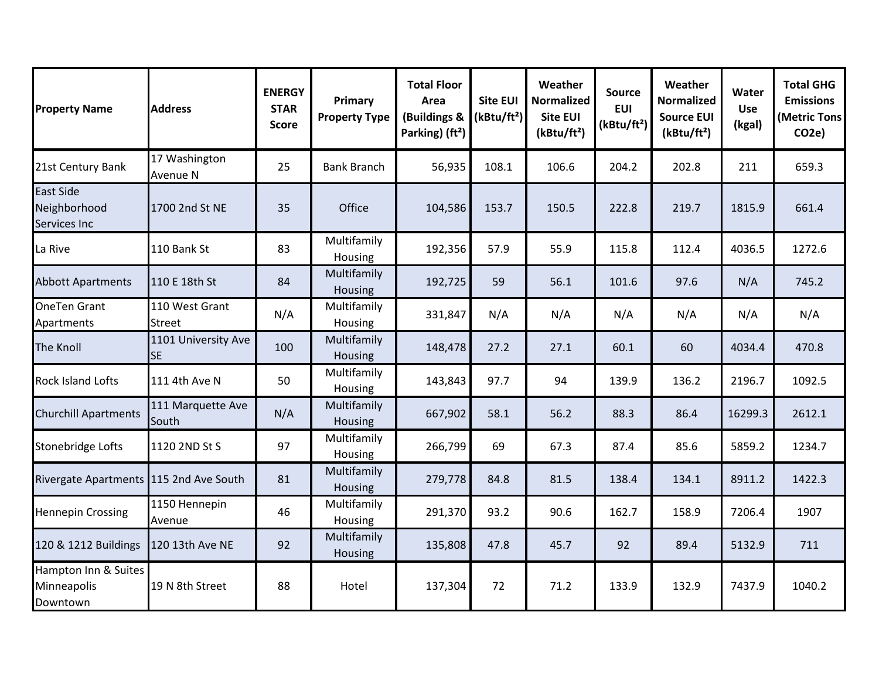| <b>Property Name</b>                             | <b>Address</b>                   | <b>ENERGY</b><br><b>STAR</b><br><b>Score</b> | Primary<br><b>Property Type</b> | <b>Total Floor</b><br>Area<br>(Buildings &<br>Parking) (ft <sup>2</sup> ) | <b>Site EUI</b><br>(kBtu/ft <sup>2</sup> ) | Weather<br><b>Normalized</b><br><b>Site EUI</b><br>(kBtu/ft <sup>2</sup> ) | <b>Source</b><br><b>EUI</b><br>(kBtu/ft <sup>2</sup> ) | Weather<br><b>Normalized</b><br><b>Source EUI</b><br>(kBtu/ft <sup>2</sup> ) | Water<br><b>Use</b><br>(kgal) | <b>Total GHG</b><br><b>Emissions</b><br>(Metric Tons<br>CO <sub>2</sub> e) |
|--------------------------------------------------|----------------------------------|----------------------------------------------|---------------------------------|---------------------------------------------------------------------------|--------------------------------------------|----------------------------------------------------------------------------|--------------------------------------------------------|------------------------------------------------------------------------------|-------------------------------|----------------------------------------------------------------------------|
| 21st Century Bank                                | 17 Washington<br>Avenue N        | 25                                           | <b>Bank Branch</b>              | 56,935                                                                    | 108.1                                      | 106.6                                                                      | 204.2                                                  | 202.8                                                                        | 211                           | 659.3                                                                      |
| <b>East Side</b><br>Neighborhood<br>Services Inc | 1700 2nd St NE                   | 35                                           | Office                          | 104,586                                                                   | 153.7                                      | 150.5                                                                      | 222.8                                                  | 219.7                                                                        | 1815.9                        | 661.4                                                                      |
| La Rive                                          | 110 Bank St                      | 83                                           | Multifamily<br>Housing          | 192,356                                                                   | 57.9                                       | 55.9                                                                       | 115.8                                                  | 112.4                                                                        | 4036.5                        | 1272.6                                                                     |
| <b>Abbott Apartments</b>                         | 110 E 18th St                    | 84                                           | Multifamily<br>Housing          | 192,725                                                                   | 59                                         | 56.1                                                                       | 101.6                                                  | 97.6                                                                         | N/A                           | 745.2                                                                      |
| <b>OneTen Grant</b><br>Apartments                | 110 West Grant<br><b>Street</b>  | N/A                                          | Multifamily<br>Housing          | 331,847                                                                   | N/A                                        | N/A                                                                        | N/A                                                    | N/A                                                                          | N/A                           | N/A                                                                        |
| <b>The Knoll</b>                                 | 1101 University Ave<br><b>SE</b> | 100                                          | Multifamily<br>Housing          | 148,478                                                                   | 27.2                                       | 27.1                                                                       | 60.1                                                   | 60                                                                           | 4034.4                        | 470.8                                                                      |
| <b>Rock Island Lofts</b>                         | 111 4th Ave N                    | 50                                           | Multifamily<br>Housing          | 143,843                                                                   | 97.7                                       | 94                                                                         | 139.9                                                  | 136.2                                                                        | 2196.7                        | 1092.5                                                                     |
| <b>Churchill Apartments</b>                      | 111 Marquette Ave<br>South       | N/A                                          | Multifamily<br>Housing          | 667,902                                                                   | 58.1                                       | 56.2                                                                       | 88.3                                                   | 86.4                                                                         | 16299.3                       | 2612.1                                                                     |
| Stonebridge Lofts                                | 1120 2ND St S                    | 97                                           | Multifamily<br>Housing          | 266,799                                                                   | 69                                         | 67.3                                                                       | 87.4                                                   | 85.6                                                                         | 5859.2                        | 1234.7                                                                     |
| Rivergate Apartments 115 2nd Ave South           |                                  | 81                                           | Multifamily<br>Housing          | 279,778                                                                   | 84.8                                       | 81.5                                                                       | 138.4                                                  | 134.1                                                                        | 8911.2                        | 1422.3                                                                     |
| <b>Hennepin Crossing</b>                         | 1150 Hennepin<br>Avenue          | 46                                           | Multifamily<br>Housing          | 291,370                                                                   | 93.2                                       | 90.6                                                                       | 162.7                                                  | 158.9                                                                        | 7206.4                        | 1907                                                                       |
| 120 & 1212 Buildings                             | 120 13th Ave NE                  | 92                                           | Multifamily<br>Housing          | 135,808                                                                   | 47.8                                       | 45.7                                                                       | 92                                                     | 89.4                                                                         | 5132.9                        | 711                                                                        |
| Hampton Inn & Suites<br>Minneapolis<br>Downtown  | 19 N 8th Street                  | 88                                           | Hotel                           | 137,304                                                                   | 72                                         | 71.2                                                                       | 133.9                                                  | 132.9                                                                        | 7437.9                        | 1040.2                                                                     |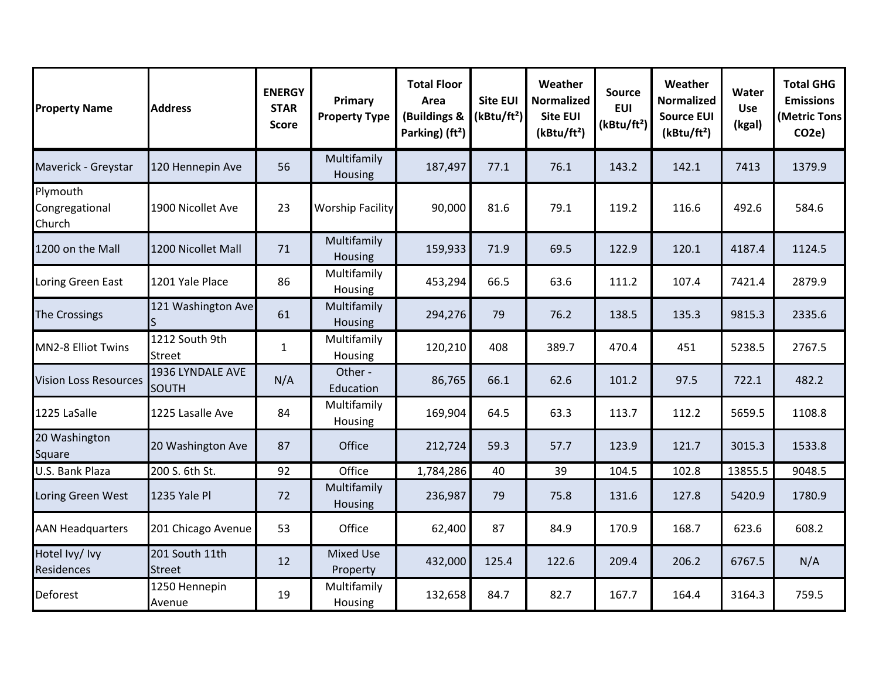| <b>Property Name</b>                 | <b>Address</b>                   | <b>ENERGY</b><br><b>STAR</b><br>Score | Primary<br><b>Property Type</b> | <b>Total Floor</b><br>Area<br>(Buildings &<br>Parking) (ft <sup>2</sup> ) | <b>Site EUI</b><br>(kBtu/ft <sup>2</sup> ) | Weather<br><b>Normalized</b><br><b>Site EUI</b><br>(kBtu/ft <sup>2</sup> ) | <b>Source</b><br><b>EUI</b><br>(kBtu/ft <sup>2</sup> ) | Weather<br><b>Normalized</b><br><b>Source EUI</b><br>(kBtu/ft <sup>2</sup> ) | Water<br><b>Use</b><br>(kgal) | <b>Total GHG</b><br><b>Emissions</b><br>(Metric Tons<br>CO <sub>2</sub> e) |
|--------------------------------------|----------------------------------|---------------------------------------|---------------------------------|---------------------------------------------------------------------------|--------------------------------------------|----------------------------------------------------------------------------|--------------------------------------------------------|------------------------------------------------------------------------------|-------------------------------|----------------------------------------------------------------------------|
| Maverick - Greystar                  | 120 Hennepin Ave                 | 56                                    | Multifamily<br>Housing          | 187,497                                                                   | 77.1                                       | 76.1                                                                       | 143.2                                                  | 142.1                                                                        | 7413                          | 1379.9                                                                     |
| Plymouth<br>Congregational<br>Church | 1900 Nicollet Ave                | 23                                    | <b>Worship Facility</b>         | 90,000                                                                    | 81.6                                       | 79.1                                                                       | 119.2                                                  | 116.6                                                                        | 492.6                         | 584.6                                                                      |
| 1200 on the Mall                     | 1200 Nicollet Mall               | 71                                    | Multifamily<br><b>Housing</b>   | 159,933                                                                   | 71.9                                       | 69.5                                                                       | 122.9                                                  | 120.1                                                                        | 4187.4                        | 1124.5                                                                     |
| Loring Green East                    | 1201 Yale Place                  | 86                                    | Multifamily<br>Housing          | 453,294                                                                   | 66.5                                       | 63.6                                                                       | 111.2                                                  | 107.4                                                                        | 7421.4                        | 2879.9                                                                     |
| <b>The Crossings</b>                 | 121 Washington Ave               | 61                                    | Multifamily<br><b>Housing</b>   | 294,276                                                                   | 79                                         | 76.2                                                                       | 138.5                                                  | 135.3                                                                        | 9815.3                        | 2335.6                                                                     |
| <b>MN2-8 Elliot Twins</b>            | 1212 South 9th<br><b>Street</b>  | $\mathbf{1}$                          | Multifamily<br>Housing          | 120,210                                                                   | 408                                        | 389.7                                                                      | 470.4                                                  | 451                                                                          | 5238.5                        | 2767.5                                                                     |
| <b>Vision Loss Resources</b>         | 1936 LYNDALE AVE<br><b>SOUTH</b> | N/A                                   | Other -<br>Education            | 86,765                                                                    | 66.1                                       | 62.6                                                                       | 101.2                                                  | 97.5                                                                         | 722.1                         | 482.2                                                                      |
| 1225 LaSalle                         | 1225 Lasalle Ave                 | 84                                    | Multifamily<br>Housing          | 169,904                                                                   | 64.5                                       | 63.3                                                                       | 113.7                                                  | 112.2                                                                        | 5659.5                        | 1108.8                                                                     |
| 20 Washington<br>Square              | 20 Washington Ave                | 87                                    | Office                          | 212,724                                                                   | 59.3                                       | 57.7                                                                       | 123.9                                                  | 121.7                                                                        | 3015.3                        | 1533.8                                                                     |
| U.S. Bank Plaza                      | 200 S. 6th St.                   | 92                                    | Office                          | 1,784,286                                                                 | 40                                         | 39                                                                         | 104.5                                                  | 102.8                                                                        | 13855.5                       | 9048.5                                                                     |
| Loring Green West                    | 1235 Yale Pl                     | 72                                    | Multifamily<br>Housing          | 236,987                                                                   | 79                                         | 75.8                                                                       | 131.6                                                  | 127.8                                                                        | 5420.9                        | 1780.9                                                                     |
| <b>AAN Headquarters</b>              | 201 Chicago Avenue               | 53                                    | Office                          | 62,400                                                                    | 87                                         | 84.9                                                                       | 170.9                                                  | 168.7                                                                        | 623.6                         | 608.2                                                                      |
| Hotel Ivy/ Ivy<br>Residences         | 201 South 11th<br><b>Street</b>  | 12                                    | <b>Mixed Use</b><br>Property    | 432,000                                                                   | 125.4                                      | 122.6                                                                      | 209.4                                                  | 206.2                                                                        | 6767.5                        | N/A                                                                        |
| <b>Deforest</b>                      | 1250 Hennepin<br>Avenue          | 19                                    | Multifamily<br>Housing          | 132,658                                                                   | 84.7                                       | 82.7                                                                       | 167.7                                                  | 164.4                                                                        | 3164.3                        | 759.5                                                                      |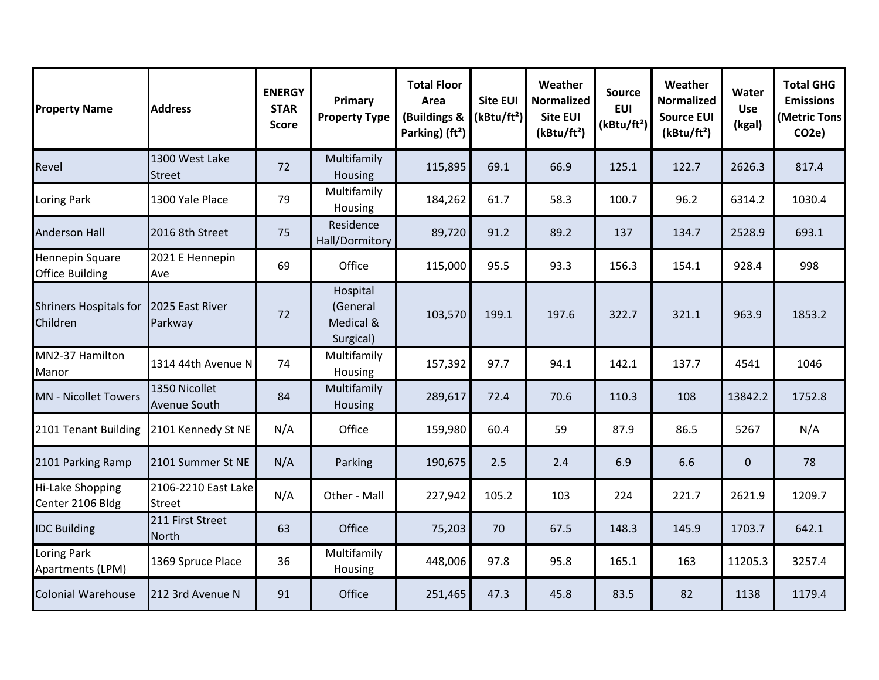| <b>Property Name</b>                             | <b>Address</b>                       | <b>ENERGY</b><br><b>STAR</b><br><b>Score</b> | Primary<br><b>Property Type</b>                | <b>Total Floor</b><br>Area<br>(Buildings &<br>Parking) (ft <sup>2</sup> ) | <b>Site EUI</b><br>(kBtu/ft <sup>2</sup> ) | Weather<br><b>Normalized</b><br><b>Site EUI</b><br>(kBtu/ft <sup>2</sup> ) | <b>Source</b><br><b>EUI</b><br>(kBtu/ft <sup>2</sup> ) | Weather<br><b>Normalized</b><br><b>Source EUI</b><br>(kBtu/ft <sup>2</sup> ) | Water<br><b>Use</b><br>(kgal) | <b>Total GHG</b><br><b>Emissions</b><br>(Metric Tons<br>CO <sub>2</sub> e) |
|--------------------------------------------------|--------------------------------------|----------------------------------------------|------------------------------------------------|---------------------------------------------------------------------------|--------------------------------------------|----------------------------------------------------------------------------|--------------------------------------------------------|------------------------------------------------------------------------------|-------------------------------|----------------------------------------------------------------------------|
| Revel                                            | 1300 West Lake<br><b>Street</b>      | 72                                           | Multifamily<br>Housing                         | 115,895                                                                   | 69.1                                       | 66.9                                                                       | 125.1                                                  | 122.7                                                                        | 2626.3                        | 817.4                                                                      |
| Loring Park                                      | 1300 Yale Place                      | 79                                           | Multifamily<br>Housing                         | 184,262                                                                   | 61.7                                       | 58.3                                                                       | 100.7                                                  | 96.2                                                                         | 6314.2                        | 1030.4                                                                     |
| <b>Anderson Hall</b>                             | 2016 8th Street                      | 75                                           | Residence<br>Hall/Dormitory                    | 89,720                                                                    | 91.2                                       | 89.2                                                                       | 137                                                    | 134.7                                                                        | 2528.9                        | 693.1                                                                      |
| <b>Hennepin Square</b><br><b>Office Building</b> | 2021 E Hennepin<br>Ave               | 69                                           | Office                                         | 115,000                                                                   | 95.5                                       | 93.3                                                                       | 156.3                                                  | 154.1                                                                        | 928.4                         | 998                                                                        |
| <b>Shriners Hospitals for</b><br>Children        | 2025 East River<br>Parkway           | 72                                           | Hospital<br>(General<br>Medical &<br>Surgical) | 103,570                                                                   | 199.1                                      | 197.6                                                                      | 322.7                                                  | 321.1                                                                        | 963.9                         | 1853.2                                                                     |
| MN2-37 Hamilton<br>Manor                         | 1314 44th Avenue N                   | 74                                           | Multifamily<br>Housing                         | 157,392                                                                   | 97.7                                       | 94.1                                                                       | 142.1                                                  | 137.7                                                                        | 4541                          | 1046                                                                       |
| <b>MN - Nicollet Towers</b>                      | 1350 Nicollet<br><b>Avenue South</b> | 84                                           | Multifamily<br>Housing                         | 289,617                                                                   | 72.4                                       | 70.6                                                                       | 110.3                                                  | 108                                                                          | 13842.2                       | 1752.8                                                                     |
| 2101 Tenant Building                             | 2101 Kennedy St NE                   | N/A                                          | Office                                         | 159,980                                                                   | 60.4                                       | 59                                                                         | 87.9                                                   | 86.5                                                                         | 5267                          | N/A                                                                        |
| 2101 Parking Ramp                                | 2101 Summer St NE                    | N/A                                          | Parking                                        | 190,675                                                                   | 2.5                                        | 2.4                                                                        | 6.9                                                    | 6.6                                                                          | $\mathbf 0$                   | 78                                                                         |
| Hi-Lake Shopping<br>Center 2106 Bldg             | 2106-2210 East Lake<br><b>Street</b> | N/A                                          | Other - Mall                                   | 227,942                                                                   | 105.2                                      | 103                                                                        | 224                                                    | 221.7                                                                        | 2621.9                        | 1209.7                                                                     |
| <b>IDC Building</b>                              | 211 First Street<br>North            | 63                                           | Office                                         | 75,203                                                                    | 70                                         | 67.5                                                                       | 148.3                                                  | 145.9                                                                        | 1703.7                        | 642.1                                                                      |
| Loring Park<br>Apartments (LPM)                  | 1369 Spruce Place                    | 36                                           | Multifamily<br>Housing                         | 448,006                                                                   | 97.8                                       | 95.8                                                                       | 165.1                                                  | 163                                                                          | 11205.3                       | 3257.4                                                                     |
| <b>Colonial Warehouse</b>                        | 212 3rd Avenue N                     | 91                                           | Office                                         | 251,465                                                                   | 47.3                                       | 45.8                                                                       | 83.5                                                   | 82                                                                           | 1138                          | 1179.4                                                                     |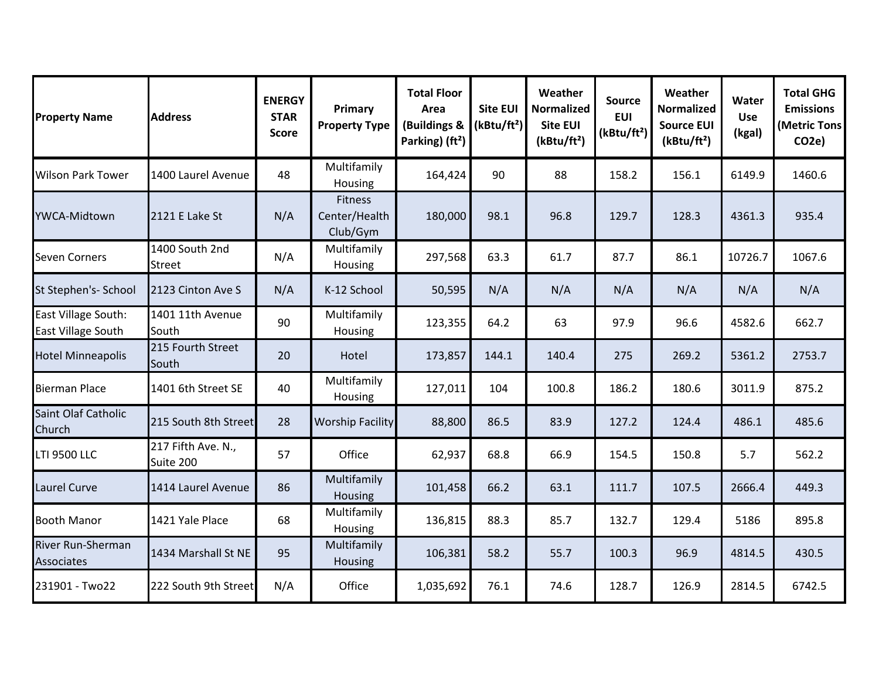| <b>Property Name</b>                             | <b>Address</b>                  | <b>ENERGY</b><br><b>STAR</b><br><b>Score</b> | Primary<br><b>Property Type</b>             | <b>Total Floor</b><br>Area<br>(Buildings &<br>Parking) (ft <sup>2</sup> ) | <b>Site EUI</b><br>(kBtu/ft <sup>2</sup> ) | Weather<br><b>Normalized</b><br><b>Site EUI</b><br>(kBtu/ft <sup>2</sup> ) | <b>Source</b><br><b>EUI</b><br>(kBtu/ft <sup>2</sup> ) | Weather<br><b>Normalized</b><br><b>Source EUI</b><br>(kBtu/ft <sup>2</sup> ) | Water<br><b>Use</b><br>(kgal) | <b>Total GHG</b><br><b>Emissions</b><br>(Metric Tons<br>CO <sub>2e</sub> ) |
|--------------------------------------------------|---------------------------------|----------------------------------------------|---------------------------------------------|---------------------------------------------------------------------------|--------------------------------------------|----------------------------------------------------------------------------|--------------------------------------------------------|------------------------------------------------------------------------------|-------------------------------|----------------------------------------------------------------------------|
| <b>Wilson Park Tower</b>                         | 1400 Laurel Avenue              | 48                                           | Multifamily<br>Housing                      | 164,424                                                                   | 90                                         | 88                                                                         | 158.2                                                  | 156.1                                                                        | 6149.9                        | 1460.6                                                                     |
| YWCA-Midtown                                     | 2121 E Lake St                  | N/A                                          | <b>Fitness</b><br>Center/Health<br>Club/Gym | 180,000                                                                   | 98.1                                       | 96.8                                                                       | 129.7                                                  | 128.3                                                                        | 4361.3                        | 935.4                                                                      |
| <b>Seven Corners</b>                             | 1400 South 2nd<br><b>Street</b> | N/A                                          | Multifamily<br>Housing                      | 297,568                                                                   | 63.3                                       | 61.7                                                                       | 87.7                                                   | 86.1                                                                         | 10726.7                       | 1067.6                                                                     |
| St Stephen's- School                             | 2123 Cinton Ave S               | N/A                                          | K-12 School                                 | 50,595                                                                    | N/A                                        | N/A                                                                        | N/A                                                    | N/A                                                                          | N/A                           | N/A                                                                        |
| East Village South:<br><b>East Village South</b> | 1401 11th Avenue<br>South       | 90                                           | Multifamily<br>Housing                      | 123,355                                                                   | 64.2                                       | 63                                                                         | 97.9                                                   | 96.6                                                                         | 4582.6                        | 662.7                                                                      |
| <b>Hotel Minneapolis</b>                         | 215 Fourth Street<br>South      | 20                                           | Hotel                                       | 173,857                                                                   | 144.1                                      | 140.4                                                                      | 275                                                    | 269.2                                                                        | 5361.2                        | 2753.7                                                                     |
| <b>Bierman Place</b>                             | 1401 6th Street SE              | 40                                           | Multifamily<br>Housing                      | 127,011                                                                   | 104                                        | 100.8                                                                      | 186.2                                                  | 180.6                                                                        | 3011.9                        | 875.2                                                                      |
| Saint Olaf Catholic<br>Church                    | 215 South 8th Street            | 28                                           | <b>Worship Facility</b>                     | 88,800                                                                    | 86.5                                       | 83.9                                                                       | 127.2                                                  | 124.4                                                                        | 486.1                         | 485.6                                                                      |
| <b>LTI 9500 LLC</b>                              | 217 Fifth Ave. N.,<br>Suite 200 | 57                                           | Office                                      | 62,937                                                                    | 68.8                                       | 66.9                                                                       | 154.5                                                  | 150.8                                                                        | 5.7                           | 562.2                                                                      |
| Laurel Curve                                     | 1414 Laurel Avenue              | 86                                           | Multifamily<br><b>Housing</b>               | 101,458                                                                   | 66.2                                       | 63.1                                                                       | 111.7                                                  | 107.5                                                                        | 2666.4                        | 449.3                                                                      |
| <b>Booth Manor</b>                               | 1421 Yale Place                 | 68                                           | Multifamily<br>Housing                      | 136,815                                                                   | 88.3                                       | 85.7                                                                       | 132.7                                                  | 129.4                                                                        | 5186                          | 895.8                                                                      |
| River Run-Sherman<br>Associates                  | 1434 Marshall St NE             | 95                                           | Multifamily<br>Housing                      | 106,381                                                                   | 58.2                                       | 55.7                                                                       | 100.3                                                  | 96.9                                                                         | 4814.5                        | 430.5                                                                      |
| 231901 - Two22                                   | 222 South 9th Street            | N/A                                          | Office                                      | 1,035,692                                                                 | 76.1                                       | 74.6                                                                       | 128.7                                                  | 126.9                                                                        | 2814.5                        | 6742.5                                                                     |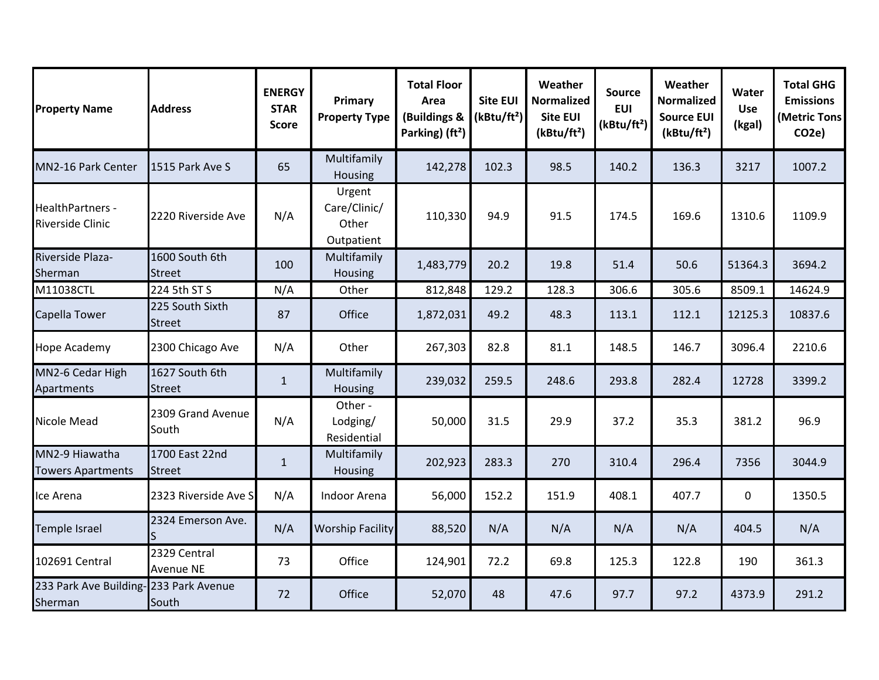| <b>Property Name</b>                        | <b>Address</b>                   | <b>ENERGY</b><br><b>STAR</b><br><b>Score</b> | Primary<br><b>Property Type</b>               | <b>Total Floor</b><br>Area<br>(Buildings &<br>Parking) (ft <sup>2</sup> ) | <b>Site EUI</b><br>(kBtu/ft <sup>2</sup> ) | Weather<br><b>Normalized</b><br><b>Site EUI</b><br>(kBtu/ft <sup>2</sup> ) | <b>Source</b><br><b>EUI</b><br>(kBtu/ft <sup>2</sup> ) | Weather<br><b>Normalized</b><br><b>Source EUI</b><br>(kBtu/ft <sup>2</sup> ) | Water<br><b>Use</b><br>(kgal) | <b>Total GHG</b><br><b>Emissions</b><br><b>(Metric Tons</b><br>CO <sub>2e</sub> ) |
|---------------------------------------------|----------------------------------|----------------------------------------------|-----------------------------------------------|---------------------------------------------------------------------------|--------------------------------------------|----------------------------------------------------------------------------|--------------------------------------------------------|------------------------------------------------------------------------------|-------------------------------|-----------------------------------------------------------------------------------|
| MN2-16 Park Center                          | 1515 Park Ave S                  | 65                                           | Multifamily<br>Housing                        | 142,278                                                                   | 102.3                                      | 98.5                                                                       | 140.2                                                  | 136.3                                                                        | 3217                          | 1007.2                                                                            |
| HealthPartners -<br><b>Riverside Clinic</b> | 2220 Riverside Ave               | N/A                                          | Urgent<br>Care/Clinic/<br>Other<br>Outpatient | 110,330                                                                   | 94.9                                       | 91.5                                                                       | 174.5                                                  | 169.6                                                                        | 1310.6                        | 1109.9                                                                            |
| Riverside Plaza-<br>Sherman                 | 1600 South 6th<br><b>Street</b>  | 100                                          | Multifamily<br><b>Housing</b>                 | 1,483,779                                                                 | 20.2                                       | 19.8                                                                       | 51.4                                                   | 50.6                                                                         | 51364.3                       | 3694.2                                                                            |
| M11038CTL                                   | 224 5th ST S                     | N/A                                          | Other                                         | 812,848                                                                   | 129.2                                      | 128.3                                                                      | 306.6                                                  | 305.6                                                                        | 8509.1                        | 14624.9                                                                           |
| Capella Tower                               | 225 South Sixth<br><b>Street</b> | 87                                           | Office                                        | 1,872,031                                                                 | 49.2                                       | 48.3                                                                       | 113.1                                                  | 112.1                                                                        | 12125.3                       | 10837.6                                                                           |
| <b>Hope Academy</b>                         | 2300 Chicago Ave                 | N/A                                          | Other                                         | 267,303                                                                   | 82.8                                       | 81.1                                                                       | 148.5                                                  | 146.7                                                                        | 3096.4                        | 2210.6                                                                            |
| MN2-6 Cedar High<br>Apartments              | 1627 South 6th<br><b>Street</b>  | $\mathbf{1}$                                 | Multifamily<br>Housing                        | 239,032                                                                   | 259.5                                      | 248.6                                                                      | 293.8                                                  | 282.4                                                                        | 12728                         | 3399.2                                                                            |
| Nicole Mead                                 | 2309 Grand Avenue<br>South       | N/A                                          | Other -<br>Lodging/<br>Residential            | 50,000                                                                    | 31.5                                       | 29.9                                                                       | 37.2                                                   | 35.3                                                                         | 381.2                         | 96.9                                                                              |
| MN2-9 Hiawatha<br><b>Towers Apartments</b>  | 1700 East 22nd<br><b>Street</b>  | $\mathbf{1}$                                 | Multifamily<br>Housing                        | 202,923                                                                   | 283.3                                      | 270                                                                        | 310.4                                                  | 296.4                                                                        | 7356                          | 3044.9                                                                            |
| Ice Arena                                   | 2323 Riverside Ave S             | N/A                                          | Indoor Arena                                  | 56,000                                                                    | 152.2                                      | 151.9                                                                      | 408.1                                                  | 407.7                                                                        | 0                             | 1350.5                                                                            |
| Temple Israel                               | 2324 Emerson Ave.                | N/A                                          | <b>Worship Facility</b>                       | 88,520                                                                    | N/A                                        | N/A                                                                        | N/A                                                    | N/A                                                                          | 404.5                         | N/A                                                                               |
| 102691 Central                              | 2329 Central<br><b>Avenue NE</b> | 73                                           | Office                                        | 124,901                                                                   | 72.2                                       | 69.8                                                                       | 125.3                                                  | 122.8                                                                        | 190                           | 361.3                                                                             |
| 233 Park Ave Building-<br>Sherman           | 233 Park Avenue<br>South         | 72                                           | Office                                        | 52,070                                                                    | 48                                         | 47.6                                                                       | 97.7                                                   | 97.2                                                                         | 4373.9                        | 291.2                                                                             |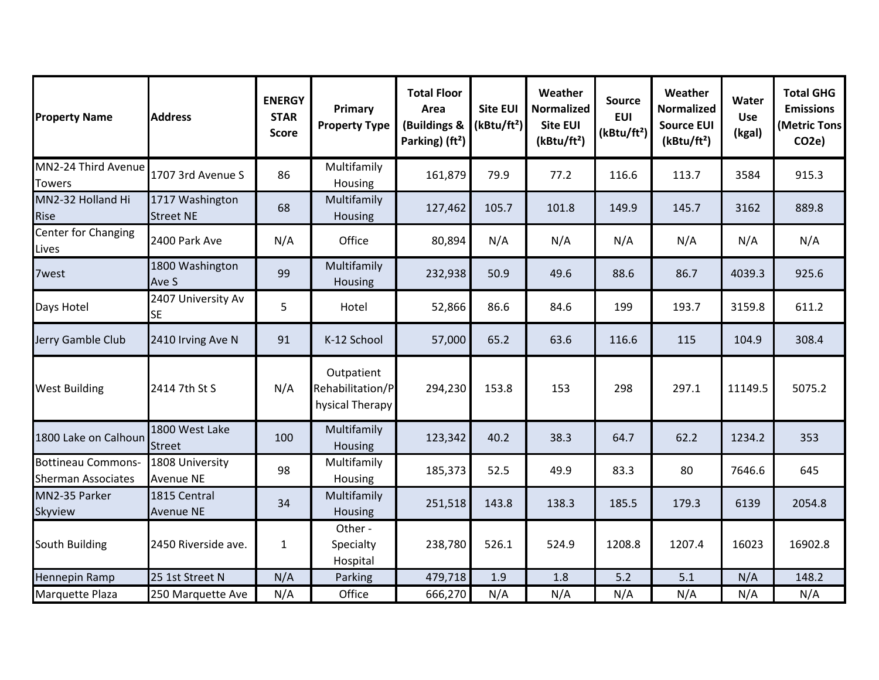| <b>Property Name</b>                                   | <b>Address</b>                      | <b>ENERGY</b><br><b>STAR</b><br><b>Score</b> | Primary<br><b>Property Type</b>                   | <b>Total Floor</b><br>Area<br>(Buildings &<br>Parking) (ft <sup>2</sup> ) | <b>Site EUI</b><br>(kBtu/ft <sup>2</sup> ) | Weather<br><b>Normalized</b><br><b>Site EUI</b><br>(kBtu/ft <sup>2</sup> ) | <b>Source</b><br><b>EUI</b><br>(kBtu/ft <sup>2</sup> ) | Weather<br><b>Normalized</b><br><b>Source EUI</b><br>(kBtu/ft <sup>2</sup> ) | Water<br><b>Use</b><br>(kgal) | <b>Total GHG</b><br><b>Emissions</b><br>(Metric Tons<br>CO <sub>2e</sub> ) |
|--------------------------------------------------------|-------------------------------------|----------------------------------------------|---------------------------------------------------|---------------------------------------------------------------------------|--------------------------------------------|----------------------------------------------------------------------------|--------------------------------------------------------|------------------------------------------------------------------------------|-------------------------------|----------------------------------------------------------------------------|
| MN2-24 Third Avenue<br><b>Towers</b>                   | 1707 3rd Avenue S                   | 86                                           | Multifamily<br>Housing                            | 161,879                                                                   | 79.9                                       | 77.2                                                                       | 116.6                                                  | 113.7                                                                        | 3584                          | 915.3                                                                      |
| MN2-32 Holland Hi<br><b>Rise</b>                       | 1717 Washington<br><b>Street NE</b> | 68                                           | Multifamily<br>Housing                            | 127,462                                                                   | 105.7                                      | 101.8                                                                      | 149.9                                                  | 145.7                                                                        | 3162                          | 889.8                                                                      |
| Center for Changing<br>Lives                           | 2400 Park Ave                       | N/A                                          | Office                                            | 80,894                                                                    | N/A                                        | N/A                                                                        | N/A                                                    | N/A                                                                          | N/A                           | N/A                                                                        |
| 7west                                                  | 1800 Washington<br>Ave S            | 99                                           | Multifamily<br>Housing                            | 232,938                                                                   | 50.9                                       | 49.6                                                                       | 88.6                                                   | 86.7                                                                         | 4039.3                        | 925.6                                                                      |
| Days Hotel                                             | 2407 University Av<br><b>SE</b>     | 5                                            | Hotel                                             | 52,866                                                                    | 86.6                                       | 84.6                                                                       | 199                                                    | 193.7                                                                        | 3159.8                        | 611.2                                                                      |
| Jerry Gamble Club                                      | 2410 Irving Ave N                   | 91                                           | K-12 School                                       | 57,000                                                                    | 65.2                                       | 63.6                                                                       | 116.6                                                  | 115                                                                          | 104.9                         | 308.4                                                                      |
| <b>West Building</b>                                   | 2414 7th St S                       | N/A                                          | Outpatient<br>Rehabilitation/P<br>hysical Therapy | 294,230                                                                   | 153.8                                      | 153                                                                        | 298                                                    | 297.1                                                                        | 11149.5                       | 5075.2                                                                     |
| 1800 Lake on Calhoun                                   | 1800 West Lake<br><b>Street</b>     | 100                                          | Multifamily<br>Housing                            | 123,342                                                                   | 40.2                                       | 38.3                                                                       | 64.7                                                   | 62.2                                                                         | 1234.2                        | 353                                                                        |
| <b>Bottineau Commons-</b><br><b>Sherman Associates</b> | 1808 University<br><b>Avenue NE</b> | 98                                           | Multifamily<br>Housing                            | 185,373                                                                   | 52.5                                       | 49.9                                                                       | 83.3                                                   | 80                                                                           | 7646.6                        | 645                                                                        |
| MN2-35 Parker<br>Skyview                               | 1815 Central<br><b>Avenue NE</b>    | 34                                           | Multifamily<br>Housing                            | 251,518                                                                   | 143.8                                      | 138.3                                                                      | 185.5                                                  | 179.3                                                                        | 6139                          | 2054.8                                                                     |
| South Building                                         | 2450 Riverside ave.                 | 1                                            | Other -<br>Specialty<br>Hospital                  | 238,780                                                                   | 526.1                                      | 524.9                                                                      | 1208.8                                                 | 1207.4                                                                       | 16023                         | 16902.8                                                                    |
| <b>Hennepin Ramp</b>                                   | 25 1st Street N                     | N/A                                          | Parking                                           | 479,718                                                                   | 1.9                                        | 1.8                                                                        | 5.2                                                    | 5.1                                                                          | N/A                           | 148.2                                                                      |
| Marquette Plaza                                        | 250 Marquette Ave                   | N/A                                          | Office                                            | 666,270                                                                   | N/A                                        | N/A                                                                        | N/A                                                    | N/A                                                                          | N/A                           | N/A                                                                        |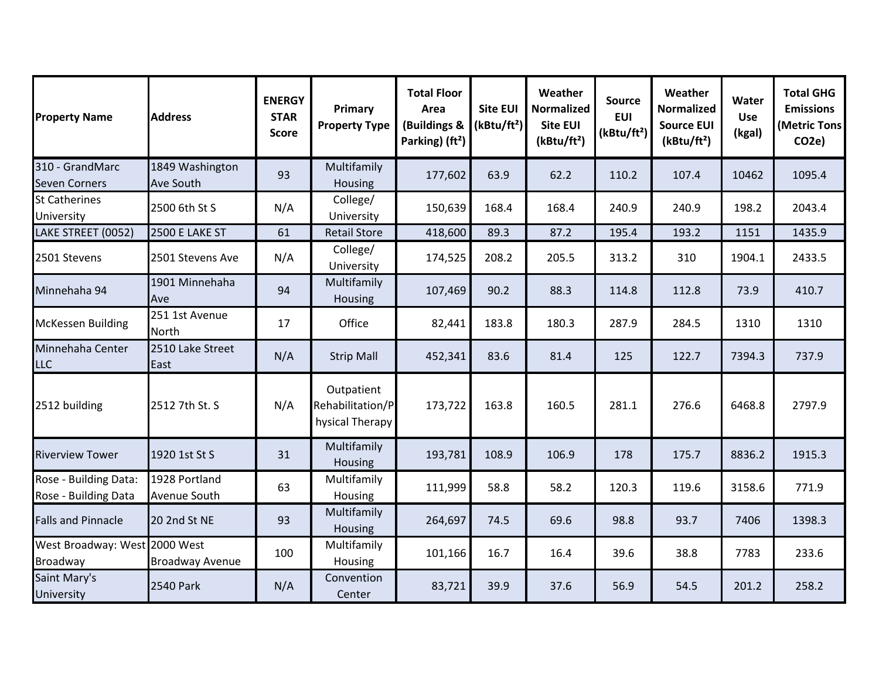| <b>Property Name</b>                             | <b>Address</b>                | <b>ENERGY</b><br><b>STAR</b><br><b>Score</b> | Primary<br><b>Property Type</b>                   | <b>Total Floor</b><br>Area<br>(Buildings &<br>Parking) (ft <sup>2</sup> ) | <b>Site EUI</b><br>(kBtu/ft <sup>2</sup> ) | Weather<br><b>Normalized</b><br><b>Site EUI</b><br>(kBtu/ft <sup>2</sup> ) | <b>Source</b><br><b>EUI</b><br>(kBtu/ft <sup>2</sup> ) | Weather<br><b>Normalized</b><br><b>Source EUI</b><br>(kBtu/ft <sup>2</sup> ) | Water<br><b>Use</b><br>(kgal) | <b>Total GHG</b><br><b>Emissions</b><br>(Metric Tons<br>CO <sub>2e</sub> ) |
|--------------------------------------------------|-------------------------------|----------------------------------------------|---------------------------------------------------|---------------------------------------------------------------------------|--------------------------------------------|----------------------------------------------------------------------------|--------------------------------------------------------|------------------------------------------------------------------------------|-------------------------------|----------------------------------------------------------------------------|
| 310 - GrandMarc<br><b>Seven Corners</b>          | 1849 Washington<br>Ave South  | 93                                           | Multifamily<br>Housing                            | 177,602                                                                   | 63.9                                       | 62.2                                                                       | 110.2                                                  | 107.4                                                                        | 10462                         | 1095.4                                                                     |
| St Catherines<br>University                      | 2500 6th St S                 | N/A                                          | College/<br>University                            | 150,639                                                                   | 168.4                                      | 168.4                                                                      | 240.9                                                  | 240.9                                                                        | 198.2                         | 2043.4                                                                     |
| LAKE STREET (0052)                               | 2500 E LAKE ST                | 61                                           | <b>Retail Store</b>                               | 418,600                                                                   | 89.3                                       | 87.2                                                                       | 195.4                                                  | 193.2                                                                        | 1151                          | 1435.9                                                                     |
| 2501 Stevens                                     | 2501 Stevens Ave              | N/A                                          | College/<br>University                            | 174,525                                                                   | 208.2                                      | 205.5                                                                      | 313.2                                                  | 310                                                                          | 1904.1                        | 2433.5                                                                     |
| Minnehaha 94                                     | 1901 Minnehaha<br>Ave         | 94                                           | Multifamily<br>Housing                            | 107,469                                                                   | 90.2                                       | 88.3                                                                       | 114.8                                                  | 112.8                                                                        | 73.9                          | 410.7                                                                      |
| <b>McKessen Building</b>                         | 251 1st Avenue<br>North       | 17                                           | Office                                            | 82,441                                                                    | 183.8                                      | 180.3                                                                      | 287.9                                                  | 284.5                                                                        | 1310                          | 1310                                                                       |
| Minnehaha Center<br><b>LLC</b>                   | 2510 Lake Street<br>East      | N/A                                          | <b>Strip Mall</b>                                 | 452,341                                                                   | 83.6                                       | 81.4                                                                       | 125                                                    | 122.7                                                                        | 7394.3                        | 737.9                                                                      |
| 2512 building                                    | 2512 7th St. S                | N/A                                          | Outpatient<br>Rehabilitation/P<br>hysical Therapy | 173,722                                                                   | 163.8                                      | 160.5                                                                      | 281.1                                                  | 276.6                                                                        | 6468.8                        | 2797.9                                                                     |
| <b>Riverview Tower</b>                           | 1920 1st St S                 | 31                                           | Multifamily<br>Housing                            | 193,781                                                                   | 108.9                                      | 106.9                                                                      | 178                                                    | 175.7                                                                        | 8836.2                        | 1915.3                                                                     |
| Rose - Building Data:<br>Rose - Building Data    | 1928 Portland<br>Avenue South | 63                                           | Multifamily<br>Housing                            | 111,999                                                                   | 58.8                                       | 58.2                                                                       | 120.3                                                  | 119.6                                                                        | 3158.6                        | 771.9                                                                      |
| <b>Falls and Pinnacle</b>                        | 20 2nd St NE                  | 93                                           | Multifamily<br>Housing                            | 264,697                                                                   | 74.5                                       | 69.6                                                                       | 98.8                                                   | 93.7                                                                         | 7406                          | 1398.3                                                                     |
| West Broadway: West 2000 West<br><b>Broadway</b> | <b>Broadway Avenue</b>        | 100                                          | Multifamily<br>Housing                            | 101,166                                                                   | 16.7                                       | 16.4                                                                       | 39.6                                                   | 38.8                                                                         | 7783                          | 233.6                                                                      |
| Saint Mary's<br>University                       | <b>2540 Park</b>              | N/A                                          | Convention<br>Center                              | 83,721                                                                    | 39.9                                       | 37.6                                                                       | 56.9                                                   | 54.5                                                                         | 201.2                         | 258.2                                                                      |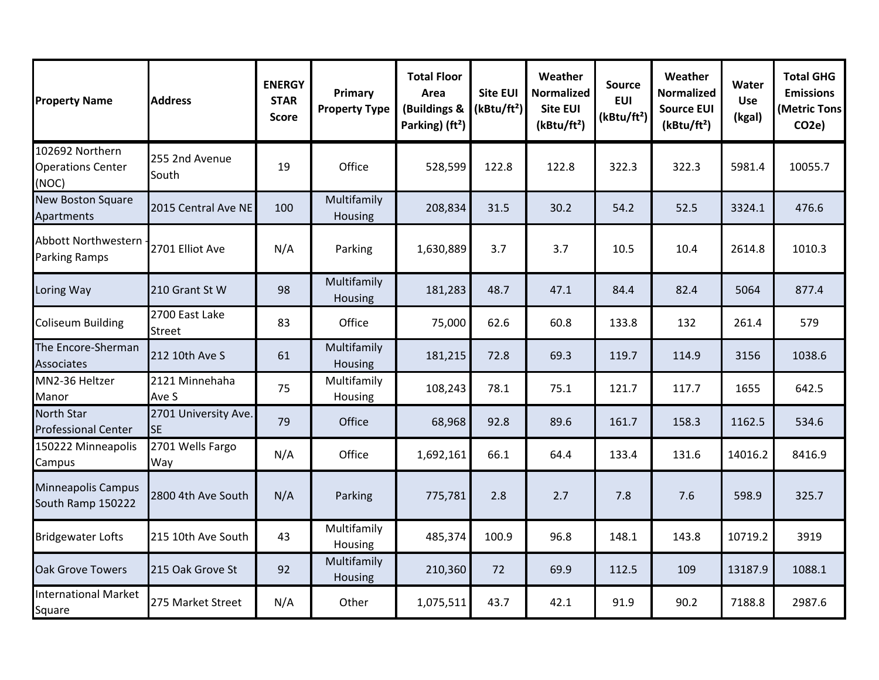| <b>Property Name</b>                                 | <b>Address</b>                    | <b>ENERGY</b><br><b>STAR</b><br><b>Score</b> | Primary<br><b>Property Type</b> | <b>Total Floor</b><br>Area<br>(Buildings &<br>Parking) (ft <sup>2</sup> ) | <b>Site EUI</b><br>(kBtu/ft <sup>2</sup> ) | Weather<br><b>Normalized</b><br>Site EUI<br>(kBtu/ft <sup>2</sup> ) | <b>Source</b><br><b>EUI</b><br>(kBtu/ft <sup>2</sup> ) | Weather<br><b>Normalized</b><br><b>Source EUI</b><br>(kBtu/ft <sup>2</sup> ) | Water<br><b>Use</b><br>(kgal) | <b>Total GHG</b><br><b>Emissions</b><br>(Metric Tons<br>CO <sub>2</sub> e) |
|------------------------------------------------------|-----------------------------------|----------------------------------------------|---------------------------------|---------------------------------------------------------------------------|--------------------------------------------|---------------------------------------------------------------------|--------------------------------------------------------|------------------------------------------------------------------------------|-------------------------------|----------------------------------------------------------------------------|
| 102692 Northern<br><b>Operations Center</b><br>(NOC) | 255 2nd Avenue<br>South           | 19                                           | Office                          | 528,599                                                                   | 122.8                                      | 122.8                                                               | 322.3                                                  | 322.3                                                                        | 5981.4                        | 10055.7                                                                    |
| <b>New Boston Square</b><br>Apartments               | 2015 Central Ave NE               | 100                                          | Multifamily<br>Housing          | 208,834                                                                   | 31.5                                       | 30.2                                                                | 54.2                                                   | 52.5                                                                         | 3324.1                        | 476.6                                                                      |
| <b>Abbott Northwestern</b><br><b>Parking Ramps</b>   | 2701 Elliot Ave                   | N/A                                          | Parking                         | 1,630,889                                                                 | 3.7                                        | 3.7                                                                 | 10.5                                                   | 10.4                                                                         | 2614.8                        | 1010.3                                                                     |
| Loring Way                                           | 210 Grant St W                    | 98                                           | Multifamily<br>Housing          | 181,283                                                                   | 48.7                                       | 47.1                                                                | 84.4                                                   | 82.4                                                                         | 5064                          | 877.4                                                                      |
| <b>Coliseum Building</b>                             | 2700 East Lake<br><b>Street</b>   | 83                                           | Office                          | 75,000                                                                    | 62.6                                       | 60.8                                                                | 133.8                                                  | 132                                                                          | 261.4                         | 579                                                                        |
| The Encore-Sherman<br>Associates                     | 212 10th Ave S                    | 61                                           | Multifamily<br>Housing          | 181,215                                                                   | 72.8                                       | 69.3                                                                | 119.7                                                  | 114.9                                                                        | 3156                          | 1038.6                                                                     |
| MN2-36 Heltzer<br>Manor                              | 2121 Minnehaha<br>Ave S           | 75                                           | Multifamily<br>Housing          | 108,243                                                                   | 78.1                                       | 75.1                                                                | 121.7                                                  | 117.7                                                                        | 1655                          | 642.5                                                                      |
| <b>North Star</b><br><b>Professional Center</b>      | 2701 University Ave.<br><b>SE</b> | 79                                           | Office                          | 68,968                                                                    | 92.8                                       | 89.6                                                                | 161.7                                                  | 158.3                                                                        | 1162.5                        | 534.6                                                                      |
| 150222 Minneapolis<br>Campus                         | 2701 Wells Fargo<br>Way           | N/A                                          | Office                          | 1,692,161                                                                 | 66.1                                       | 64.4                                                                | 133.4                                                  | 131.6                                                                        | 14016.2                       | 8416.9                                                                     |
| <b>Minneapolis Campus</b><br>South Ramp 150222       | 2800 4th Ave South                | N/A                                          | Parking                         | 775,781                                                                   | 2.8                                        | 2.7                                                                 | 7.8                                                    | 7.6                                                                          | 598.9                         | 325.7                                                                      |
| <b>Bridgewater Lofts</b>                             | 215 10th Ave South                | 43                                           | Multifamily<br>Housing          | 485,374                                                                   | 100.9                                      | 96.8                                                                | 148.1                                                  | 143.8                                                                        | 10719.2                       | 3919                                                                       |
| <b>Oak Grove Towers</b>                              | 215 Oak Grove St                  | 92                                           | Multifamily<br>Housing          | 210,360                                                                   | 72                                         | 69.9                                                                | 112.5                                                  | 109                                                                          | 13187.9                       | 1088.1                                                                     |
| <b>International Market</b><br>Square                | 275 Market Street                 | N/A                                          | Other                           | 1,075,511                                                                 | 43.7                                       | 42.1                                                                | 91.9                                                   | 90.2                                                                         | 7188.8                        | 2987.6                                                                     |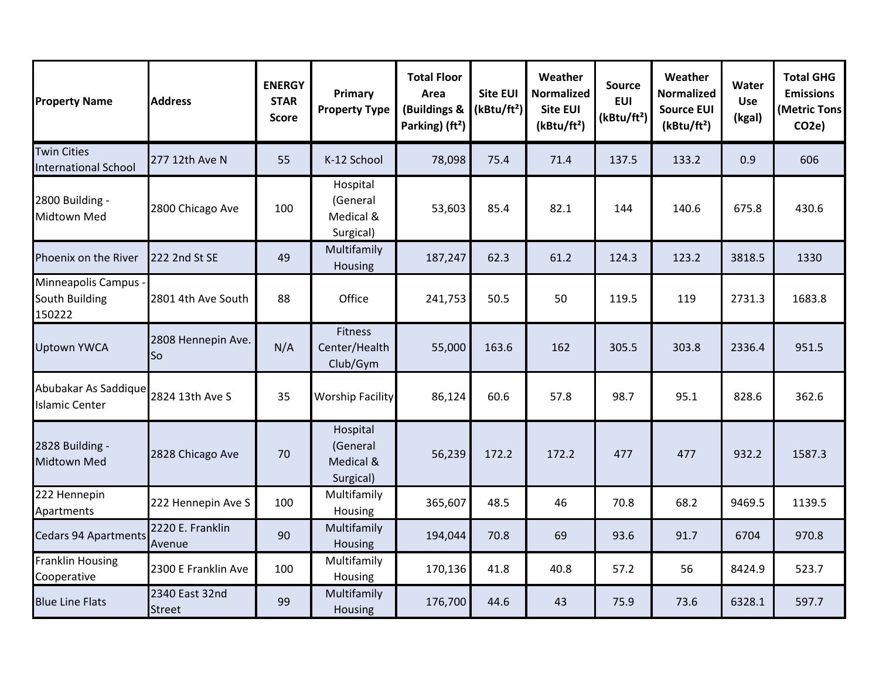| <b>Property Name</b>                              | <b>Address</b>                  | <b>ENERGY</b><br><b>STAR</b><br><b>Score</b> | Primary<br><b>Property Type</b>                | <b>Total Floor</b><br>Area<br>(Buildings &<br>Parking) (ft <sup>2</sup> ) | <b>Site EUI</b><br>(kBtu/ft <sup>2</sup> ) | Weather<br><b>Normalized</b><br><b>Site EUI</b><br>(kBtu/ft <sup>2</sup> ) | <b>Source</b><br><b>EUI</b><br>(kBtu/ft <sup>2</sup> ) | Weather<br><b>Normalized</b><br><b>Source EUI</b><br>(kBtu/ft <sup>2</sup> ) | Water<br><b>Use</b><br>(kgal) | <b>Total GHG</b><br><b>Emissions</b><br>(Metric Tons<br>CO <sub>2e</sub> |
|---------------------------------------------------|---------------------------------|----------------------------------------------|------------------------------------------------|---------------------------------------------------------------------------|--------------------------------------------|----------------------------------------------------------------------------|--------------------------------------------------------|------------------------------------------------------------------------------|-------------------------------|--------------------------------------------------------------------------|
| <b>Twin Cities</b><br><b>International School</b> | 277 12th Ave N                  | 55                                           | K-12 School                                    | 78,098                                                                    | 75.4                                       | 71.4                                                                       | 137.5                                                  | 133.2                                                                        | 0.9                           | 606                                                                      |
| 2800 Building -<br>Midtown Med                    | 2800 Chicago Ave                | 100                                          | Hospital<br>(General<br>Medical &<br>Surgical) | 53,603                                                                    | 85.4                                       | 82.1                                                                       | 144                                                    | 140.6                                                                        | 675.8                         | 430.6                                                                    |
| Phoenix on the River                              | 222 2nd St SE                   | 49                                           | Multifamily<br>Housing                         | 187,247                                                                   | 62.3                                       | 61.2                                                                       | 124.3                                                  | 123.2                                                                        | 3818.5                        | 1330                                                                     |
| Minneapolis Campus -<br>South Building<br>150222  | 2801 4th Ave South              | 88                                           | Office                                         | 241,753                                                                   | 50.5                                       | 50                                                                         | 119.5                                                  | 119                                                                          | 2731.3                        | 1683.8                                                                   |
| <b>Uptown YWCA</b>                                | 2808 Hennepin Ave.<br>So        | N/A                                          | Fitness<br>Center/Health<br>Club/Gym           | 55,000                                                                    | 163.6                                      | 162                                                                        | 305.5                                                  | 303.8                                                                        | 2336.4                        | 951.5                                                                    |
| Abubakar As Saddique<br><b>Islamic Center</b>     | 2824 13th Ave S                 | 35                                           | <b>Worship Facility</b>                        | 86,124                                                                    | 60.6                                       | 57.8                                                                       | 98.7                                                   | 95.1                                                                         | 828.6                         | 362.6                                                                    |
| 2828 Building -<br><b>Midtown Med</b>             | 2828 Chicago Ave                | 70                                           | Hospital<br>(General<br>Medical &<br>Surgical) | 56,239                                                                    | 172.2                                      | 172.2                                                                      | 477                                                    | 477                                                                          | 932.2                         | 1587.3                                                                   |
| 222 Hennepin<br>Apartments                        | 222 Hennepin Ave S              | 100                                          | Multifamily<br>Housing                         | 365,607                                                                   | 48.5                                       | 46                                                                         | 70.8                                                   | 68.2                                                                         | 9469.5                        | 1139.5                                                                   |
| <b>Cedars 94 Apartments</b>                       | 2220 E. Franklin<br>Avenue      | 90                                           | Multifamily<br>Housing                         | 194,044                                                                   | 70.8                                       | 69                                                                         | 93.6                                                   | 91.7                                                                         | 6704                          | 970.8                                                                    |
| <b>Franklin Housing</b><br>Cooperative            | 2300 E Franklin Ave             | 100                                          | Multifamily<br>Housing                         | 170,136                                                                   | 41.8                                       | 40.8                                                                       | 57.2                                                   | 56                                                                           | 8424.9                        | 523.7                                                                    |
| <b>Blue Line Flats</b>                            | 2340 East 32nd<br><b>Street</b> | 99                                           | Multifamily<br>Housing                         | 176,700                                                                   | 44.6                                       | 43                                                                         | 75.9                                                   | 73.6                                                                         | 6328.1                        | 597.7                                                                    |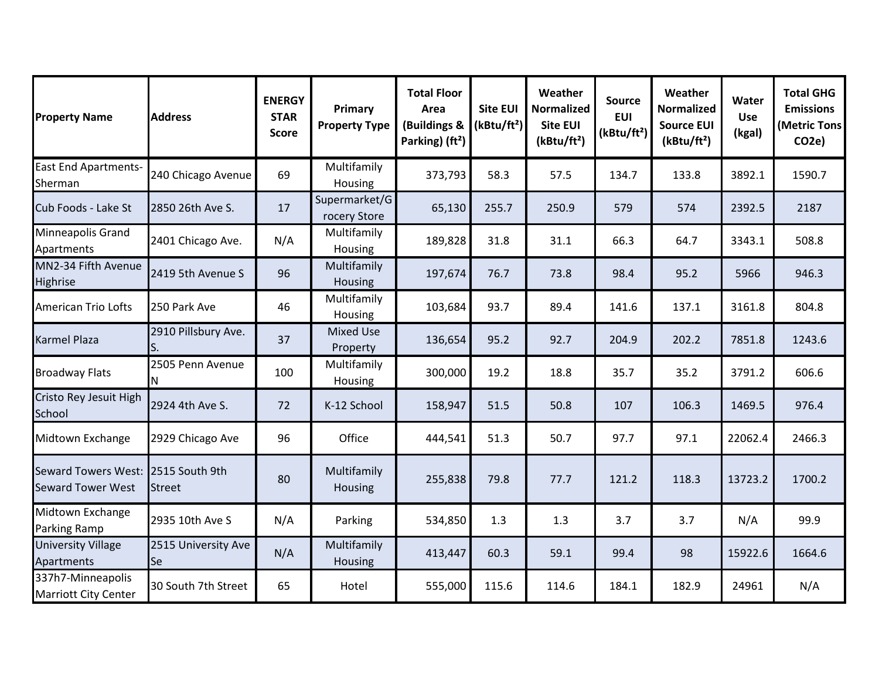| <b>Property Name</b>                                   | <b>Address</b>                   | <b>ENERGY</b><br><b>STAR</b><br><b>Score</b> | Primary<br><b>Property Type</b> | <b>Total Floor</b><br>Area<br>(Buildings &<br>Parking) (ft <sup>2</sup> ) | <b>Site EUI</b><br>(kBtu/ft <sup>2</sup> ) | Weather<br><b>Normalized</b><br><b>Site EUI</b><br>(kBtu/ft <sup>2</sup> ) | <b>Source</b><br><b>EUI</b><br>(kBtu/ft <sup>2</sup> ) | Weather<br><b>Normalized</b><br><b>Source EUI</b><br>(kBtu/ft <sup>2</sup> ) | Water<br><b>Use</b><br>(kgal) | <b>Total GHG</b><br><b>Emissions</b><br>(Metric Tons<br>CO <sub>2</sub> e) |
|--------------------------------------------------------|----------------------------------|----------------------------------------------|---------------------------------|---------------------------------------------------------------------------|--------------------------------------------|----------------------------------------------------------------------------|--------------------------------------------------------|------------------------------------------------------------------------------|-------------------------------|----------------------------------------------------------------------------|
| <b>East End Apartments-</b><br>Sherman                 | 240 Chicago Avenue               | 69                                           | Multifamily<br>Housing          | 373,793                                                                   | 58.3                                       | 57.5                                                                       | 134.7                                                  | 133.8                                                                        | 3892.1                        | 1590.7                                                                     |
| Cub Foods - Lake St                                    | 2850 26th Ave S.                 | 17                                           | Supermarket/G<br>rocery Store   | 65,130                                                                    | 255.7                                      | 250.9                                                                      | 579                                                    | 574                                                                          | 2392.5                        | 2187                                                                       |
| Minneapolis Grand<br>Apartments                        | 2401 Chicago Ave.                | N/A                                          | Multifamily<br>Housing          | 189,828                                                                   | 31.8                                       | 31.1                                                                       | 66.3                                                   | 64.7                                                                         | 3343.1                        | 508.8                                                                      |
| MN2-34 Fifth Avenue<br>Highrise                        | 2419 5th Avenue S                | 96                                           | Multifamily<br>Housing          | 197,674                                                                   | 76.7                                       | 73.8                                                                       | 98.4                                                   | 95.2                                                                         | 5966                          | 946.3                                                                      |
| <b>American Trio Lofts</b>                             | 250 Park Ave                     | 46                                           | Multifamily<br>Housing          | 103,684                                                                   | 93.7                                       | 89.4                                                                       | 141.6                                                  | 137.1                                                                        | 3161.8                        | 804.8                                                                      |
| <b>Karmel Plaza</b>                                    | 2910 Pillsbury Ave.              | 37                                           | <b>Mixed Use</b><br>Property    | 136,654                                                                   | 95.2                                       | 92.7                                                                       | 204.9                                                  | 202.2                                                                        | 7851.8                        | 1243.6                                                                     |
| <b>Broadway Flats</b>                                  | 2505 Penn Avenue<br>N            | 100                                          | Multifamily<br>Housing          | 300,000                                                                   | 19.2                                       | 18.8                                                                       | 35.7                                                   | 35.2                                                                         | 3791.2                        | 606.6                                                                      |
| Cristo Rey Jesuit High<br>School                       | 2924 4th Ave S.                  | 72                                           | K-12 School                     | 158,947                                                                   | 51.5                                       | 50.8                                                                       | 107                                                    | 106.3                                                                        | 1469.5                        | 976.4                                                                      |
| Midtown Exchange                                       | 2929 Chicago Ave                 | 96                                           | Office                          | 444,541                                                                   | 51.3                                       | 50.7                                                                       | 97.7                                                   | 97.1                                                                         | 22062.4                       | 2466.3                                                                     |
| <b>Seward Towers West:</b><br><b>Seward Tower West</b> | 2515 South 9th<br><b>Street</b>  | 80                                           | Multifamily<br>Housing          | 255,838                                                                   | 79.8                                       | 77.7                                                                       | 121.2                                                  | 118.3                                                                        | 13723.2                       | 1700.2                                                                     |
| Midtown Exchange<br>Parking Ramp                       | 2935 10th Ave S                  | N/A                                          | Parking                         | 534,850                                                                   | 1.3                                        | 1.3                                                                        | 3.7                                                    | 3.7                                                                          | N/A                           | 99.9                                                                       |
| <b>University Village</b><br>Apartments                | 2515 University Ave<br><b>Se</b> | N/A                                          | Multifamily<br>Housing          | 413,447                                                                   | 60.3                                       | 59.1                                                                       | 99.4                                                   | 98                                                                           | 15922.6                       | 1664.6                                                                     |
| 337h7-Minneapolis<br><b>Marriott City Center</b>       | 30 South 7th Street              | 65                                           | Hotel                           | 555,000                                                                   | 115.6                                      | 114.6                                                                      | 184.1                                                  | 182.9                                                                        | 24961                         | N/A                                                                        |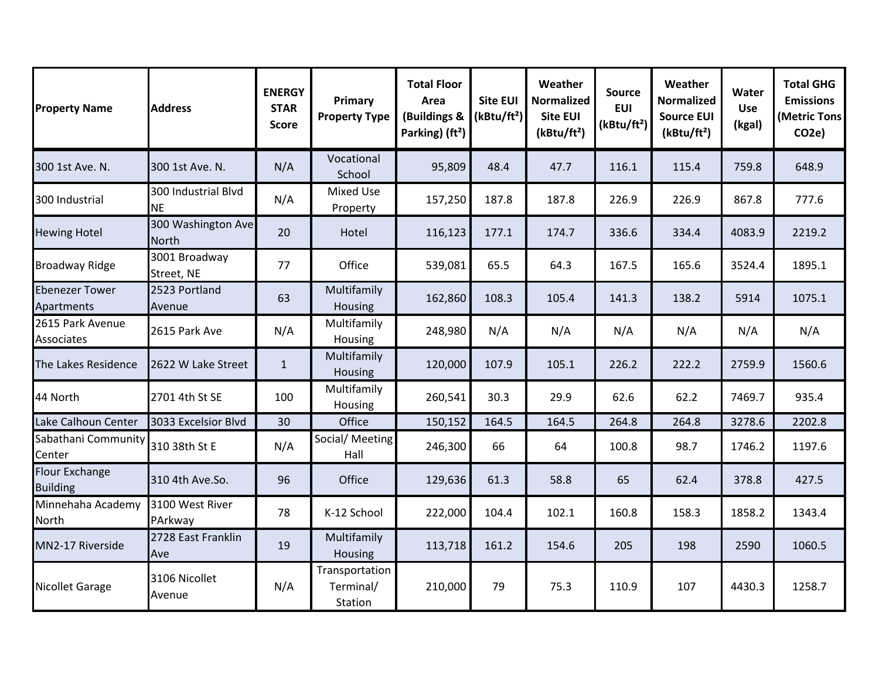| <b>Property Name</b>                     | <b>Address</b>                     | <b>ENERGY</b><br><b>STAR</b><br><b>Score</b> | Primary<br><b>Property Type</b>        | <b>Total Floor</b><br>Area<br>(Buildings &<br>Parking) (ft <sup>2</sup> ) | <b>Site EUI</b><br>(kBtu/ft <sup>2</sup> ) | Weather<br><b>Normalized</b><br><b>Site EUI</b><br>(kBtu/ft <sup>2</sup> ) | <b>Source</b><br><b>EUI</b><br>(kBtu/ft <sup>2</sup> ) | Weather<br><b>Normalized</b><br><b>Source EUI</b><br>(kBtu/ft <sup>2</sup> ) | Water<br><b>Use</b><br>(kgal) | <b>Total GHG</b><br><b>Emissions</b><br>(Metric Tons<br>CO <sub>2</sub> e) |
|------------------------------------------|------------------------------------|----------------------------------------------|----------------------------------------|---------------------------------------------------------------------------|--------------------------------------------|----------------------------------------------------------------------------|--------------------------------------------------------|------------------------------------------------------------------------------|-------------------------------|----------------------------------------------------------------------------|
| 300 1st Ave. N.                          | 300 1st Ave. N.                    | N/A                                          | Vocational<br>School                   | 95,809                                                                    | 48.4                                       | 47.7                                                                       | 116.1                                                  | 115.4                                                                        | 759.8                         | 648.9                                                                      |
| 300 Industrial                           | 300 Industrial Blvd<br><b>NE</b>   | N/A                                          | <b>Mixed Use</b><br>Property           | 157,250                                                                   | 187.8                                      | 187.8                                                                      | 226.9                                                  | 226.9                                                                        | 867.8                         | 777.6                                                                      |
| <b>Hewing Hotel</b>                      | 300 Washington Ave<br><b>North</b> | 20                                           | Hotel                                  | 116,123                                                                   | 177.1                                      | 174.7                                                                      | 336.6                                                  | 334.4                                                                        | 4083.9                        | 2219.2                                                                     |
| <b>Broadway Ridge</b>                    | 3001 Broadway<br>Street, NE        | 77                                           | Office                                 | 539,081                                                                   | 65.5                                       | 64.3                                                                       | 167.5                                                  | 165.6                                                                        | 3524.4                        | 1895.1                                                                     |
| <b>Ebenezer Tower</b><br>Apartments      | 2523 Portland<br>Avenue            | 63                                           | Multifamily<br>Housing                 | 162,860                                                                   | 108.3                                      | 105.4                                                                      | 141.3                                                  | 138.2                                                                        | 5914                          | 1075.1                                                                     |
| 2615 Park Avenue<br>Associates           | 2615 Park Ave                      | N/A                                          | Multifamily<br>Housing                 | 248,980                                                                   | N/A                                        | N/A                                                                        | N/A                                                    | N/A                                                                          | N/A                           | N/A                                                                        |
| The Lakes Residence                      | 2622 W Lake Street                 | $\mathbf{1}$                                 | Multifamily<br>Housing                 | 120,000                                                                   | 107.9                                      | 105.1                                                                      | 226.2                                                  | 222.2                                                                        | 2759.9                        | 1560.6                                                                     |
| 44 North                                 | 2701 4th St SE                     | 100                                          | Multifamily<br>Housing                 | 260,541                                                                   | 30.3                                       | 29.9                                                                       | 62.6                                                   | 62.2                                                                         | 7469.7                        | 935.4                                                                      |
| Lake Calhoun Center                      | 3033 Excelsior Blvd                | 30                                           | Office                                 | 150,152                                                                   | 164.5                                      | 164.5                                                                      | 264.8                                                  | 264.8                                                                        | 3278.6                        | 2202.8                                                                     |
| Sabathani Community<br>Center            | 310 38th St E                      | N/A                                          | Social/ Meeting<br>Hall                | 246,300                                                                   | 66                                         | 64                                                                         | 100.8                                                  | 98.7                                                                         | 1746.2                        | 1197.6                                                                     |
| <b>Flour Exchange</b><br><b>Building</b> | 310 4th Ave.So.                    | 96                                           | Office                                 | 129,636                                                                   | 61.3                                       | 58.8                                                                       | 65                                                     | 62.4                                                                         | 378.8                         | 427.5                                                                      |
| Minnehaha Academy<br>North               | 3100 West River<br>PArkway         | 78                                           | K-12 School                            | 222,000                                                                   | 104.4                                      | 102.1                                                                      | 160.8                                                  | 158.3                                                                        | 1858.2                        | 1343.4                                                                     |
| MN2-17 Riverside                         | 2728 East Franklin<br>Ave          | 19                                           | Multifamily<br>Housing                 | 113,718                                                                   | 161.2                                      | 154.6                                                                      | 205                                                    | 198                                                                          | 2590                          | 1060.5                                                                     |
| <b>Nicollet Garage</b>                   | 3106 Nicollet<br>Avenue            | N/A                                          | Transportation<br>Terminal/<br>Station | 210,000                                                                   | 79                                         | 75.3                                                                       | 110.9                                                  | 107                                                                          | 4430.3                        | 1258.7                                                                     |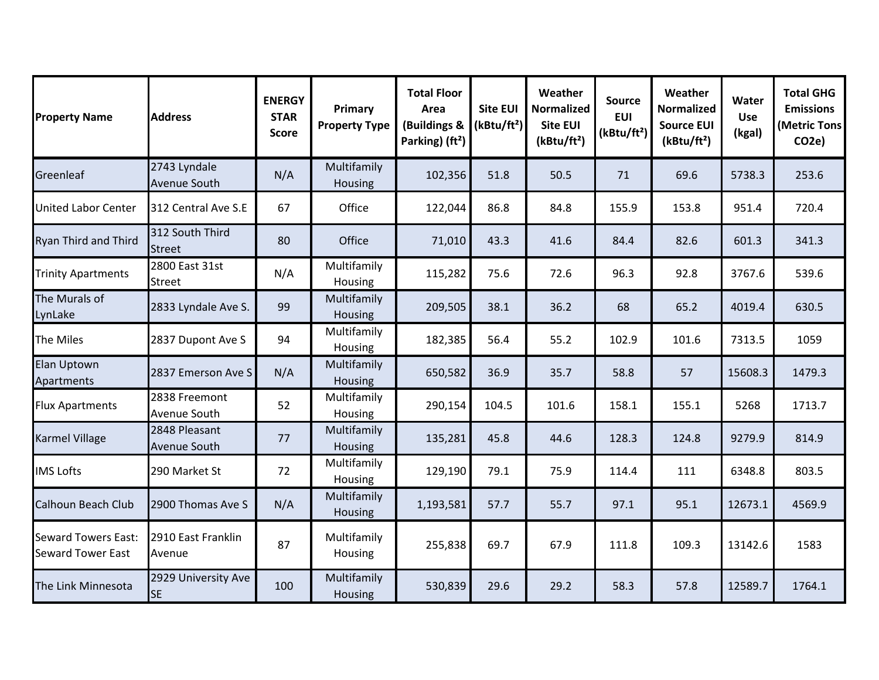| <b>Property Name</b>                                   | <b>Address</b>                       | <b>ENERGY</b><br><b>STAR</b><br><b>Score</b> | Primary<br><b>Property Type</b> | <b>Total Floor</b><br>Area<br>(Buildings &<br>Parking) (ft <sup>2</sup> ) | <b>Site EUI</b><br>(kBtu/ft <sup>2</sup> ) | Weather<br>Normalized<br><b>Site EUI</b><br>(kBtu/ft <sup>2</sup> ) | <b>Source</b><br><b>EUI</b><br>(kBtu/ft <sup>2</sup> ) | Weather<br><b>Normalized</b><br><b>Source EUI</b><br>(kBtu/ft <sup>2</sup> ) | Water<br><b>Use</b><br>(kgal) | <b>Total GHG</b><br><b>Emissions</b><br>(Metric Tons<br>CO <sub>2e</sub> ) |
|--------------------------------------------------------|--------------------------------------|----------------------------------------------|---------------------------------|---------------------------------------------------------------------------|--------------------------------------------|---------------------------------------------------------------------|--------------------------------------------------------|------------------------------------------------------------------------------|-------------------------------|----------------------------------------------------------------------------|
| Greenleaf                                              | 2743 Lyndale<br><b>Avenue South</b>  | N/A                                          | Multifamily<br>Housing          | 102,356                                                                   | 51.8                                       | 50.5                                                                | 71                                                     | 69.6                                                                         | 5738.3                        | 253.6                                                                      |
| <b>United Labor Center</b>                             | 312 Central Ave S.E                  | 67                                           | Office                          | 122,044                                                                   | 86.8                                       | 84.8                                                                | 155.9                                                  | 153.8                                                                        | 951.4                         | 720.4                                                                      |
| <b>Ryan Third and Third</b>                            | 312 South Third<br><b>Street</b>     | 80                                           | Office                          | 71,010                                                                    | 43.3                                       | 41.6                                                                | 84.4                                                   | 82.6                                                                         | 601.3                         | 341.3                                                                      |
| <b>Trinity Apartments</b>                              | 2800 East 31st<br><b>Street</b>      | N/A                                          | Multifamily<br>Housing          | 115,282                                                                   | 75.6                                       | 72.6                                                                | 96.3                                                   | 92.8                                                                         | 3767.6                        | 539.6                                                                      |
| The Murals of<br>LynLake                               | 2833 Lyndale Ave S.                  | 99                                           | Multifamily<br>Housing          | 209,505                                                                   | 38.1                                       | 36.2                                                                | 68                                                     | 65.2                                                                         | 4019.4                        | 630.5                                                                      |
| The Miles                                              | 2837 Dupont Ave S                    | 94                                           | Multifamily<br>Housing          | 182,385                                                                   | 56.4                                       | 55.2                                                                | 102.9                                                  | 101.6                                                                        | 7313.5                        | 1059                                                                       |
| Elan Uptown<br>Apartments                              | 2837 Emerson Ave S                   | N/A                                          | Multifamily<br>Housing          | 650,582                                                                   | 36.9                                       | 35.7                                                                | 58.8                                                   | 57                                                                           | 15608.3                       | 1479.3                                                                     |
| <b>Flux Apartments</b>                                 | 2838 Freemont<br>Avenue South        | 52                                           | Multifamily<br>Housing          | 290,154                                                                   | 104.5                                      | 101.6                                                               | 158.1                                                  | 155.1                                                                        | 5268                          | 1713.7                                                                     |
| <b>Karmel Village</b>                                  | 2848 Pleasant<br><b>Avenue South</b> | 77                                           | Multifamily<br>Housing          | 135,281                                                                   | 45.8                                       | 44.6                                                                | 128.3                                                  | 124.8                                                                        | 9279.9                        | 814.9                                                                      |
| <b>IMS Lofts</b>                                       | 290 Market St                        | 72                                           | Multifamily<br>Housing          | 129,190                                                                   | 79.1                                       | 75.9                                                                | 114.4                                                  | 111                                                                          | 6348.8                        | 803.5                                                                      |
| <b>Calhoun Beach Club</b>                              | 2900 Thomas Ave S                    | N/A                                          | Multifamily<br>Housing          | 1,193,581                                                                 | 57.7                                       | 55.7                                                                | 97.1                                                   | 95.1                                                                         | 12673.1                       | 4569.9                                                                     |
| <b>Seward Towers East:</b><br><b>Seward Tower East</b> | 2910 East Franklin<br>Avenue         | 87                                           | Multifamily<br><b>Housing</b>   | 255,838                                                                   | 69.7                                       | 67.9                                                                | 111.8                                                  | 109.3                                                                        | 13142.6                       | 1583                                                                       |
| The Link Minnesota                                     | 2929 University Ave<br><b>SE</b>     | 100                                          | Multifamily<br>Housing          | 530,839                                                                   | 29.6                                       | 29.2                                                                | 58.3                                                   | 57.8                                                                         | 12589.7                       | 1764.1                                                                     |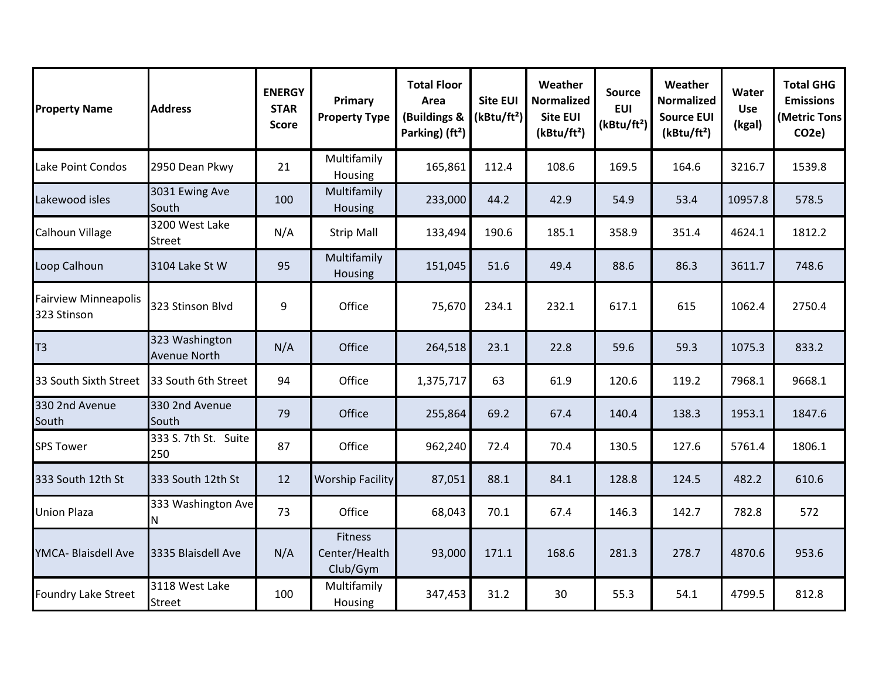| <b>Property Name</b>                       | <b>Address</b>                        | <b>ENERGY</b><br><b>STAR</b><br><b>Score</b> | Primary<br><b>Property Type</b>             | <b>Total Floor</b><br>Area<br>(Buildings &<br>Parking) (ft <sup>2</sup> ) | <b>Site EUI</b><br>(kBtu/ft <sup>2</sup> ) | Weather<br><b>Normalized</b><br><b>Site EUI</b><br>(kBtu/ft <sup>2</sup> ) | <b>Source</b><br><b>EUI</b><br>(kBtu/ft <sup>2</sup> ) | Weather<br><b>Normalized</b><br><b>Source EUI</b><br>(kBtu/ft <sup>2</sup> ) | Water<br><b>Use</b><br>(kgal) | <b>Total GHG</b><br><b>Emissions</b><br>(Metric Tons<br>CO <sub>2e</sub> |
|--------------------------------------------|---------------------------------------|----------------------------------------------|---------------------------------------------|---------------------------------------------------------------------------|--------------------------------------------|----------------------------------------------------------------------------|--------------------------------------------------------|------------------------------------------------------------------------------|-------------------------------|--------------------------------------------------------------------------|
| Lake Point Condos                          | 2950 Dean Pkwy                        | 21                                           | Multifamily<br>Housing                      | 165,861                                                                   | 112.4                                      | 108.6                                                                      | 169.5                                                  | 164.6                                                                        | 3216.7                        | 1539.8                                                                   |
| Lakewood isles                             | 3031 Ewing Ave<br>South               | 100                                          | Multifamily<br>Housing                      | 233,000                                                                   | 44.2                                       | 42.9                                                                       | 54.9                                                   | 53.4                                                                         | 10957.8                       | 578.5                                                                    |
| Calhoun Village                            | 3200 West Lake<br>Street              | N/A                                          | <b>Strip Mall</b>                           | 133,494                                                                   | 190.6                                      | 185.1                                                                      | 358.9                                                  | 351.4                                                                        | 4624.1                        | 1812.2                                                                   |
| Loop Calhoun                               | 3104 Lake St W                        | 95                                           | Multifamily<br>Housing                      | 151,045                                                                   | 51.6                                       | 49.4                                                                       | 88.6                                                   | 86.3                                                                         | 3611.7                        | 748.6                                                                    |
| <b>Fairview Minneapolis</b><br>323 Stinson | 323 Stinson Blvd                      | 9                                            | Office                                      | 75,670                                                                    | 234.1                                      | 232.1                                                                      | 617.1                                                  | 615                                                                          | 1062.4                        | 2750.4                                                                   |
| T3                                         | 323 Washington<br><b>Avenue North</b> | N/A                                          | Office                                      | 264,518                                                                   | 23.1                                       | 22.8                                                                       | 59.6                                                   | 59.3                                                                         | 1075.3                        | 833.2                                                                    |
| 33 South Sixth Street                      | 33 South 6th Street                   | 94                                           | Office                                      | 1,375,717                                                                 | 63                                         | 61.9                                                                       | 120.6                                                  | 119.2                                                                        | 7968.1                        | 9668.1                                                                   |
| 330 2nd Avenue<br>South                    | 330 2nd Avenue<br>South               | 79                                           | Office                                      | 255,864                                                                   | 69.2                                       | 67.4                                                                       | 140.4                                                  | 138.3                                                                        | 1953.1                        | 1847.6                                                                   |
| <b>SPS Tower</b>                           | 333 S. 7th St. Suite<br>250           | 87                                           | Office                                      | 962,240                                                                   | 72.4                                       | 70.4                                                                       | 130.5                                                  | 127.6                                                                        | 5761.4                        | 1806.1                                                                   |
| 333 South 12th St                          | 333 South 12th St                     | 12                                           | <b>Worship Facility</b>                     | 87,051                                                                    | 88.1                                       | 84.1                                                                       | 128.8                                                  | 124.5                                                                        | 482.2                         | 610.6                                                                    |
| <b>Union Plaza</b>                         | 333 Washington Ave<br>Ν               | 73                                           | Office                                      | 68,043                                                                    | 70.1                                       | 67.4                                                                       | 146.3                                                  | 142.7                                                                        | 782.8                         | 572                                                                      |
| YMCA- Blaisdell Ave                        | 3335 Blaisdell Ave                    | N/A                                          | <b>Fitness</b><br>Center/Health<br>Club/Gym | 93,000                                                                    | 171.1                                      | 168.6                                                                      | 281.3                                                  | 278.7                                                                        | 4870.6                        | 953.6                                                                    |
| Foundry Lake Street                        | 3118 West Lake<br><b>Street</b>       | 100                                          | Multifamily<br>Housing                      | 347,453                                                                   | 31.2                                       | 30                                                                         | 55.3                                                   | 54.1                                                                         | 4799.5                        | 812.8                                                                    |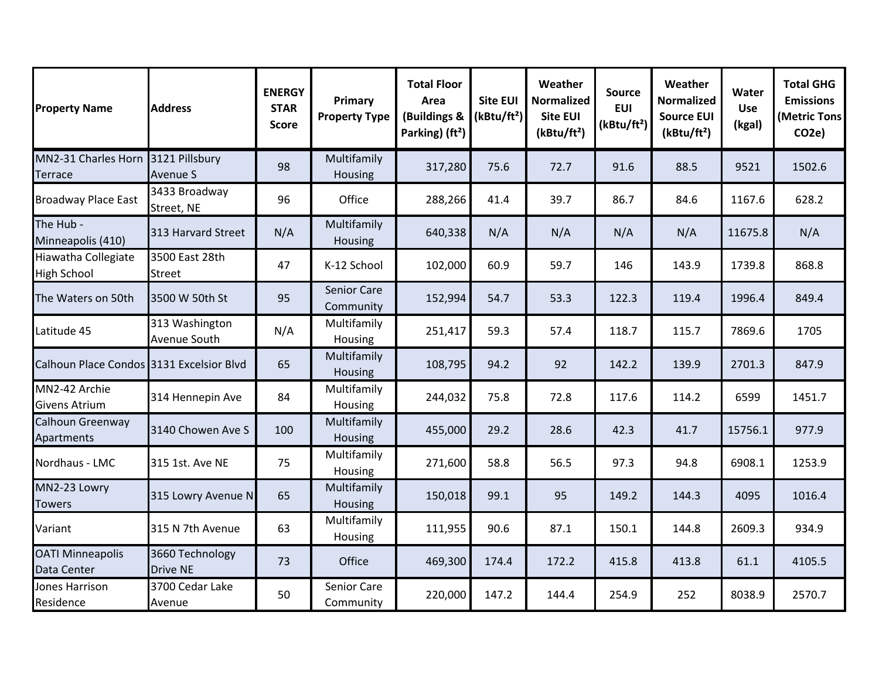| <b>Property Name</b>                      | <b>Address</b>                     | <b>ENERGY</b><br><b>STAR</b><br><b>Score</b> | Primary<br><b>Property Type</b> | <b>Total Floor</b><br>Area<br>(Buildings &<br>Parking) (ft <sup>2</sup> ) | <b>Site EUI</b><br>(kBtu/ft <sup>2</sup> ) | Weather<br><b>Normalized</b><br><b>Site EUI</b><br>(kBtu/ft <sup>2</sup> ) | <b>Source</b><br><b>EUI</b><br>(kBtu/ft <sup>2</sup> ) | Weather<br><b>Normalized</b><br><b>Source EUI</b><br>(kBtu/ft <sup>2</sup> ) | Water<br><b>Use</b><br>(kgal) | <b>Total GHG</b><br><b>Emissions</b><br>(Metric Tons<br>CO <sub>2</sub> e) |
|-------------------------------------------|------------------------------------|----------------------------------------------|---------------------------------|---------------------------------------------------------------------------|--------------------------------------------|----------------------------------------------------------------------------|--------------------------------------------------------|------------------------------------------------------------------------------|-------------------------------|----------------------------------------------------------------------------|
| MN2-31 Charles Horn<br>Terrace            | 3121 Pillsbury<br><b>Avenue S</b>  | 98                                           | Multifamily<br>Housing          | 317,280                                                                   | 75.6                                       | 72.7                                                                       | 91.6                                                   | 88.5                                                                         | 9521                          | 1502.6                                                                     |
| <b>Broadway Place East</b>                | 3433 Broadway<br>Street, NE        | 96                                           | Office                          | 288,266                                                                   | 41.4                                       | 39.7                                                                       | 86.7                                                   | 84.6                                                                         | 1167.6                        | 628.2                                                                      |
| The Hub -<br>Minneapolis (410)            | 313 Harvard Street                 | N/A                                          | Multifamily<br>Housing          | 640,338                                                                   | N/A                                        | N/A                                                                        | N/A                                                    | N/A                                                                          | 11675.8                       | N/A                                                                        |
| Hiawatha Collegiate<br><b>High School</b> | 3500 East 28th<br><b>Street</b>    | 47                                           | K-12 School                     | 102,000                                                                   | 60.9                                       | 59.7                                                                       | 146                                                    | 143.9                                                                        | 1739.8                        | 868.8                                                                      |
| The Waters on 50th                        | 3500 W 50th St                     | 95                                           | <b>Senior Care</b><br>Community | 152,994                                                                   | 54.7                                       | 53.3                                                                       | 122.3                                                  | 119.4                                                                        | 1996.4                        | 849.4                                                                      |
| Latitude 45                               | 313 Washington<br>Avenue South     | N/A                                          | Multifamily<br>Housing          | 251,417                                                                   | 59.3                                       | 57.4                                                                       | 118.7                                                  | 115.7                                                                        | 7869.6                        | 1705                                                                       |
| Calhoun Place Condos 3131 Excelsior Blvd  |                                    | 65                                           | Multifamily<br><b>Housing</b>   | 108,795                                                                   | 94.2                                       | 92                                                                         | 142.2                                                  | 139.9                                                                        | 2701.3                        | 847.9                                                                      |
| MN2-42 Archie<br><b>Givens Atrium</b>     | 314 Hennepin Ave                   | 84                                           | Multifamily<br>Housing          | 244,032                                                                   | 75.8                                       | 72.8                                                                       | 117.6                                                  | 114.2                                                                        | 6599                          | 1451.7                                                                     |
| Calhoun Greenway<br>Apartments            | 3140 Chowen Ave S                  | 100                                          | Multifamily<br><b>Housing</b>   | 455,000                                                                   | 29.2                                       | 28.6                                                                       | 42.3                                                   | 41.7                                                                         | 15756.1                       | 977.9                                                                      |
| Nordhaus - LMC                            | 315 1st. Ave NE                    | 75                                           | Multifamily<br>Housing          | 271,600                                                                   | 58.8                                       | 56.5                                                                       | 97.3                                                   | 94.8                                                                         | 6908.1                        | 1253.9                                                                     |
| MN2-23 Lowry<br><b>Towers</b>             | 315 Lowry Avenue N                 | 65                                           | Multifamily<br>Housing          | 150,018                                                                   | 99.1                                       | 95                                                                         | 149.2                                                  | 144.3                                                                        | 4095                          | 1016.4                                                                     |
| Variant                                   | 315 N 7th Avenue                   | 63                                           | Multifamily<br>Housing          | 111,955                                                                   | 90.6                                       | 87.1                                                                       | 150.1                                                  | 144.8                                                                        | 2609.3                        | 934.9                                                                      |
| <b>OATI Minneapolis</b><br>Data Center    | 3660 Technology<br><b>Drive NE</b> | 73                                           | Office                          | 469,300                                                                   | 174.4                                      | 172.2                                                                      | 415.8                                                  | 413.8                                                                        | 61.1                          | 4105.5                                                                     |
| Jones Harrison<br>Residence               | 3700 Cedar Lake<br>Avenue          | 50                                           | Senior Care<br>Community        | 220,000                                                                   | 147.2                                      | 144.4                                                                      | 254.9                                                  | 252                                                                          | 8038.9                        | 2570.7                                                                     |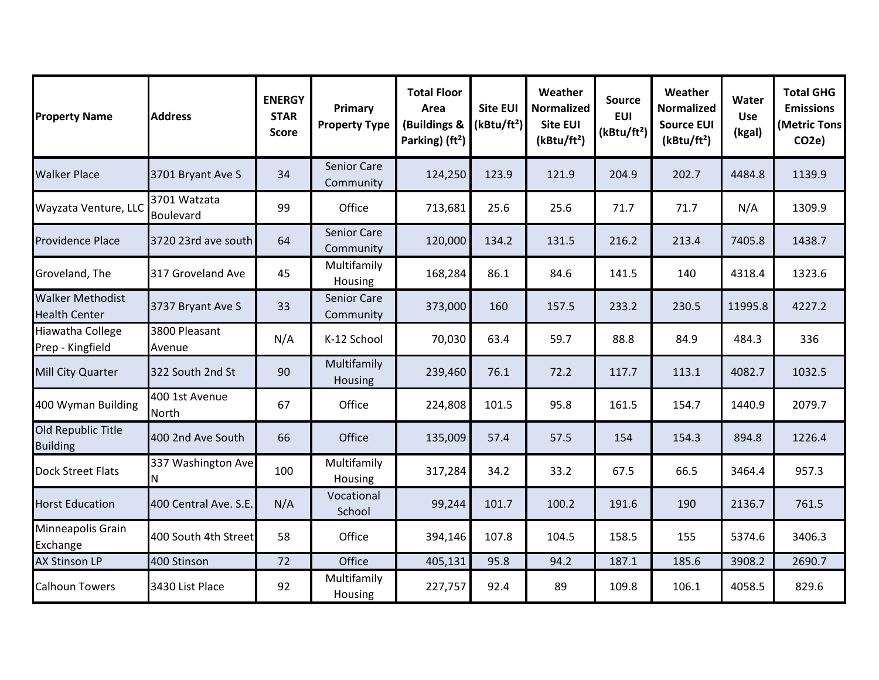| <b>Property Name</b>                            | <b>Address</b>                   | <b>ENERGY</b><br><b>STAR</b><br><b>Score</b> | Primary<br><b>Property Type</b> | <b>Total Floor</b><br>Area<br>(Buildings &<br>Parking) (ft <sup>2</sup> ) | <b>Site EUI</b><br>(kBtu/ft <sup>2</sup> ) | Weather<br><b>Normalized</b><br><b>Site EUI</b><br>(kBtu/ft <sup>2</sup> ) | <b>Source</b><br><b>EUI</b><br>(kBtu/ft <sup>2</sup> ) | Weather<br><b>Normalized</b><br><b>Source EUI</b><br>(kBtu/ft <sup>2</sup> ) | Water<br><b>Use</b><br>(kgal) | <b>Total GHG</b><br><b>Emissions</b><br>(Metric Tons<br>CO <sub>2</sub> e) |
|-------------------------------------------------|----------------------------------|----------------------------------------------|---------------------------------|---------------------------------------------------------------------------|--------------------------------------------|----------------------------------------------------------------------------|--------------------------------------------------------|------------------------------------------------------------------------------|-------------------------------|----------------------------------------------------------------------------|
| <b>Walker Place</b>                             | 3701 Bryant Ave S                | 34                                           | Senior Care<br>Community        | 124,250                                                                   | 123.9                                      | 121.9                                                                      | 204.9                                                  | 202.7                                                                        | 4484.8                        | 1139.9                                                                     |
| Wayzata Venture, LLC                            | 3701 Watzata<br><b>Boulevard</b> | 99                                           | Office                          | 713,681                                                                   | 25.6                                       | 25.6                                                                       | 71.7                                                   | 71.7                                                                         | N/A                           | 1309.9                                                                     |
| <b>Providence Place</b>                         | 3720 23rd ave south              | 64                                           | <b>Senior Care</b><br>Community | 120,000                                                                   | 134.2                                      | 131.5                                                                      | 216.2                                                  | 213.4                                                                        | 7405.8                        | 1438.7                                                                     |
| Groveland, The                                  | 317 Groveland Ave                | 45                                           | Multifamily<br>Housing          | 168,284                                                                   | 86.1                                       | 84.6                                                                       | 141.5                                                  | 140                                                                          | 4318.4                        | 1323.6                                                                     |
| <b>Walker Methodist</b><br><b>Health Center</b> | 3737 Bryant Ave S                | 33                                           | Senior Care<br>Community        | 373,000                                                                   | 160                                        | 157.5                                                                      | 233.2                                                  | 230.5                                                                        | 11995.8                       | 4227.2                                                                     |
| Hiawatha College<br>Prep - Kingfield            | 3800 Pleasant<br>Avenue          | N/A                                          | K-12 School                     | 70,030                                                                    | 63.4                                       | 59.7                                                                       | 88.8                                                   | 84.9                                                                         | 484.3                         | 336                                                                        |
| Mill City Quarter                               | 322 South 2nd St                 | 90                                           | Multifamily<br>Housing          | 239,460                                                                   | 76.1                                       | 72.2                                                                       | 117.7                                                  | 113.1                                                                        | 4082.7                        | 1032.5                                                                     |
| 400 Wyman Building                              | 400 1st Avenue<br>North          | 67                                           | Office                          | 224,808                                                                   | 101.5                                      | 95.8                                                                       | 161.5                                                  | 154.7                                                                        | 1440.9                        | 2079.7                                                                     |
| Old Republic Title<br><b>Building</b>           | 400 2nd Ave South                | 66                                           | Office                          | 135,009                                                                   | 57.4                                       | 57.5                                                                       | 154                                                    | 154.3                                                                        | 894.8                         | 1226.4                                                                     |
| <b>Dock Street Flats</b>                        | 337 Washington Ave<br>ΙN         | 100                                          | Multifamily<br>Housing          | 317,284                                                                   | 34.2                                       | 33.2                                                                       | 67.5                                                   | 66.5                                                                         | 3464.4                        | 957.3                                                                      |
| <b>Horst Education</b>                          | 400 Central Ave. S.E.            | N/A                                          | Vocational<br>School            | 99,244                                                                    | 101.7                                      | 100.2                                                                      | 191.6                                                  | 190                                                                          | 2136.7                        | 761.5                                                                      |
| Minneapolis Grain<br>Exchange                   | 400 South 4th Street             | 58                                           | Office                          | 394,146                                                                   | 107.8                                      | 104.5                                                                      | 158.5                                                  | 155                                                                          | 5374.6                        | 3406.3                                                                     |
| <b>AX Stinson LP</b>                            | 400 Stinson                      | 72                                           | Office                          | 405,131                                                                   | 95.8                                       | 94.2                                                                       | 187.1                                                  | 185.6                                                                        | 3908.2                        | 2690.7                                                                     |
| <b>Calhoun Towers</b>                           | 3430 List Place                  | 92                                           | Multifamily<br>Housing          | 227,757                                                                   | 92.4                                       | 89                                                                         | 109.8                                                  | 106.1                                                                        | 4058.5                        | 829.6                                                                      |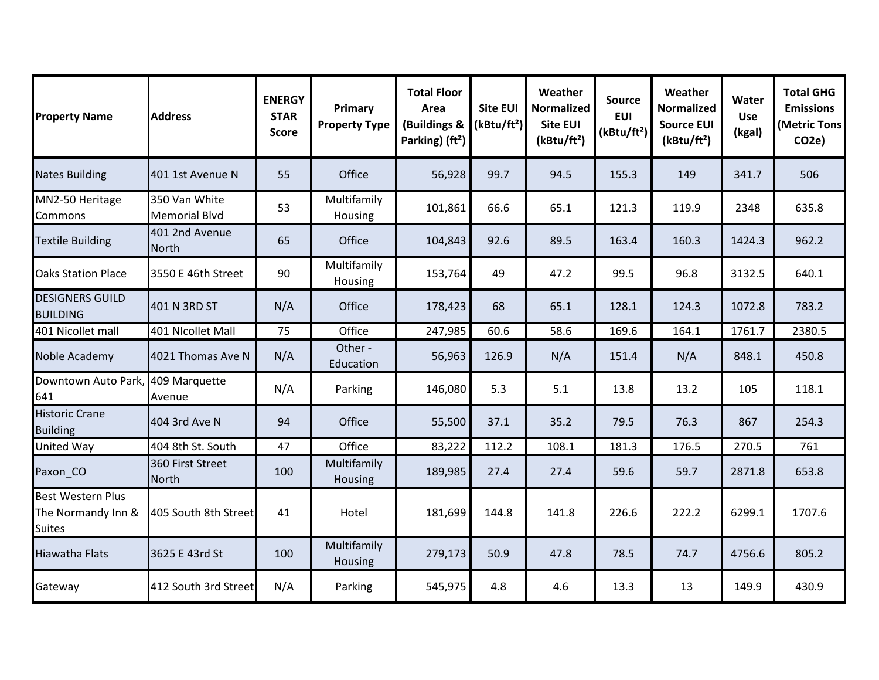| <b>Property Name</b>                                            | <b>Address</b>                        | <b>ENERGY</b><br><b>STAR</b><br><b>Score</b> | Primary<br><b>Property Type</b> | <b>Total Floor</b><br>Area<br>(Buildings &<br>Parking) (ft <sup>2</sup> ) | <b>Site EUI</b><br>(kBtu/ft <sup>2</sup> ) | Weather<br><b>Normalized</b><br>Site EUI<br>(kBtu/ft <sup>2</sup> ) | <b>Source</b><br><b>EUI</b><br>(kBtu/ft <sup>2</sup> ) | Weather<br><b>Normalized</b><br><b>Source EUI</b><br>(kBtu/ft <sup>2</sup> ) | Water<br><b>Use</b><br>(kgal) | <b>Total GHG</b><br><b>Emissions</b><br>(Metric Tons<br>CO <sub>2e</sub> ) |
|-----------------------------------------------------------------|---------------------------------------|----------------------------------------------|---------------------------------|---------------------------------------------------------------------------|--------------------------------------------|---------------------------------------------------------------------|--------------------------------------------------------|------------------------------------------------------------------------------|-------------------------------|----------------------------------------------------------------------------|
| <b>Nates Building</b>                                           | 401 1st Avenue N                      | 55                                           | Office                          | 56,928                                                                    | 99.7                                       | 94.5                                                                | 155.3                                                  | 149                                                                          | 341.7                         | 506                                                                        |
| MN2-50 Heritage<br>Commons                                      | 350 Van White<br><b>Memorial Blvd</b> | 53                                           | Multifamily<br>Housing          | 101,861                                                                   | 66.6                                       | 65.1                                                                | 121.3                                                  | 119.9                                                                        | 2348                          | 635.8                                                                      |
| <b>Textile Building</b>                                         | 401 2nd Avenue<br><b>North</b>        | 65                                           | Office                          | 104,843                                                                   | 92.6                                       | 89.5                                                                | 163.4                                                  | 160.3                                                                        | 1424.3                        | 962.2                                                                      |
| <b>Oaks Station Place</b>                                       | 3550 E 46th Street                    | 90                                           | Multifamily<br>Housing          | 153,764                                                                   | 49                                         | 47.2                                                                | 99.5                                                   | 96.8                                                                         | 3132.5                        | 640.1                                                                      |
| <b>DESIGNERS GUILD</b><br><b>BUILDING</b>                       | 401 N 3RD ST                          | N/A                                          | Office                          | 178,423                                                                   | 68                                         | 65.1                                                                | 128.1                                                  | 124.3                                                                        | 1072.8                        | 783.2                                                                      |
| 401 Nicollet mall                                               | 401 Nicollet Mall                     | 75                                           | Office                          | 247,985                                                                   | 60.6                                       | 58.6                                                                | 169.6                                                  | 164.1                                                                        | 1761.7                        | 2380.5                                                                     |
| Noble Academy                                                   | 4021 Thomas Ave N                     | N/A                                          | Other -<br>Education            | 56,963                                                                    | 126.9                                      | N/A                                                                 | 151.4                                                  | N/A                                                                          | 848.1                         | 450.8                                                                      |
| Downtown Auto Park,<br>641                                      | 409 Marquette<br>Avenue               | N/A                                          | Parking                         | 146,080                                                                   | 5.3                                        | 5.1                                                                 | 13.8                                                   | 13.2                                                                         | 105                           | 118.1                                                                      |
| <b>Historic Crane</b><br><b>Building</b>                        | 404 3rd Ave N                         | 94                                           | Office                          | 55,500                                                                    | 37.1                                       | 35.2                                                                | 79.5                                                   | 76.3                                                                         | 867                           | 254.3                                                                      |
| <b>United Way</b>                                               | 404 8th St. South                     | 47                                           | Office                          | 83,222                                                                    | 112.2                                      | 108.1                                                               | 181.3                                                  | 176.5                                                                        | 270.5                         | 761                                                                        |
| Paxon_CO                                                        | 360 First Street<br><b>North</b>      | 100                                          | Multifamily<br>Housing          | 189,985                                                                   | 27.4                                       | 27.4                                                                | 59.6                                                   | 59.7                                                                         | 2871.8                        | 653.8                                                                      |
| <b>Best Western Plus</b><br>The Normandy Inn &<br><b>Suites</b> | 405 South 8th Street                  | 41                                           | Hotel                           | 181,699                                                                   | 144.8                                      | 141.8                                                               | 226.6                                                  | 222.2                                                                        | 6299.1                        | 1707.6                                                                     |
| <b>Hiawatha Flats</b>                                           | 3625 E 43rd St                        | 100                                          | Multifamily<br>Housing          | 279,173                                                                   | 50.9                                       | 47.8                                                                | 78.5                                                   | 74.7                                                                         | 4756.6                        | 805.2                                                                      |
| Gateway                                                         | 412 South 3rd Street                  | N/A                                          | Parking                         | 545,975                                                                   | 4.8                                        | 4.6                                                                 | 13.3                                                   | 13                                                                           | 149.9                         | 430.9                                                                      |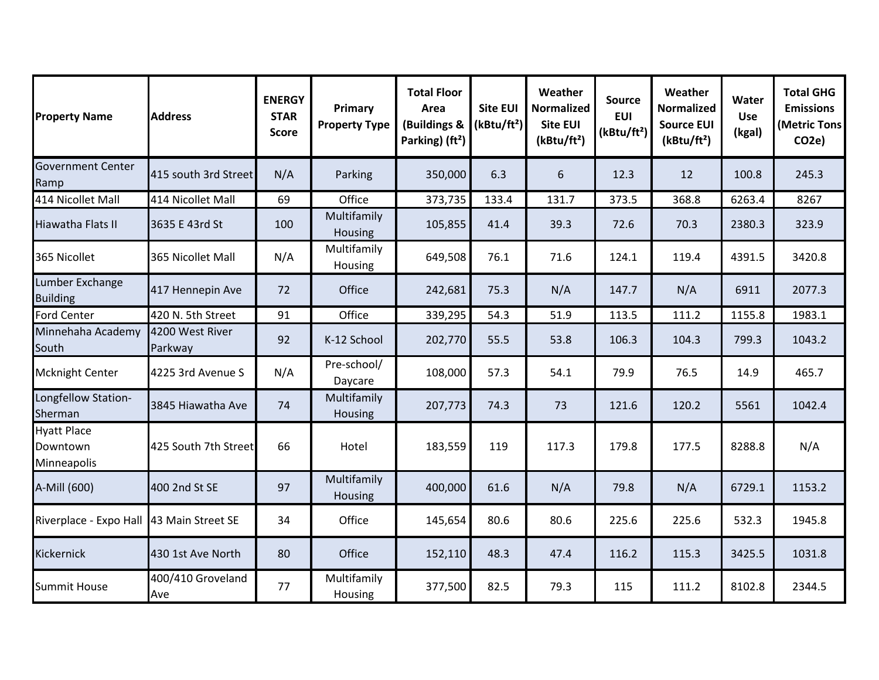| <b>Property Name</b>                          | <b>Address</b>             | <b>ENERGY</b><br><b>STAR</b><br><b>Score</b> | Primary<br><b>Property Type</b> | <b>Total Floor</b><br>Area<br>(Buildings &<br>Parking) (ft <sup>2</sup> ) | <b>Site EUI</b><br>(kBtu/ft <sup>2</sup> ) | Weather<br>Normalized<br><b>Site EUI</b><br>(kBtu/ft <sup>2</sup> ) | <b>Source</b><br><b>EUI</b><br>(kBtu/ft <sup>2</sup> ) | Weather<br><b>Normalized</b><br><b>Source EUI</b><br>(kBtu/ft <sup>2</sup> ) | Water<br><b>Use</b><br>(kgal) | <b>Total GHG</b><br><b>Emissions</b><br>(Metric Tons<br>CO <sub>2</sub> e) |
|-----------------------------------------------|----------------------------|----------------------------------------------|---------------------------------|---------------------------------------------------------------------------|--------------------------------------------|---------------------------------------------------------------------|--------------------------------------------------------|------------------------------------------------------------------------------|-------------------------------|----------------------------------------------------------------------------|
| <b>Government Center</b><br>Ramp              | 415 south 3rd Street       | N/A                                          | Parking                         | 350,000                                                                   | 6.3                                        | 6                                                                   | 12.3                                                   | 12                                                                           | 100.8                         | 245.3                                                                      |
| 414 Nicollet Mall                             | 414 Nicollet Mall          | 69                                           | Office                          | 373,735                                                                   | 133.4                                      | 131.7                                                               | 373.5                                                  | 368.8                                                                        | 6263.4                        | 8267                                                                       |
| Hiawatha Flats II                             | 3635 E 43rd St             | 100                                          | Multifamily<br>Housing          | 105,855                                                                   | 41.4                                       | 39.3                                                                | 72.6                                                   | 70.3                                                                         | 2380.3                        | 323.9                                                                      |
| 365 Nicollet                                  | 365 Nicollet Mall          | N/A                                          | Multifamily<br>Housing          | 649,508                                                                   | 76.1                                       | 71.6                                                                | 124.1                                                  | 119.4                                                                        | 4391.5                        | 3420.8                                                                     |
| Lumber Exchange<br><b>Building</b>            | 417 Hennepin Ave           | 72                                           | Office                          | 242,681                                                                   | 75.3                                       | N/A                                                                 | 147.7                                                  | N/A                                                                          | 6911                          | 2077.3                                                                     |
| <b>Ford Center</b>                            | 420 N. 5th Street          | 91                                           | Office                          | 339,295                                                                   | 54.3                                       | 51.9                                                                | 113.5                                                  | 111.2                                                                        | 1155.8                        | 1983.1                                                                     |
| Minnehaha Academy<br>South                    | 4200 West River<br>Parkway | 92                                           | K-12 School                     | 202,770                                                                   | 55.5                                       | 53.8                                                                | 106.3                                                  | 104.3                                                                        | 799.3                         | 1043.2                                                                     |
| Mcknight Center                               | 4225 3rd Avenue S          | N/A                                          | Pre-school/<br>Daycare          | 108,000                                                                   | 57.3                                       | 54.1                                                                | 79.9                                                   | 76.5                                                                         | 14.9                          | 465.7                                                                      |
| Longfellow Station-<br>Sherman                | 3845 Hiawatha Ave          | 74                                           | Multifamily<br>Housing          | 207,773                                                                   | 74.3                                       | 73                                                                  | 121.6                                                  | 120.2                                                                        | 5561                          | 1042.4                                                                     |
| <b>Hyatt Place</b><br>Downtown<br>Minneapolis | 425 South 7th Street       | 66                                           | Hotel                           | 183,559                                                                   | 119                                        | 117.3                                                               | 179.8                                                  | 177.5                                                                        | 8288.8                        | N/A                                                                        |
| A-Mill (600)                                  | 400 2nd St SE              | 97                                           | Multifamily<br>Housing          | 400,000                                                                   | 61.6                                       | N/A                                                                 | 79.8                                                   | N/A                                                                          | 6729.1                        | 1153.2                                                                     |
| Riverplace - Expo Hall 43 Main Street SE      |                            | 34                                           | Office                          | 145,654                                                                   | 80.6                                       | 80.6                                                                | 225.6                                                  | 225.6                                                                        | 532.3                         | 1945.8                                                                     |
| Kickernick                                    | 430 1st Ave North          | 80                                           | Office                          | 152,110                                                                   | 48.3                                       | 47.4                                                                | 116.2                                                  | 115.3                                                                        | 3425.5                        | 1031.8                                                                     |
| <b>Summit House</b>                           | 400/410 Groveland<br>Ave   | 77                                           | Multifamily<br>Housing          | 377,500                                                                   | 82.5                                       | 79.3                                                                | 115                                                    | 111.2                                                                        | 8102.8                        | 2344.5                                                                     |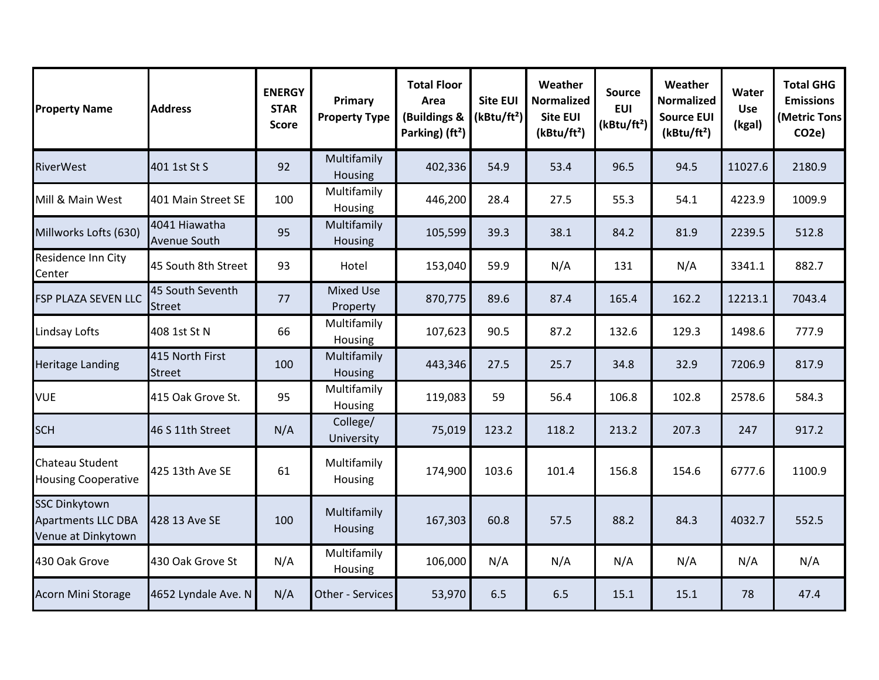| <b>Property Name</b>                                                    | <b>Address</b>                    | <b>ENERGY</b><br><b>STAR</b><br><b>Score</b> | Primary<br><b>Property Type</b> | <b>Total Floor</b><br>Area<br>(Buildings &<br>Parking) (ft <sup>2</sup> ) | <b>Site EUI</b><br>(kBtu/ft <sup>2</sup> ) | Weather<br><b>Normalized</b><br><b>Site EUI</b><br>(kBtu/ft <sup>2</sup> ) | Source<br><b>EUI</b><br>(kBtu/ft <sup>2</sup> ) | Weather<br><b>Normalized</b><br><b>Source EUI</b><br>(kBtu/ft <sup>2</sup> ) | Water<br><b>Use</b><br>(kgal) | <b>Total GHG</b><br><b>Emissions</b><br>(Metric Tons<br>CO <sub>2</sub> e) |
|-------------------------------------------------------------------------|-----------------------------------|----------------------------------------------|---------------------------------|---------------------------------------------------------------------------|--------------------------------------------|----------------------------------------------------------------------------|-------------------------------------------------|------------------------------------------------------------------------------|-------------------------------|----------------------------------------------------------------------------|
| <b>RiverWest</b>                                                        | 401 1st St S                      | 92                                           | Multifamily<br>Housing          | 402,336                                                                   | 54.9                                       | 53.4                                                                       | 96.5                                            | 94.5                                                                         | 11027.6                       | 2180.9                                                                     |
| Mill & Main West                                                        | 401 Main Street SE                | 100                                          | Multifamily<br>Housing          | 446,200                                                                   | 28.4                                       | 27.5                                                                       | 55.3                                            | 54.1                                                                         | 4223.9                        | 1009.9                                                                     |
| Millworks Lofts (630)                                                   | 4041 Hiawatha<br>Avenue South     | 95                                           | Multifamily<br>Housing          | 105,599                                                                   | 39.3                                       | 38.1                                                                       | 84.2                                            | 81.9                                                                         | 2239.5                        | 512.8                                                                      |
| Residence Inn City<br>Center                                            | 45 South 8th Street               | 93                                           | Hotel                           | 153,040                                                                   | 59.9                                       | N/A                                                                        | 131                                             | N/A                                                                          | 3341.1                        | 882.7                                                                      |
| <b>FSP PLAZA SEVEN LLC</b>                                              | 45 South Seventh<br><b>Street</b> | 77                                           | <b>Mixed Use</b><br>Property    | 870,775                                                                   | 89.6                                       | 87.4                                                                       | 165.4                                           | 162.2                                                                        | 12213.1                       | 7043.4                                                                     |
| Lindsay Lofts                                                           | 408 1st St N                      | 66                                           | Multifamily<br>Housing          | 107,623                                                                   | 90.5                                       | 87.2                                                                       | 132.6                                           | 129.3                                                                        | 1498.6                        | 777.9                                                                      |
| <b>Heritage Landing</b>                                                 | 415 North First<br><b>Street</b>  | 100                                          | Multifamily<br>Housing          | 443,346                                                                   | 27.5                                       | 25.7                                                                       | 34.8                                            | 32.9                                                                         | 7206.9                        | 817.9                                                                      |
| <b>VUE</b>                                                              | 415 Oak Grove St.                 | 95                                           | Multifamily<br>Housing          | 119,083                                                                   | 59                                         | 56.4                                                                       | 106.8                                           | 102.8                                                                        | 2578.6                        | 584.3                                                                      |
| <b>SCH</b>                                                              | 46 S 11th Street                  | N/A                                          | College/<br>University          | 75,019                                                                    | 123.2                                      | 118.2                                                                      | 213.2                                           | 207.3                                                                        | 247                           | 917.2                                                                      |
| <b>Chateau Student</b><br><b>Housing Cooperative</b>                    | 425 13th Ave SE                   | 61                                           | Multifamily<br>Housing          | 174,900                                                                   | 103.6                                      | 101.4                                                                      | 156.8                                           | 154.6                                                                        | 6777.6                        | 1100.9                                                                     |
| <b>SSC Dinkytown</b><br><b>Apartments LLC DBA</b><br>Venue at Dinkytown | 428 13 Ave SE                     | 100                                          | Multifamily<br>Housing          | 167,303                                                                   | 60.8                                       | 57.5                                                                       | 88.2                                            | 84.3                                                                         | 4032.7                        | 552.5                                                                      |
| 430 Oak Grove                                                           | 430 Oak Grove St                  | N/A                                          | Multifamily<br>Housing          | 106,000                                                                   | N/A                                        | N/A                                                                        | N/A                                             | N/A                                                                          | N/A                           | N/A                                                                        |
| Acorn Mini Storage                                                      | 4652 Lyndale Ave. N               | N/A                                          | Other - Services                | 53,970                                                                    | 6.5                                        | 6.5                                                                        | 15.1                                            | 15.1                                                                         | 78                            | 47.4                                                                       |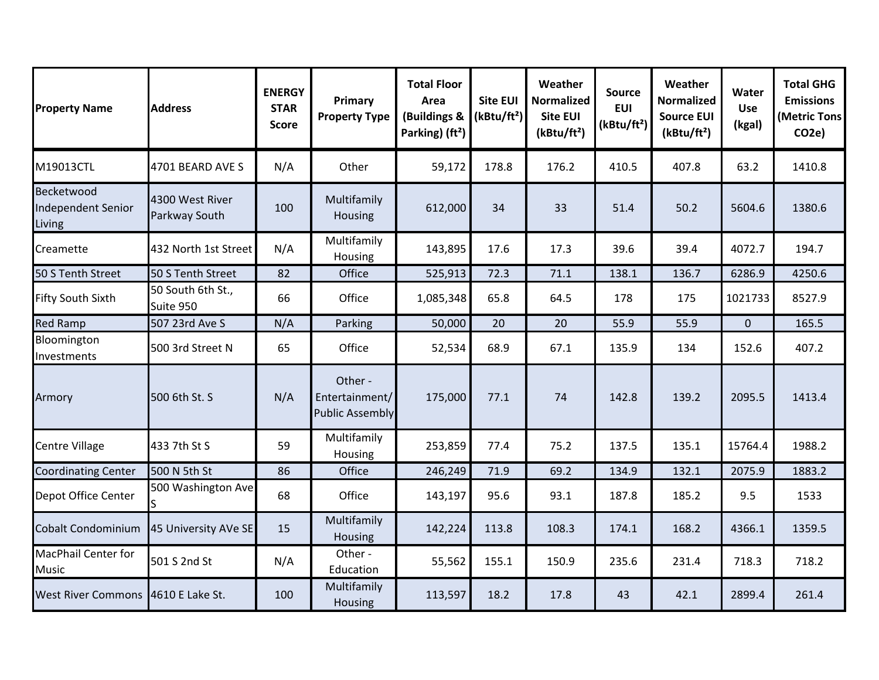| <b>Property Name</b>                       | <b>Address</b>                   | <b>ENERGY</b><br><b>STAR</b><br><b>Score</b> | Primary<br><b>Property Type</b>                     | <b>Total Floor</b><br>Area<br>(Buildings &<br>Parking) (ft <sup>2</sup> ) | <b>Site EUI</b><br>(kBtu/ft <sup>2</sup> ) | Weather<br><b>Normalized</b><br><b>Site EUI</b><br>(kBtu/ft <sup>2</sup> ) | <b>Source</b><br><b>EUI</b><br>(kBtu/ft <sup>2</sup> ) | Weather<br><b>Normalized</b><br><b>Source EUI</b><br>(kBtu/ft <sup>2</sup> ) | Water<br>Use<br>(kgal) | <b>Total GHG</b><br><b>Emissions</b><br>(Metric Tons<br>CO <sub>2e</sub> ) |
|--------------------------------------------|----------------------------------|----------------------------------------------|-----------------------------------------------------|---------------------------------------------------------------------------|--------------------------------------------|----------------------------------------------------------------------------|--------------------------------------------------------|------------------------------------------------------------------------------|------------------------|----------------------------------------------------------------------------|
| M19013CTL                                  | 4701 BEARD AVE S                 | N/A                                          | Other                                               | 59,172                                                                    | 178.8                                      | 176.2                                                                      | 410.5                                                  | 407.8                                                                        | 63.2                   | 1410.8                                                                     |
| Becketwood<br>Independent Senior<br>Living | 4300 West River<br>Parkway South | 100                                          | Multifamily<br>Housing                              | 612,000                                                                   | 34                                         | 33                                                                         | 51.4                                                   | 50.2                                                                         | 5604.6                 | 1380.6                                                                     |
| Creamette                                  | 432 North 1st Street             | N/A                                          | Multifamily<br>Housing                              | 143,895                                                                   | 17.6                                       | 17.3                                                                       | 39.6                                                   | 39.4                                                                         | 4072.7                 | 194.7                                                                      |
| 50 S Tenth Street                          | 50 S Tenth Street                | 82                                           | Office                                              | 525,913                                                                   | 72.3                                       | 71.1                                                                       | 138.1                                                  | 136.7                                                                        | 6286.9                 | 4250.6                                                                     |
| Fifty South Sixth                          | 50 South 6th St.,<br>Suite 950   | 66                                           | Office                                              | 1,085,348                                                                 | 65.8                                       | 64.5                                                                       | 178                                                    | 175                                                                          | 1021733                | 8527.9                                                                     |
| <b>Red Ramp</b>                            | 507 23rd Ave S                   | N/A                                          | Parking                                             | 50,000                                                                    | 20                                         | 20                                                                         | 55.9                                                   | 55.9                                                                         | $\mathbf 0$            | 165.5                                                                      |
| Bloomington<br>Investments                 | 500 3rd Street N                 | 65                                           | Office                                              | 52,534                                                                    | 68.9                                       | 67.1                                                                       | 135.9                                                  | 134                                                                          | 152.6                  | 407.2                                                                      |
| Armory                                     | 500 6th St. S                    | N/A                                          | Other -<br>Entertainment/<br><b>Public Assembly</b> | 175,000                                                                   | 77.1                                       | 74                                                                         | 142.8                                                  | 139.2                                                                        | 2095.5                 | 1413.4                                                                     |
| <b>Centre Village</b>                      | 433 7th St S                     | 59                                           | Multifamily<br>Housing                              | 253,859                                                                   | 77.4                                       | 75.2                                                                       | 137.5                                                  | 135.1                                                                        | 15764.4                | 1988.2                                                                     |
| <b>Coordinating Center</b>                 | 500 N 5th St                     | 86                                           | Office                                              | 246,249                                                                   | 71.9                                       | 69.2                                                                       | 134.9                                                  | 132.1                                                                        | 2075.9                 | 1883.2                                                                     |
| Depot Office Center                        | 500 Washington Ave<br>S          | 68                                           | Office                                              | 143,197                                                                   | 95.6                                       | 93.1                                                                       | 187.8                                                  | 185.2                                                                        | 9.5                    | 1533                                                                       |
| Cobalt Condominium                         | 45 University AVe SE             | 15                                           | Multifamily<br>Housing                              | 142,224                                                                   | 113.8                                      | 108.3                                                                      | 174.1                                                  | 168.2                                                                        | 4366.1                 | 1359.5                                                                     |
| <b>MacPhail Center for</b><br><b>Music</b> | 501 S 2nd St                     | N/A                                          | Other -<br>Education                                | 55,562                                                                    | 155.1                                      | 150.9                                                                      | 235.6                                                  | 231.4                                                                        | 718.3                  | 718.2                                                                      |
| <b>West River Commons</b>                  | 4610 E Lake St.                  | 100                                          | Multifamily<br>Housing                              | 113,597                                                                   | 18.2                                       | 17.8                                                                       | 43                                                     | 42.1                                                                         | 2899.4                 | 261.4                                                                      |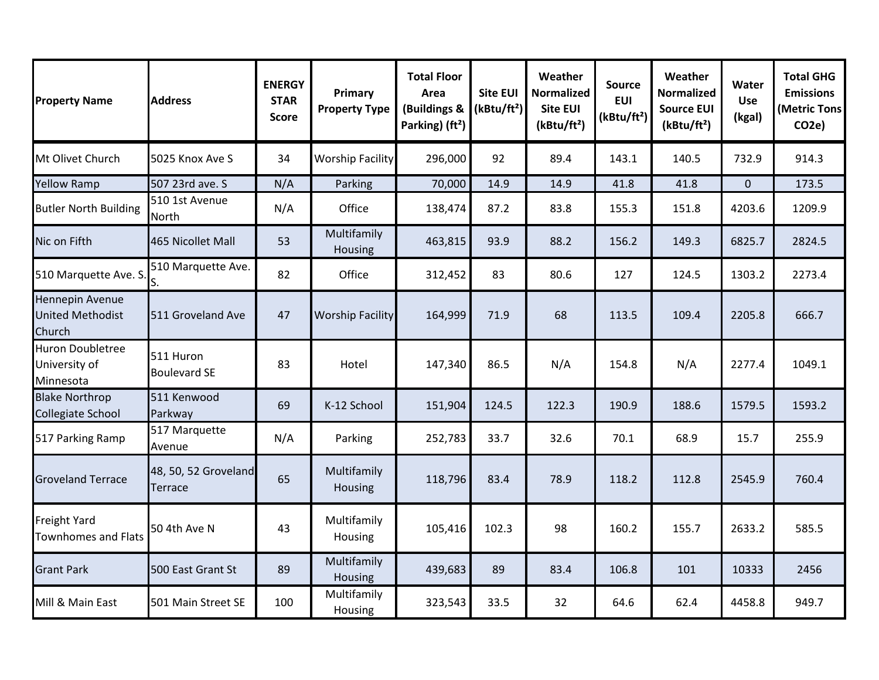| <b>Property Name</b>                                  | <b>Address</b>                   | <b>ENERGY</b><br><b>STAR</b><br><b>Score</b> | Primary<br><b>Property Type</b> | <b>Total Floor</b><br>Area<br>(Buildings &<br>Parking) (ft <sup>2</sup> ) | <b>Site EUI</b><br>(kBtu/ft <sup>2</sup> ) | Weather<br><b>Normalized</b><br>Site EUI<br>(kBtu/ft <sup>2</sup> ) | <b>Source</b><br><b>EUI</b><br>(kBtu/ft <sup>2</sup> ) | Weather<br><b>Normalized</b><br><b>Source EUI</b><br>(kBtu/ft <sup>2</sup> ) | Water<br>Use<br>(kgal) | <b>Total GHG</b><br><b>Emissions</b><br>(Metric Tons<br>CO <sub>2e</sub> |
|-------------------------------------------------------|----------------------------------|----------------------------------------------|---------------------------------|---------------------------------------------------------------------------|--------------------------------------------|---------------------------------------------------------------------|--------------------------------------------------------|------------------------------------------------------------------------------|------------------------|--------------------------------------------------------------------------|
| Mt Olivet Church                                      | 5025 Knox Ave S                  | 34                                           | <b>Worship Facility</b>         | 296,000                                                                   | 92                                         | 89.4                                                                | 143.1                                                  | 140.5                                                                        | 732.9                  | 914.3                                                                    |
| <b>Yellow Ramp</b>                                    | 507 23rd ave. S                  | N/A                                          | Parking                         | 70,000                                                                    | 14.9                                       | 14.9                                                                | 41.8                                                   | 41.8                                                                         | $\pmb{0}$              | 173.5                                                                    |
| <b>Butler North Building</b>                          | 510 1st Avenue<br>North          | N/A                                          | Office                          | 138,474                                                                   | 87.2                                       | 83.8                                                                | 155.3                                                  | 151.8                                                                        | 4203.6                 | 1209.9                                                                   |
| Nic on Fifth                                          | 465 Nicollet Mall                | 53                                           | Multifamily<br>Housing          | 463,815                                                                   | 93.9                                       | 88.2                                                                | 156.2                                                  | 149.3                                                                        | 6825.7                 | 2824.5                                                                   |
| 510 Marquette Ave. S                                  | 510 Marquette Ave.<br>S.         | 82                                           | Office                          | 312,452                                                                   | 83                                         | 80.6                                                                | 127                                                    | 124.5                                                                        | 1303.2                 | 2273.4                                                                   |
| Hennepin Avenue<br>United Methodist<br>Church         | 511 Groveland Ave                | 47                                           | <b>Worship Facility</b>         | 164,999                                                                   | 71.9                                       | 68                                                                  | 113.5                                                  | 109.4                                                                        | 2205.8                 | 666.7                                                                    |
| <b>Huron Doubletree</b><br>University of<br>Minnesota | 511 Huron<br><b>Boulevard SE</b> | 83                                           | Hotel                           | 147,340                                                                   | 86.5                                       | N/A                                                                 | 154.8                                                  | N/A                                                                          | 2277.4                 | 1049.1                                                                   |
| <b>Blake Northrop</b><br>Collegiate School            | 511 Kenwood<br>Parkway           | 69                                           | K-12 School                     | 151,904                                                                   | 124.5                                      | 122.3                                                               | 190.9                                                  | 188.6                                                                        | 1579.5                 | 1593.2                                                                   |
| 517 Parking Ramp                                      | 517 Marquette<br>Avenue          | N/A                                          | Parking                         | 252,783                                                                   | 33.7                                       | 32.6                                                                | 70.1                                                   | 68.9                                                                         | 15.7                   | 255.9                                                                    |
| <b>Groveland Terrace</b>                              | 48, 50, 52 Groveland<br>Terrace  | 65                                           | Multifamily<br>Housing          | 118,796                                                                   | 83.4                                       | 78.9                                                                | 118.2                                                  | 112.8                                                                        | 2545.9                 | 760.4                                                                    |
| <b>Freight Yard</b><br><b>Townhomes and Flats</b>     | 50 4th Ave N                     | 43                                           | Multifamily<br>Housing          | 105,416                                                                   | 102.3                                      | 98                                                                  | 160.2                                                  | 155.7                                                                        | 2633.2                 | 585.5                                                                    |
| <b>Grant Park</b>                                     | 500 East Grant St                | 89                                           | Multifamily<br>Housing          | 439,683                                                                   | 89                                         | 83.4                                                                | 106.8                                                  | 101                                                                          | 10333                  | 2456                                                                     |
| Mill & Main East                                      | 501 Main Street SE               | 100                                          | Multifamily<br>Housing          | 323,543                                                                   | 33.5                                       | 32                                                                  | 64.6                                                   | 62.4                                                                         | 4458.8                 | 949.7                                                                    |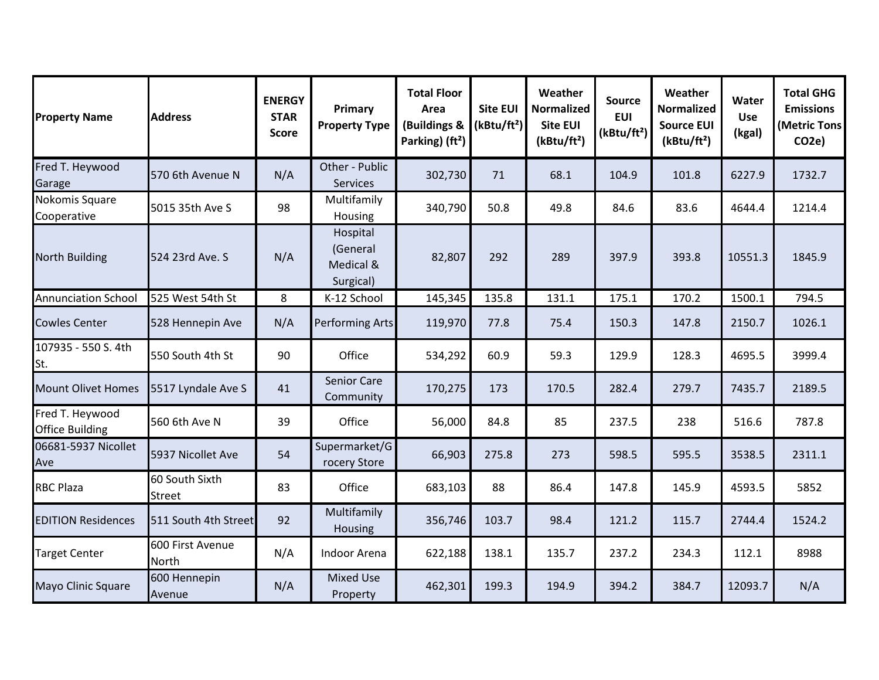| <b>Property Name</b>                      | <b>Address</b>                  | <b>ENERGY</b><br><b>STAR</b><br><b>Score</b> | Primary<br><b>Property Type</b>                | <b>Total Floor</b><br>Area<br>(Buildings &<br>Parking) (ft <sup>2</sup> ) | <b>Site EUI</b><br>(kBtu/ft <sup>2</sup> ) | Weather<br><b>Normalized</b><br><b>Site EUI</b><br>(kBtu/ft <sup>2</sup> ) | <b>Source</b><br><b>EUI</b><br>(kBtu/ft <sup>2</sup> ) | Weather<br><b>Normalized</b><br><b>Source EUI</b><br>(kBtu/ft <sup>2</sup> ) | Water<br><b>Use</b><br>(kgal) | <b>Total GHG</b><br><b>Emissions</b><br>(Metric Tons<br>CO <sub>2e</sub> ) |
|-------------------------------------------|---------------------------------|----------------------------------------------|------------------------------------------------|---------------------------------------------------------------------------|--------------------------------------------|----------------------------------------------------------------------------|--------------------------------------------------------|------------------------------------------------------------------------------|-------------------------------|----------------------------------------------------------------------------|
| Fred T. Heywood<br>Garage                 | 570 6th Avenue N                | N/A                                          | Other - Public<br>Services                     | 302,730                                                                   | 71                                         | 68.1                                                                       | 104.9                                                  | 101.8                                                                        | 6227.9                        | 1732.7                                                                     |
| Nokomis Square<br>Cooperative             | 5015 35th Ave S                 | 98                                           | Multifamily<br>Housing                         | 340,790                                                                   | 50.8                                       | 49.8                                                                       | 84.6                                                   | 83.6                                                                         | 4644.4                        | 1214.4                                                                     |
| <b>North Building</b>                     | 524 23rd Ave. S                 | N/A                                          | Hospital<br>(General<br>Medical &<br>Surgical) | 82,807                                                                    | 292                                        | 289                                                                        | 397.9                                                  | 393.8                                                                        | 10551.3                       | 1845.9                                                                     |
| <b>Annunciation School</b>                | 525 West 54th St                | 8                                            | K-12 School                                    | 145,345                                                                   | 135.8                                      | 131.1                                                                      | 175.1                                                  | 170.2                                                                        | 1500.1                        | 794.5                                                                      |
| <b>Cowles Center</b>                      | 528 Hennepin Ave                | N/A                                          | Performing Arts                                | 119,970                                                                   | 77.8                                       | 75.4                                                                       | 150.3                                                  | 147.8                                                                        | 2150.7                        | 1026.1                                                                     |
| 107935 - 550 S. 4th<br>St.                | 550 South 4th St                | 90                                           | Office                                         | 534,292                                                                   | 60.9                                       | 59.3                                                                       | 129.9                                                  | 128.3                                                                        | 4695.5                        | 3999.4                                                                     |
| <b>Mount Olivet Homes</b>                 | 5517 Lyndale Ave S              | 41                                           | <b>Senior Care</b><br>Community                | 170,275                                                                   | 173                                        | 170.5                                                                      | 282.4                                                  | 279.7                                                                        | 7435.7                        | 2189.5                                                                     |
| Fred T. Heywood<br><b>Office Building</b> | 560 6th Ave N                   | 39                                           | Office                                         | 56,000                                                                    | 84.8                                       | 85                                                                         | 237.5                                                  | 238                                                                          | 516.6                         | 787.8                                                                      |
| 06681-5937 Nicollet<br>Ave                | 5937 Nicollet Ave               | 54                                           | Supermarket/G<br>rocery Store                  | 66,903                                                                    | 275.8                                      | 273                                                                        | 598.5                                                  | 595.5                                                                        | 3538.5                        | 2311.1                                                                     |
| <b>RBC Plaza</b>                          | 60 South Sixth<br><b>Street</b> | 83                                           | Office                                         | 683,103                                                                   | 88                                         | 86.4                                                                       | 147.8                                                  | 145.9                                                                        | 4593.5                        | 5852                                                                       |
| <b>EDITION Residences</b>                 | 511 South 4th Street            | 92                                           | Multifamily<br>Housing                         | 356,746                                                                   | 103.7                                      | 98.4                                                                       | 121.2                                                  | 115.7                                                                        | 2744.4                        | 1524.2                                                                     |
| <b>Target Center</b>                      | 600 First Avenue<br>North       | N/A                                          | Indoor Arena                                   | 622,188                                                                   | 138.1                                      | 135.7                                                                      | 237.2                                                  | 234.3                                                                        | 112.1                         | 8988                                                                       |
| Mayo Clinic Square                        | 600 Hennepin<br>Avenue          | N/A                                          | <b>Mixed Use</b><br>Property                   | 462,301                                                                   | 199.3                                      | 194.9                                                                      | 394.2                                                  | 384.7                                                                        | 12093.7                       | N/A                                                                        |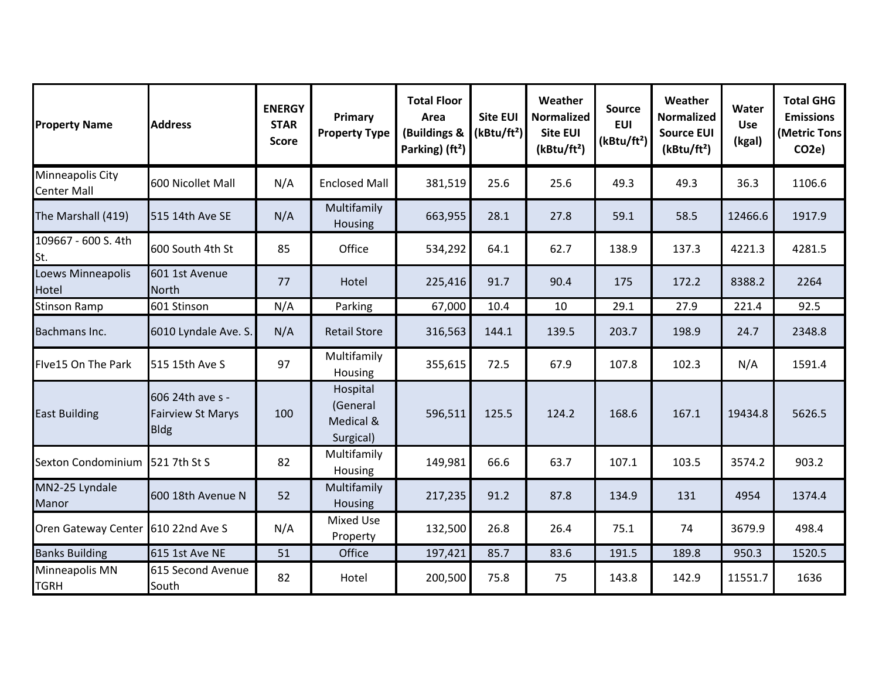| <b>Property Name</b>                   | <b>Address</b>                                              | <b>ENERGY</b><br><b>STAR</b><br><b>Score</b> | Primary<br><b>Property Type</b>                | <b>Total Floor</b><br>Area<br>(Buildings &<br>Parking) (ft <sup>2</sup> ) | <b>Site EUI</b><br>(kBtu/ft <sup>2</sup> ) | Weather<br><b>Normalized</b><br><b>Site EUI</b><br>(kBtu/ft <sup>2</sup> ) | <b>Source</b><br><b>EUI</b><br>(kBtu/ft <sup>2</sup> ) | Weather<br><b>Normalized</b><br><b>Source EUI</b><br>(kBtu/ft <sup>2</sup> ) | Water<br><b>Use</b><br>(kgal) | <b>Total GHG</b><br><b>Emissions</b><br>(Metric Tons<br>CO <sub>2</sub> e) |
|----------------------------------------|-------------------------------------------------------------|----------------------------------------------|------------------------------------------------|---------------------------------------------------------------------------|--------------------------------------------|----------------------------------------------------------------------------|--------------------------------------------------------|------------------------------------------------------------------------------|-------------------------------|----------------------------------------------------------------------------|
| Minneapolis City<br><b>Center Mall</b> | 600 Nicollet Mall                                           | N/A                                          | <b>Enclosed Mall</b>                           | 381,519                                                                   | 25.6                                       | 25.6                                                                       | 49.3                                                   | 49.3                                                                         | 36.3                          | 1106.6                                                                     |
| The Marshall (419)                     | 515 14th Ave SE                                             | N/A                                          | Multifamily<br><b>Housing</b>                  | 663,955                                                                   | 28.1                                       | 27.8                                                                       | 59.1                                                   | 58.5                                                                         | 12466.6                       | 1917.9                                                                     |
| 109667 - 600 S. 4th<br>St.             | 600 South 4th St                                            | 85                                           | Office                                         | 534,292                                                                   | 64.1                                       | 62.7                                                                       | 138.9                                                  | 137.3                                                                        | 4221.3                        | 4281.5                                                                     |
| Loews Minneapolis<br>Hotel             | 601 1st Avenue<br><b>North</b>                              | 77                                           | Hotel                                          | 225,416                                                                   | 91.7                                       | 90.4                                                                       | 175                                                    | 172.2                                                                        | 8388.2                        | 2264                                                                       |
| <b>Stinson Ramp</b>                    | 601 Stinson                                                 | N/A                                          | Parking                                        | 67,000                                                                    | 10.4                                       | 10                                                                         | 29.1                                                   | 27.9                                                                         | 221.4                         | 92.5                                                                       |
| Bachmans Inc.                          | 6010 Lyndale Ave. S.                                        | N/A                                          | <b>Retail Store</b>                            | 316,563                                                                   | 144.1                                      | 139.5                                                                      | 203.7                                                  | 198.9                                                                        | 24.7                          | 2348.8                                                                     |
| Flve15 On The Park                     | 515 15th Ave S                                              | 97                                           | Multifamily<br>Housing                         | 355,615                                                                   | 72.5                                       | 67.9                                                                       | 107.8                                                  | 102.3                                                                        | N/A                           | 1591.4                                                                     |
| <b>East Building</b>                   | 606 24th ave s -<br><b>Fairview St Marys</b><br><b>Bldg</b> | 100                                          | Hospital<br>(General<br>Medical &<br>Surgical) | 596,511                                                                   | 125.5                                      | 124.2                                                                      | 168.6                                                  | 167.1                                                                        | 19434.8                       | 5626.5                                                                     |
| Sexton Condominium                     | 521 7th St S                                                | 82                                           | Multifamily<br>Housing                         | 149,981                                                                   | 66.6                                       | 63.7                                                                       | 107.1                                                  | 103.5                                                                        | 3574.2                        | 903.2                                                                      |
| MN2-25 Lyndale<br>Manor                | 600 18th Avenue N                                           | 52                                           | Multifamily<br><b>Housing</b>                  | 217,235                                                                   | 91.2                                       | 87.8                                                                       | 134.9                                                  | 131                                                                          | 4954                          | 1374.4                                                                     |
| Oren Gateway Center 610 22nd Ave S     |                                                             | N/A                                          | <b>Mixed Use</b><br>Property                   | 132,500                                                                   | 26.8                                       | 26.4                                                                       | 75.1                                                   | 74                                                                           | 3679.9                        | 498.4                                                                      |
| <b>Banks Building</b>                  | 615 1st Ave NE                                              | 51                                           | Office                                         | 197,421                                                                   | 85.7                                       | 83.6                                                                       | 191.5                                                  | 189.8                                                                        | 950.3                         | 1520.5                                                                     |
| Minneapolis MN<br><b>TGRH</b>          | 615 Second Avenue<br>South                                  | 82                                           | Hotel                                          | 200,500                                                                   | 75.8                                       | 75                                                                         | 143.8                                                  | 142.9                                                                        | 11551.7                       | 1636                                                                       |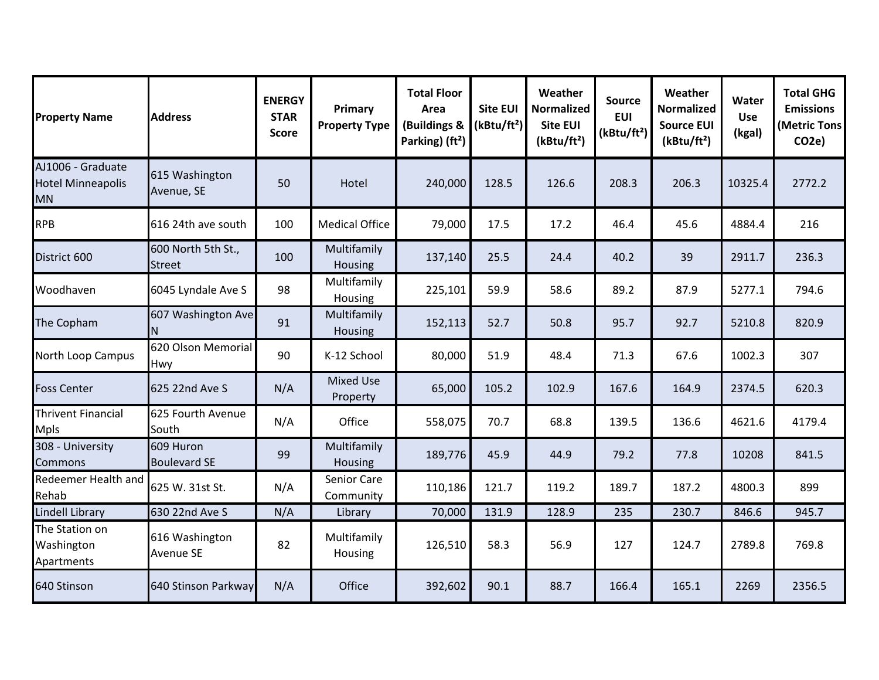| <b>Property Name</b>                                       | <b>Address</b>                      | <b>ENERGY</b><br><b>STAR</b><br><b>Score</b> | Primary<br><b>Property Type</b> | <b>Total Floor</b><br>Area<br>(Buildings &<br>Parking) (ft <sup>2</sup> ) | <b>Site EUI</b><br>(kBtu/ft <sup>2</sup> ) | Weather<br><b>Normalized</b><br><b>Site EUI</b><br>(kBtu/ft <sup>2</sup> ) | <b>Source</b><br><b>EUI</b><br>(kBtu/ft <sup>2</sup> ) | Weather<br><b>Normalized</b><br><b>Source EUI</b><br>(kBtu/ft <sup>2</sup> ) | Water<br><b>Use</b><br>(kgal) | <b>Total GHG</b><br><b>Emissions</b><br>(Metric Tons<br>CO <sub>2</sub> e) |
|------------------------------------------------------------|-------------------------------------|----------------------------------------------|---------------------------------|---------------------------------------------------------------------------|--------------------------------------------|----------------------------------------------------------------------------|--------------------------------------------------------|------------------------------------------------------------------------------|-------------------------------|----------------------------------------------------------------------------|
| AJ1006 - Graduate<br><b>Hotel Minneapolis</b><br><b>MN</b> | 615 Washington<br>Avenue, SE        | 50                                           | Hotel                           | 240,000                                                                   | 128.5                                      | 126.6                                                                      | 208.3                                                  | 206.3                                                                        | 10325.4                       | 2772.2                                                                     |
| <b>RPB</b>                                                 | 616 24th ave south                  | 100                                          | <b>Medical Office</b>           | 79,000                                                                    | 17.5                                       | 17.2                                                                       | 46.4                                                   | 45.6                                                                         | 4884.4                        | 216                                                                        |
| District 600                                               | 600 North 5th St.,<br><b>Street</b> | 100                                          | Multifamily<br>Housing          | 137,140                                                                   | 25.5                                       | 24.4                                                                       | 40.2                                                   | 39                                                                           | 2911.7                        | 236.3                                                                      |
| Woodhaven                                                  | 6045 Lyndale Ave S                  | 98                                           | Multifamily<br>Housing          | 225,101                                                                   | 59.9                                       | 58.6                                                                       | 89.2                                                   | 87.9                                                                         | 5277.1                        | 794.6                                                                      |
| The Copham                                                 | 607 Washington Ave<br>N             | 91                                           | Multifamily<br><b>Housing</b>   | 152,113                                                                   | 52.7                                       | 50.8                                                                       | 95.7                                                   | 92.7                                                                         | 5210.8                        | 820.9                                                                      |
| North Loop Campus                                          | 620 Olson Memorial<br>Hwy           | 90                                           | K-12 School                     | 80,000                                                                    | 51.9                                       | 48.4                                                                       | 71.3                                                   | 67.6                                                                         | 1002.3                        | 307                                                                        |
| <b>Foss Center</b>                                         | 625 22nd Ave S                      | N/A                                          | <b>Mixed Use</b><br>Property    | 65,000                                                                    | 105.2                                      | 102.9                                                                      | 167.6                                                  | 164.9                                                                        | 2374.5                        | 620.3                                                                      |
| <b>Thrivent Financial</b><br><b>Mpls</b>                   | 625 Fourth Avenue<br>South          | N/A                                          | Office                          | 558,075                                                                   | 70.7                                       | 68.8                                                                       | 139.5                                                  | 136.6                                                                        | 4621.6                        | 4179.4                                                                     |
| 308 - University<br><b>Commons</b>                         | 609 Huron<br><b>Boulevard SE</b>    | 99                                           | Multifamily<br>Housing          | 189,776                                                                   | 45.9                                       | 44.9                                                                       | 79.2                                                   | 77.8                                                                         | 10208                         | 841.5                                                                      |
| Redeemer Health and<br>Rehab                               | 625 W. 31st St.                     | N/A                                          | Senior Care<br>Community        | 110,186                                                                   | 121.7                                      | 119.2                                                                      | 189.7                                                  | 187.2                                                                        | 4800.3                        | 899                                                                        |
| <b>Lindell Library</b>                                     | 630 22nd Ave S                      | N/A                                          | Library                         | 70,000                                                                    | 131.9                                      | 128.9                                                                      | 235                                                    | 230.7                                                                        | 846.6                         | 945.7                                                                      |
| The Station on<br>Washington<br>Apartments                 | 616 Washington<br><b>Avenue SE</b>  | 82                                           | Multifamily<br>Housing          | 126,510                                                                   | 58.3                                       | 56.9                                                                       | 127                                                    | 124.7                                                                        | 2789.8                        | 769.8                                                                      |
| 640 Stinson                                                | 640 Stinson Parkway                 | N/A                                          | Office                          | 392,602                                                                   | 90.1                                       | 88.7                                                                       | 166.4                                                  | 165.1                                                                        | 2269                          | 2356.5                                                                     |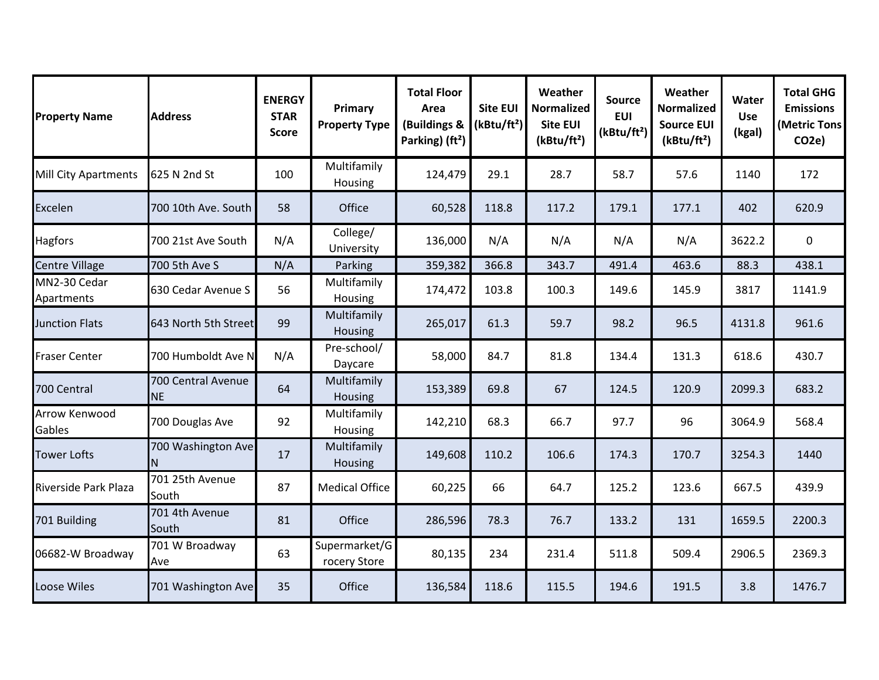| <b>Property Name</b>        | <b>Address</b>                  | <b>ENERGY</b><br><b>STAR</b><br><b>Score</b> | Primary<br><b>Property Type</b> | <b>Total Floor</b><br>Area<br>(Buildings &<br>Parking) (ft <sup>2</sup> ) | <b>Site EUI</b><br>(kBtu/ft <sup>2</sup> ) | Weather<br><b>Normalized</b><br><b>Site EUI</b><br>(kBtu/ft <sup>2</sup> ) | <b>Source</b><br><b>EUI</b><br>(kBtu/ft <sup>2</sup> ) | Weather<br><b>Normalized</b><br><b>Source EUI</b><br>(kBtu/ft <sup>2</sup> ) | Water<br><b>Use</b><br>(kgal) | <b>Total GHG</b><br><b>Emissions</b><br>(Metric Tons<br>CO <sub>2e</sub> ) |
|-----------------------------|---------------------------------|----------------------------------------------|---------------------------------|---------------------------------------------------------------------------|--------------------------------------------|----------------------------------------------------------------------------|--------------------------------------------------------|------------------------------------------------------------------------------|-------------------------------|----------------------------------------------------------------------------|
| <b>Mill City Apartments</b> | 625 N 2nd St                    | 100                                          | Multifamily<br>Housing          | 124,479                                                                   | 29.1                                       | 28.7                                                                       | 58.7                                                   | 57.6                                                                         | 1140                          | 172                                                                        |
| Excelen                     | 700 10th Ave. South             | 58                                           | Office                          | 60,528                                                                    | 118.8                                      | 117.2                                                                      | 179.1                                                  | 177.1                                                                        | 402                           | 620.9                                                                      |
| <b>Hagfors</b>              | 700 21st Ave South              | N/A                                          | College/<br>University          | 136,000                                                                   | N/A                                        | N/A                                                                        | N/A                                                    | N/A                                                                          | 3622.2                        | $\mathbf 0$                                                                |
| <b>Centre Village</b>       | 700 5th Ave S                   | N/A                                          | Parking                         | 359,382                                                                   | 366.8                                      | 343.7                                                                      | 491.4                                                  | 463.6                                                                        | 88.3                          | 438.1                                                                      |
| MN2-30 Cedar<br>Apartments  | 630 Cedar Avenue S              | 56                                           | Multifamily<br>Housing          | 174,472                                                                   | 103.8                                      | 100.3                                                                      | 149.6                                                  | 145.9                                                                        | 3817                          | 1141.9                                                                     |
| <b>Junction Flats</b>       | 643 North 5th Street            | 99                                           | Multifamily<br>Housing          | 265,017                                                                   | 61.3                                       | 59.7                                                                       | 98.2                                                   | 96.5                                                                         | 4131.8                        | 961.6                                                                      |
| <b>Fraser Center</b>        | 700 Humboldt Ave N              | N/A                                          | Pre-school/<br>Daycare          | 58,000                                                                    | 84.7                                       | 81.8                                                                       | 134.4                                                  | 131.3                                                                        | 618.6                         | 430.7                                                                      |
| 700 Central                 | 700 Central Avenue<br><b>NE</b> | 64                                           | Multifamily<br>Housing          | 153,389                                                                   | 69.8                                       | 67                                                                         | 124.5                                                  | 120.9                                                                        | 2099.3                        | 683.2                                                                      |
| Arrow Kenwood<br>Gables     | 700 Douglas Ave                 | 92                                           | Multifamily<br>Housing          | 142,210                                                                   | 68.3                                       | 66.7                                                                       | 97.7                                                   | 96                                                                           | 3064.9                        | 568.4                                                                      |
| <b>Tower Lofts</b>          | 700 Washington Ave              | 17                                           | Multifamily<br>Housing          | 149,608                                                                   | 110.2                                      | 106.6                                                                      | 174.3                                                  | 170.7                                                                        | 3254.3                        | 1440                                                                       |
| Riverside Park Plaza        | 701 25th Avenue<br>South        | 87                                           | <b>Medical Office</b>           | 60,225                                                                    | 66                                         | 64.7                                                                       | 125.2                                                  | 123.6                                                                        | 667.5                         | 439.9                                                                      |
| 701 Building                | 701 4th Avenue<br>South         | 81                                           | Office                          | 286,596                                                                   | 78.3                                       | 76.7                                                                       | 133.2                                                  | 131                                                                          | 1659.5                        | 2200.3                                                                     |
| 06682-W Broadway            | 701 W Broadway<br>Ave           | 63                                           | Supermarket/G<br>rocery Store   | 80,135                                                                    | 234                                        | 231.4                                                                      | 511.8                                                  | 509.4                                                                        | 2906.5                        | 2369.3                                                                     |
| <b>Loose Wiles</b>          | 701 Washington Ave              | 35                                           | Office                          | 136,584                                                                   | 118.6                                      | 115.5                                                                      | 194.6                                                  | 191.5                                                                        | 3.8                           | 1476.7                                                                     |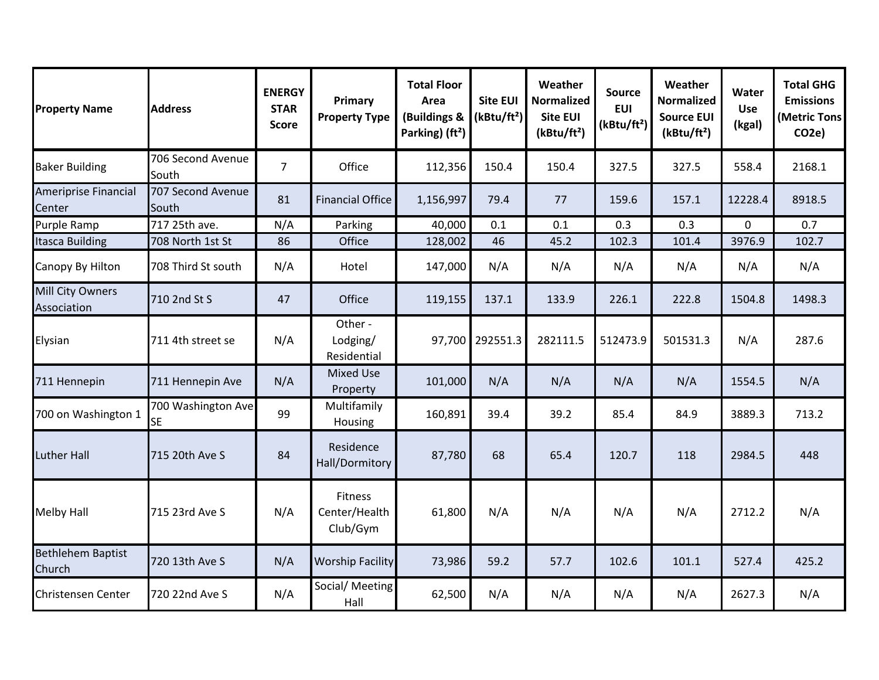| <b>Property Name</b>                  | <b>Address</b>                  | <b>ENERGY</b><br><b>STAR</b><br>Score | Primary<br><b>Property Type</b>      | <b>Total Floor</b><br>Area<br>(Buildings &<br>Parking) (ft <sup>2</sup> ) | <b>Site EUI</b><br>(kBtu/ft <sup>2</sup> ) | Weather<br><b>Normalized</b><br><b>Site EUI</b><br>(kBtu/ft <sup>2</sup> ) | Source<br><b>EUI</b><br>(kBtu/ft <sup>2</sup> ) | Weather<br><b>Normalized</b><br><b>Source EUI</b><br>(kBtu/ft <sup>2</sup> ) | Water<br><b>Use</b><br>(kgal) | <b>Total GHG</b><br><b>Emissions</b><br>(Metric Tons<br>CO <sub>2</sub> e) |
|---------------------------------------|---------------------------------|---------------------------------------|--------------------------------------|---------------------------------------------------------------------------|--------------------------------------------|----------------------------------------------------------------------------|-------------------------------------------------|------------------------------------------------------------------------------|-------------------------------|----------------------------------------------------------------------------|
| <b>Baker Building</b>                 | 706 Second Avenue<br>South      | $\overline{7}$                        | Office                               | 112,356                                                                   | 150.4                                      | 150.4                                                                      | 327.5                                           | 327.5                                                                        | 558.4                         | 2168.1                                                                     |
| <b>Ameriprise Financial</b><br>Center | 707 Second Avenue<br>South      | 81                                    | <b>Financial Office</b>              | 1,156,997                                                                 | 79.4                                       | 77                                                                         | 159.6                                           | 157.1                                                                        | 12228.4                       | 8918.5                                                                     |
| Purple Ramp                           | 717 25th ave.                   | N/A                                   | Parking                              | 40,000                                                                    | 0.1                                        | 0.1                                                                        | 0.3                                             | 0.3                                                                          | 0                             | 0.7                                                                        |
| <b>Itasca Building</b>                | 708 North 1st St                | 86                                    | Office                               | 128,002                                                                   | 46                                         | 45.2                                                                       | 102.3                                           | 101.4                                                                        | 3976.9                        | 102.7                                                                      |
| Canopy By Hilton                      | 708 Third St south              | N/A                                   | Hotel                                | 147,000                                                                   | N/A                                        | N/A                                                                        | N/A                                             | N/A                                                                          | N/A                           | N/A                                                                        |
| Mill City Owners<br>Association       | 710 2nd St S                    | 47                                    | Office                               | 119,155                                                                   | 137.1                                      | 133.9                                                                      | 226.1                                           | 222.8                                                                        | 1504.8                        | 1498.3                                                                     |
| Elysian                               | 711 4th street se               | N/A                                   | Other -<br>Lodging/<br>Residential   |                                                                           | 97,700 292551.3                            | 282111.5                                                                   | 512473.9                                        | 501531.3                                                                     | N/A                           | 287.6                                                                      |
| 711 Hennepin                          | 711 Hennepin Ave                | N/A                                   | <b>Mixed Use</b><br>Property         | 101,000                                                                   | N/A                                        | N/A                                                                        | N/A                                             | N/A                                                                          | 1554.5                        | N/A                                                                        |
| 700 on Washington 1                   | 700 Washington Ave<br><b>SE</b> | 99                                    | Multifamily<br>Housing               | 160,891                                                                   | 39.4                                       | 39.2                                                                       | 85.4                                            | 84.9                                                                         | 3889.3                        | 713.2                                                                      |
| <b>Luther Hall</b>                    | 715 20th Ave S                  | 84                                    | Residence<br>Hall/Dormitory          | 87,780                                                                    | 68                                         | 65.4                                                                       | 120.7                                           | 118                                                                          | 2984.5                        | 448                                                                        |
| <b>Melby Hall</b>                     | 715 23rd Ave S                  | N/A                                   | Fitness<br>Center/Health<br>Club/Gym | 61,800                                                                    | N/A                                        | N/A                                                                        | N/A                                             | N/A                                                                          | 2712.2                        | N/A                                                                        |
| <b>Bethlehem Baptist</b><br>Church    | 720 13th Ave S                  | N/A                                   | <b>Worship Facility</b>              | 73,986                                                                    | 59.2                                       | 57.7                                                                       | 102.6                                           | 101.1                                                                        | 527.4                         | 425.2                                                                      |
| <b>Christensen Center</b>             | 720 22nd Ave S                  | N/A                                   | Social/ Meeting<br>Hall              | 62,500                                                                    | N/A                                        | N/A                                                                        | N/A                                             | N/A                                                                          | 2627.3                        | N/A                                                                        |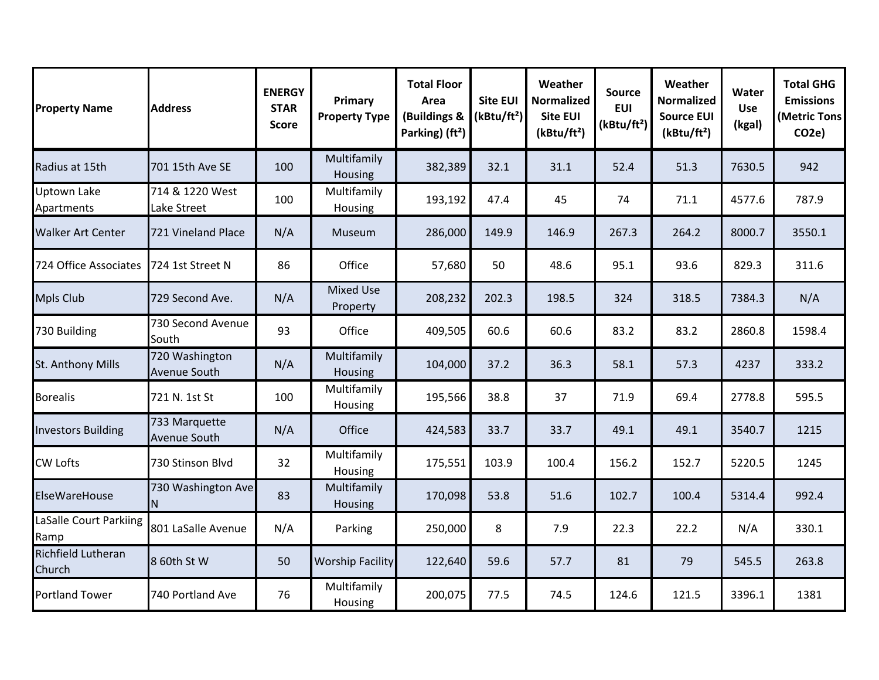| <b>Property Name</b>             | <b>Address</b>                 | <b>ENERGY</b><br><b>STAR</b><br>Score | Primary<br><b>Property Type</b> | <b>Total Floor</b><br>Area<br>(Buildings &<br>Parking) (ft <sup>2</sup> ) | <b>Site EUI</b><br>(kBtu/ft <sup>2</sup> ) | Weather<br><b>Normalized</b><br><b>Site EUI</b><br>(kBtu/ft <sup>2</sup> ) | <b>Source</b><br><b>EUI</b><br>(kBtu/ft <sup>2</sup> ) | Weather<br><b>Normalized</b><br><b>Source EUI</b><br>(kBtu/ft <sup>2</sup> ) | Water<br><b>Use</b><br>(kgal) | <b>Total GHG</b><br><b>Emissions</b><br><b>Metric Tons</b><br>CO <sub>2</sub> e) |
|----------------------------------|--------------------------------|---------------------------------------|---------------------------------|---------------------------------------------------------------------------|--------------------------------------------|----------------------------------------------------------------------------|--------------------------------------------------------|------------------------------------------------------------------------------|-------------------------------|----------------------------------------------------------------------------------|
| Radius at 15th                   | 701 15th Ave SE                | 100                                   | Multifamily<br>Housing          | 382,389                                                                   | 32.1                                       | 31.1                                                                       | 52.4                                                   | 51.3                                                                         | 7630.5                        | 942                                                                              |
| <b>Uptown Lake</b><br>Apartments | 714 & 1220 West<br>Lake Street | 100                                   | Multifamily<br>Housing          | 193,192                                                                   | 47.4                                       | 45                                                                         | 74                                                     | 71.1                                                                         | 4577.6                        | 787.9                                                                            |
| <b>Walker Art Center</b>         | 721 Vineland Place             | N/A                                   | Museum                          | 286,000                                                                   | 149.9                                      | 146.9                                                                      | 267.3                                                  | 264.2                                                                        | 8000.7                        | 3550.1                                                                           |
| 724 Office Associates            | 724 1st Street N               | 86                                    | Office                          | 57,680                                                                    | 50                                         | 48.6                                                                       | 95.1                                                   | 93.6                                                                         | 829.3                         | 311.6                                                                            |
| <b>Mpls Club</b>                 | 729 Second Ave.                | N/A                                   | <b>Mixed Use</b><br>Property    | 208,232                                                                   | 202.3                                      | 198.5                                                                      | 324                                                    | 318.5                                                                        | 7384.3                        | N/A                                                                              |
| 730 Building                     | 730 Second Avenue<br>South     | 93                                    | Office                          | 409,505                                                                   | 60.6                                       | 60.6                                                                       | 83.2                                                   | 83.2                                                                         | 2860.8                        | 1598.4                                                                           |
| St. Anthony Mills                | 720 Washington<br>Avenue South | N/A                                   | Multifamily<br>Housing          | 104,000                                                                   | 37.2                                       | 36.3                                                                       | 58.1                                                   | 57.3                                                                         | 4237                          | 333.2                                                                            |
| <b>Borealis</b>                  | 721 N. 1st St                  | 100                                   | Multifamily<br>Housing          | 195,566                                                                   | 38.8                                       | 37                                                                         | 71.9                                                   | 69.4                                                                         | 2778.8                        | 595.5                                                                            |
| <b>Investors Building</b>        | 733 Marquette<br>Avenue South  | N/A                                   | Office                          | 424,583                                                                   | 33.7                                       | 33.7                                                                       | 49.1                                                   | 49.1                                                                         | 3540.7                        | 1215                                                                             |
| <b>CW Lofts</b>                  | 730 Stinson Blvd               | 32                                    | Multifamily<br>Housing          | 175,551                                                                   | 103.9                                      | 100.4                                                                      | 156.2                                                  | 152.7                                                                        | 5220.5                        | 1245                                                                             |
| ElseWareHouse                    | 730 Washington Ave<br>N        | 83                                    | Multifamily<br>Housing          | 170,098                                                                   | 53.8                                       | 51.6                                                                       | 102.7                                                  | 100.4                                                                        | 5314.4                        | 992.4                                                                            |
| LaSalle Court Parkiing<br>Ramp   | 801 LaSalle Avenue             | N/A                                   | Parking                         | 250,000                                                                   | 8                                          | 7.9                                                                        | 22.3                                                   | 22.2                                                                         | N/A                           | 330.1                                                                            |
| Richfield Lutheran<br>Church     | 8 60th St W                    | 50                                    | <b>Worship Facility</b>         | 122,640                                                                   | 59.6                                       | 57.7                                                                       | 81                                                     | 79                                                                           | 545.5                         | 263.8                                                                            |
| <b>Portland Tower</b>            | 740 Portland Ave               | 76                                    | Multifamily<br>Housing          | 200,075                                                                   | 77.5                                       | 74.5                                                                       | 124.6                                                  | 121.5                                                                        | 3396.1                        | 1381                                                                             |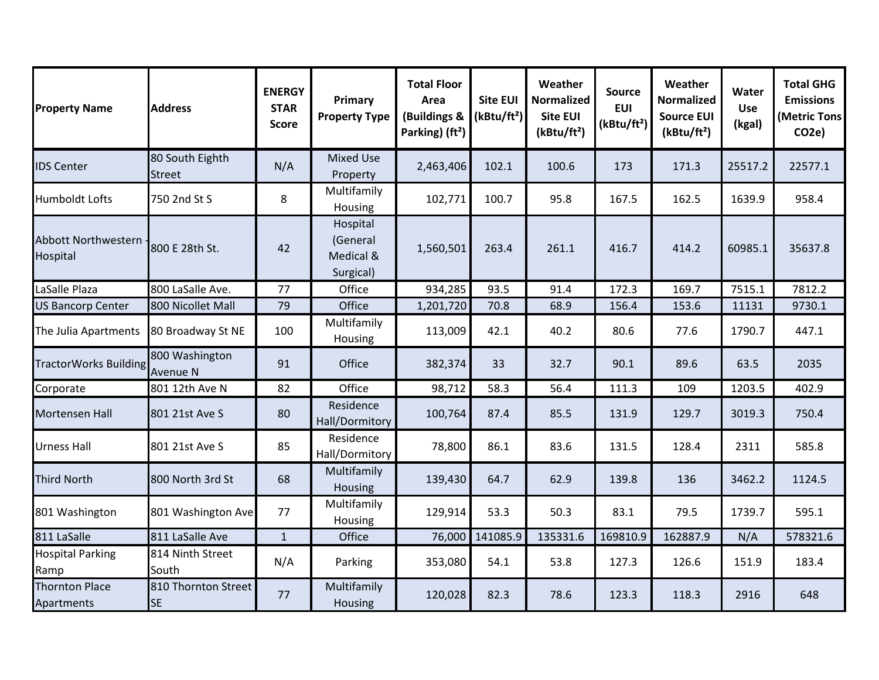| <b>Property Name</b>                   | <b>Address</b>                    | <b>ENERGY</b><br><b>STAR</b><br><b>Score</b> | Primary<br><b>Property Type</b>                | <b>Total Floor</b><br>Area<br>(Buildings &<br>Parking) (ft <sup>2</sup> ) | <b>Site EUI</b><br>(kBtu/ft <sup>2</sup> ) | Weather<br><b>Normalized</b><br><b>Site EUI</b><br>(kBtu/ft <sup>2</sup> ) | <b>Source</b><br><b>EUI</b><br>(kBtu/ft <sup>2</sup> ) | Weather<br><b>Normalized</b><br><b>Source EUI</b><br>(kBtu/ft <sup>2</sup> ) | Water<br><b>Use</b><br>(kgal) | <b>Total GHG</b><br><b>Emissions</b><br>(Metric Tons<br>CO <sub>2</sub> e) |
|----------------------------------------|-----------------------------------|----------------------------------------------|------------------------------------------------|---------------------------------------------------------------------------|--------------------------------------------|----------------------------------------------------------------------------|--------------------------------------------------------|------------------------------------------------------------------------------|-------------------------------|----------------------------------------------------------------------------|
| <b>IDS Center</b>                      | 80 South Eighth<br><b>Street</b>  | N/A                                          | <b>Mixed Use</b><br>Property                   | 2,463,406                                                                 | 102.1                                      | 100.6                                                                      | 173                                                    | 171.3                                                                        | 25517.2                       | 22577.1                                                                    |
| <b>Humboldt Lofts</b>                  | 750 2nd St S                      | 8                                            | Multifamily<br>Housing                         | 102,771                                                                   | 100.7                                      | 95.8                                                                       | 167.5                                                  | 162.5                                                                        | 1639.9                        | 958.4                                                                      |
| <b>Abbott Northwestern</b><br>Hospital | 800 E 28th St.                    | 42                                           | Hospital<br>(General<br>Medical &<br>Surgical) | 1,560,501                                                                 | 263.4                                      | 261.1                                                                      | 416.7                                                  | 414.2                                                                        | 60985.1                       | 35637.8                                                                    |
| LaSalle Plaza                          | 800 LaSalle Ave.                  | 77                                           | Office                                         | 934,285                                                                   | 93.5                                       | 91.4                                                                       | 172.3                                                  | 169.7                                                                        | 7515.1                        | 7812.2                                                                     |
| <b>US Bancorp Center</b>               | 800 Nicollet Mall                 | 79                                           | Office                                         | 1,201,720                                                                 | 70.8                                       | 68.9                                                                       | 156.4                                                  | 153.6                                                                        | 11131                         | 9730.1                                                                     |
| The Julia Apartments                   | 80 Broadway St NE                 | 100                                          | Multifamily<br>Housing                         | 113,009                                                                   | 42.1                                       | 40.2                                                                       | 80.6                                                   | 77.6                                                                         | 1790.7                        | 447.1                                                                      |
| <b>TractorWorks Building</b>           | 800 Washington<br><b>Avenue N</b> | 91                                           | Office                                         | 382,374                                                                   | 33                                         | 32.7                                                                       | 90.1                                                   | 89.6                                                                         | 63.5                          | 2035                                                                       |
| Corporate                              | 801 12th Ave N                    | 82                                           | Office                                         | 98,712                                                                    | 58.3                                       | 56.4                                                                       | 111.3                                                  | 109                                                                          | 1203.5                        | 402.9                                                                      |
| Mortensen Hall                         | 801 21st Ave S                    | 80                                           | Residence<br>Hall/Dormitory                    | 100,764                                                                   | 87.4                                       | 85.5                                                                       | 131.9                                                  | 129.7                                                                        | 3019.3                        | 750.4                                                                      |
| <b>Urness Hall</b>                     | 801 21st Ave S                    | 85                                           | Residence<br>Hall/Dormitory                    | 78,800                                                                    | 86.1                                       | 83.6                                                                       | 131.5                                                  | 128.4                                                                        | 2311                          | 585.8                                                                      |
| <b>Third North</b>                     | 800 North 3rd St                  | 68                                           | Multifamily<br>Housing                         | 139,430                                                                   | 64.7                                       | 62.9                                                                       | 139.8                                                  | 136                                                                          | 3462.2                        | 1124.5                                                                     |
| 801 Washington                         | 801 Washington Ave                | 77                                           | Multifamily<br>Housing                         | 129,914                                                                   | 53.3                                       | 50.3                                                                       | 83.1                                                   | 79.5                                                                         | 1739.7                        | 595.1                                                                      |
| 811 LaSalle                            | 811 LaSalle Ave                   | $\mathbf{1}$                                 | Office                                         | 76,000                                                                    | 141085.9                                   | 135331.6                                                                   | 169810.9                                               | 162887.9                                                                     | N/A                           | 578321.6                                                                   |
| <b>Hospital Parking</b><br>Ramp        | 814 Ninth Street<br>South         | N/A                                          | Parking                                        | 353,080                                                                   | 54.1                                       | 53.8                                                                       | 127.3                                                  | 126.6                                                                        | 151.9                         | 183.4                                                                      |
| <b>Thornton Place</b><br>Apartments    | 810 Thornton Street<br><b>SE</b>  | 77                                           | Multifamily<br>Housing                         | 120,028                                                                   | 82.3                                       | 78.6                                                                       | 123.3                                                  | 118.3                                                                        | 2916                          | 648                                                                        |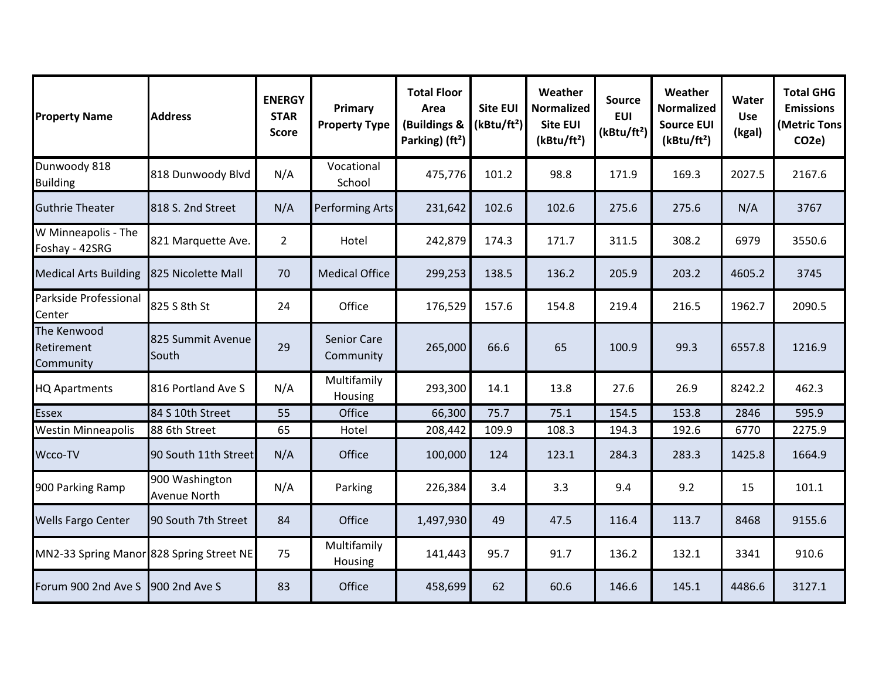| <b>Property Name</b>                     | <b>Address</b>                        | <b>ENERGY</b><br><b>STAR</b><br><b>Score</b> | Primary<br><b>Property Type</b> | <b>Total Floor</b><br>Area<br>(Buildings &<br>Parking) (ft <sup>2</sup> ) | <b>Site EUI</b><br>(kBtu/ft <sup>2</sup> ) | Weather<br>Normalized<br><b>Site EUI</b><br>(kBtu/ft <sup>2</sup> ) | <b>Source</b><br><b>EUI</b><br>(kBtu/ft <sup>2</sup> ) | Weather<br><b>Normalized</b><br><b>Source EUI</b><br>(kBtu/ft <sup>2</sup> ) | Water<br><b>Use</b><br>(kgal) | <b>Total GHG</b><br><b>Emissions</b><br>(Metric Tons<br>CO <sub>2</sub> e) |
|------------------------------------------|---------------------------------------|----------------------------------------------|---------------------------------|---------------------------------------------------------------------------|--------------------------------------------|---------------------------------------------------------------------|--------------------------------------------------------|------------------------------------------------------------------------------|-------------------------------|----------------------------------------------------------------------------|
| Dunwoody 818<br><b>Building</b>          | 818 Dunwoody Blvd                     | N/A                                          | Vocational<br>School            | 475,776                                                                   | 101.2                                      | 98.8                                                                | 171.9                                                  | 169.3                                                                        | 2027.5                        | 2167.6                                                                     |
| <b>Guthrie Theater</b>                   | 818 S. 2nd Street                     | N/A                                          | Performing Arts                 | 231,642                                                                   | 102.6                                      | 102.6                                                               | 275.6                                                  | 275.6                                                                        | N/A                           | 3767                                                                       |
| W Minneapolis - The<br>Foshay - 42SRG    | 821 Marquette Ave.                    | $\overline{2}$                               | Hotel                           | 242,879                                                                   | 174.3                                      | 171.7                                                               | 311.5                                                  | 308.2                                                                        | 6979                          | 3550.6                                                                     |
| <b>Medical Arts Building</b>             | 825 Nicolette Mall                    | 70                                           | <b>Medical Office</b>           | 299,253                                                                   | 138.5                                      | 136.2                                                               | 205.9                                                  | 203.2                                                                        | 4605.2                        | 3745                                                                       |
| Parkside Professional<br>Center          | 825 S 8th St                          | 24                                           | Office                          | 176,529                                                                   | 157.6                                      | 154.8                                                               | 219.4                                                  | 216.5                                                                        | 1962.7                        | 2090.5                                                                     |
| The Kenwood<br>Retirement<br>Community   | 825 Summit Avenue<br>South            | 29                                           | <b>Senior Care</b><br>Community | 265,000                                                                   | 66.6                                       | 65                                                                  | 100.9                                                  | 99.3                                                                         | 6557.8                        | 1216.9                                                                     |
| <b>HQ Apartments</b>                     | 816 Portland Ave S                    | N/A                                          | Multifamily<br>Housing          | 293,300                                                                   | 14.1                                       | 13.8                                                                | 27.6                                                   | 26.9                                                                         | 8242.2                        | 462.3                                                                      |
| <b>Essex</b>                             | 84 S 10th Street                      | 55                                           | Office                          | 66,300                                                                    | 75.7                                       | 75.1                                                                | 154.5                                                  | 153.8                                                                        | 2846                          | 595.9                                                                      |
| <b>Westin Minneapolis</b>                | 88 6th Street                         | 65                                           | Hotel                           | 208,442                                                                   | 109.9                                      | 108.3                                                               | 194.3                                                  | 192.6                                                                        | 6770                          | 2275.9                                                                     |
| Wcco-TV                                  | 90 South 11th Street                  | N/A                                          | Office                          | 100,000                                                                   | 124                                        | 123.1                                                               | 284.3                                                  | 283.3                                                                        | 1425.8                        | 1664.9                                                                     |
| 900 Parking Ramp                         | 900 Washington<br><b>Avenue North</b> | N/A                                          | Parking                         | 226,384                                                                   | 3.4                                        | 3.3                                                                 | 9.4                                                    | 9.2                                                                          | 15                            | 101.1                                                                      |
| <b>Wells Fargo Center</b>                | 90 South 7th Street                   | 84                                           | Office                          | 1,497,930                                                                 | 49                                         | 47.5                                                                | 116.4                                                  | 113.7                                                                        | 8468                          | 9155.6                                                                     |
| MN2-33 Spring Manor 828 Spring Street NE |                                       | 75                                           | Multifamily<br>Housing          | 141,443                                                                   | 95.7                                       | 91.7                                                                | 136.2                                                  | 132.1                                                                        | 3341                          | 910.6                                                                      |
| Forum 900 2nd Ave S                      | 900 2nd Ave S                         | 83                                           | Office                          | 458,699                                                                   | 62                                         | 60.6                                                                | 146.6                                                  | 145.1                                                                        | 4486.6                        | 3127.1                                                                     |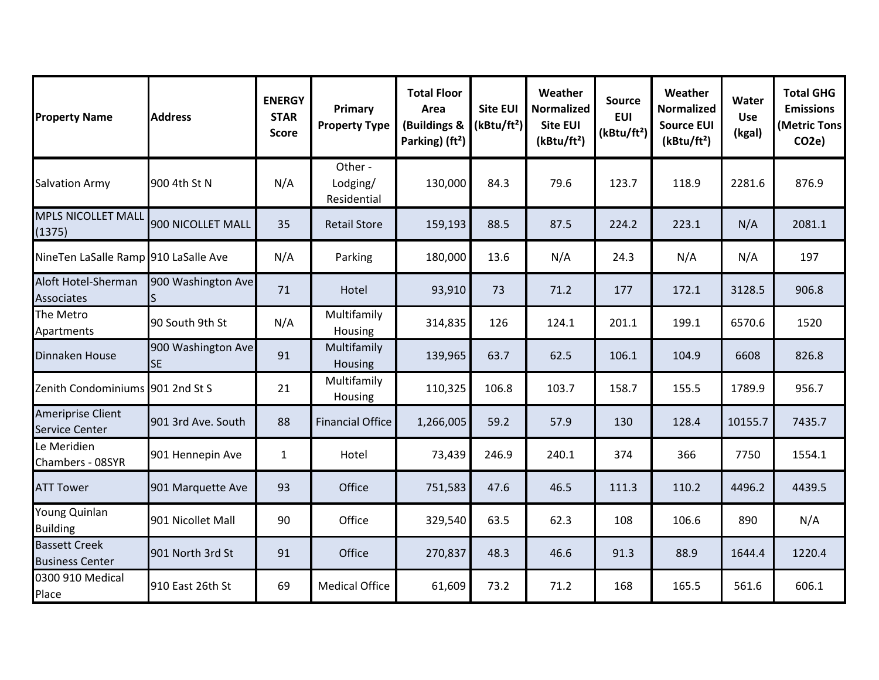| <b>Property Name</b>                              | <b>Address</b>                  | <b>ENERGY</b><br><b>STAR</b><br><b>Score</b> | Primary<br><b>Property Type</b>    | <b>Total Floor</b><br>Area<br>(Buildings &<br>Parking) (ft <sup>2</sup> ) | <b>Site EUI</b><br>(kBtu/ft <sup>2</sup> ) | Weather<br><b>Normalized</b><br><b>Site EUI</b><br>(kBtu/ft <sup>2</sup> ) | <b>Source</b><br><b>EUI</b><br>(kBtu/ft <sup>2</sup> ) | Weather<br><b>Normalized</b><br><b>Source EUI</b><br>(kBtu/ft <sup>2</sup> ) | Water<br><b>Use</b><br>(kgal) | <b>Total GHG</b><br><b>Emissions</b><br>(Metric Tons<br>CO <sub>2e</sub> ) |
|---------------------------------------------------|---------------------------------|----------------------------------------------|------------------------------------|---------------------------------------------------------------------------|--------------------------------------------|----------------------------------------------------------------------------|--------------------------------------------------------|------------------------------------------------------------------------------|-------------------------------|----------------------------------------------------------------------------|
| <b>Salvation Army</b>                             | 900 4th St N                    | N/A                                          | Other -<br>Lodging/<br>Residential | 130,000                                                                   | 84.3                                       | 79.6                                                                       | 123.7                                                  | 118.9                                                                        | 2281.6                        | 876.9                                                                      |
| <b>MPLS NICOLLET MALL</b><br>(1375)               | 900 NICOLLET MALL               | 35                                           | <b>Retail Store</b>                | 159,193                                                                   | 88.5                                       | 87.5                                                                       | 224.2                                                  | 223.1                                                                        | N/A                           | 2081.1                                                                     |
| NineTen LaSalle Ramp 910 LaSalle Ave              |                                 | N/A                                          | Parking                            | 180,000                                                                   | 13.6                                       | N/A                                                                        | 24.3                                                   | N/A                                                                          | N/A                           | 197                                                                        |
| Aloft Hotel-Sherman<br><b>Associates</b>          | 900 Washington Ave              | 71                                           | Hotel                              | 93,910                                                                    | 73                                         | 71.2                                                                       | 177                                                    | 172.1                                                                        | 3128.5                        | 906.8                                                                      |
| The Metro<br>Apartments                           | 90 South 9th St                 | N/A                                          | Multifamily<br>Housing             | 314,835                                                                   | 126                                        | 124.1                                                                      | 201.1                                                  | 199.1                                                                        | 6570.6                        | 1520                                                                       |
| Dinnaken House                                    | 900 Washington Ave<br><b>SE</b> | 91                                           | Multifamily<br>Housing             | 139,965                                                                   | 63.7                                       | 62.5                                                                       | 106.1                                                  | 104.9                                                                        | 6608                          | 826.8                                                                      |
| Zenith Condominiums 901 2nd St S                  |                                 | 21                                           | Multifamily<br>Housing             | 110,325                                                                   | 106.8                                      | 103.7                                                                      | 158.7                                                  | 155.5                                                                        | 1789.9                        | 956.7                                                                      |
| <b>Ameriprise Client</b><br><b>Service Center</b> | 901 3rd Ave. South              | 88                                           | <b>Financial Office</b>            | 1,266,005                                                                 | 59.2                                       | 57.9                                                                       | 130                                                    | 128.4                                                                        | 10155.7                       | 7435.7                                                                     |
| Le Meridien<br>Chambers - 08SYR                   | 901 Hennepin Ave                | $\mathbf{1}$                                 | Hotel                              | 73,439                                                                    | 246.9                                      | 240.1                                                                      | 374                                                    | 366                                                                          | 7750                          | 1554.1                                                                     |
| <b>ATT Tower</b>                                  | 901 Marquette Ave               | 93                                           | Office                             | 751,583                                                                   | 47.6                                       | 46.5                                                                       | 111.3                                                  | 110.2                                                                        | 4496.2                        | 4439.5                                                                     |
| Young Quinlan<br><b>Building</b>                  | 901 Nicollet Mall               | 90                                           | Office                             | 329,540                                                                   | 63.5                                       | 62.3                                                                       | 108                                                    | 106.6                                                                        | 890                           | N/A                                                                        |
| <b>Bassett Creek</b><br><b>Business Center</b>    | 901 North 3rd St                | 91                                           | Office                             | 270,837                                                                   | 48.3                                       | 46.6                                                                       | 91.3                                                   | 88.9                                                                         | 1644.4                        | 1220.4                                                                     |
| 0300 910 Medical<br>Place                         | 910 East 26th St                | 69                                           | <b>Medical Office</b>              | 61,609                                                                    | 73.2                                       | 71.2                                                                       | 168                                                    | 165.5                                                                        | 561.6                         | 606.1                                                                      |